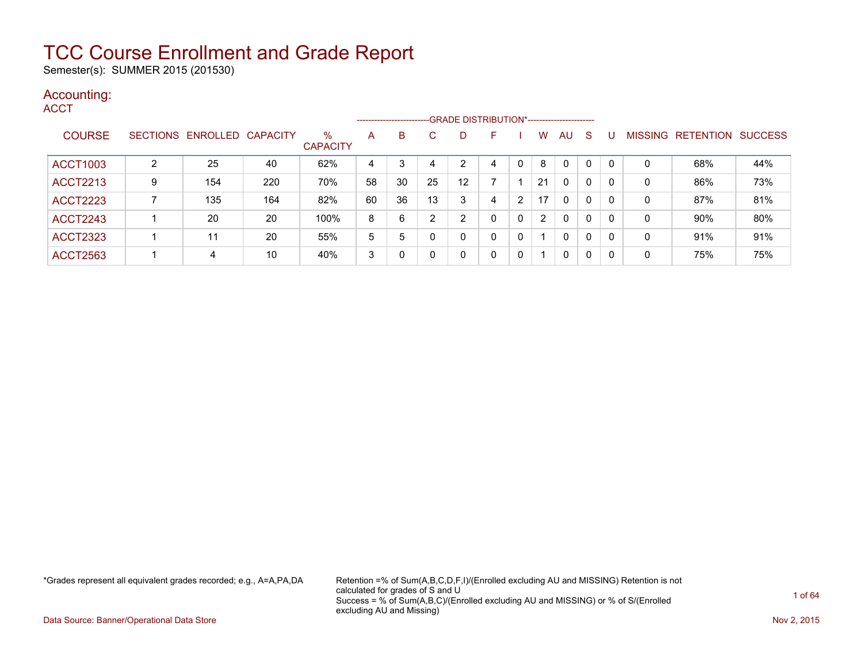Semester(s): SUMMER 2015 (201530)

#### Accounting:

**ACCT** 

|                 |   |                            |     |                         |    | ------------------------- |    |    |   |   |                       |              |              |          |                |                  |                |
|-----------------|---|----------------------------|-----|-------------------------|----|---------------------------|----|----|---|---|-----------------------|--------------|--------------|----------|----------------|------------------|----------------|
| <b>COURSE</b>   |   | SECTIONS ENROLLED CAPACITY |     | $\%$<br><b>CAPACITY</b> | A  | B                         | C  | D  | F |   | W                     | AU           | <sub>S</sub> |          | <b>MISSING</b> | <b>RETENTION</b> | <b>SUCCESS</b> |
| <b>ACCT1003</b> | ົ | 25                         | 40  | 62%                     | 4  |                           |    | 2  | 4 | 0 | 8                     | $\mathbf{0}$ | 0            |          | 0              | 68%              | 44%            |
| <b>ACCT2213</b> | 9 | 154                        | 220 | 70%                     | 58 | 30                        | 25 | 12 |   |   | 21                    | $\mathbf{0}$ | 0            | -0       | 0              | 86%              | 73%            |
| <b>ACCT2223</b> |   | 135                        | 164 | 82%                     | 60 | 36                        | 13 | 3  | 4 | 2 | 17                    | $\mathbf{0}$ | 0            | -0       | 0              | 87%              | 81%            |
| <b>ACCT2243</b> |   | 20                         | 20  | 100%                    | 8  | 6                         | ົ  | 2  | 0 | 0 | $\mathbf{2}^{\prime}$ | $\mathbf{0}$ | 0            | $\Omega$ | 0              | 90%              | 80%            |
| <b>ACCT2323</b> |   | 11                         | 20  | 55%                     | 5  | 5                         |    | 0  | 0 | 0 |                       | 0            | 0            | C        | 0              | 91%              | 91%            |
| <b>ACCT2563</b> |   | 4                          | 10  | 40%                     | 3  |                           |    | 0  | 0 | 0 |                       | 0            | $\mathbf{0}$ | -0       | 0              | 75%              | 75%            |

\*Grades represent all equivalent grades recorded; e.g., A=A,PA,DA Retention =% of Sum(A,B,C,D,F,I)/(Enrolled excluding AU and MISSING) Retention is not calculated for grades of S and U Success = % of Sum(A,B,C)/(Enrolled excluding AU and MISSING) or % of S/(Enrolled excluding AU and Missing)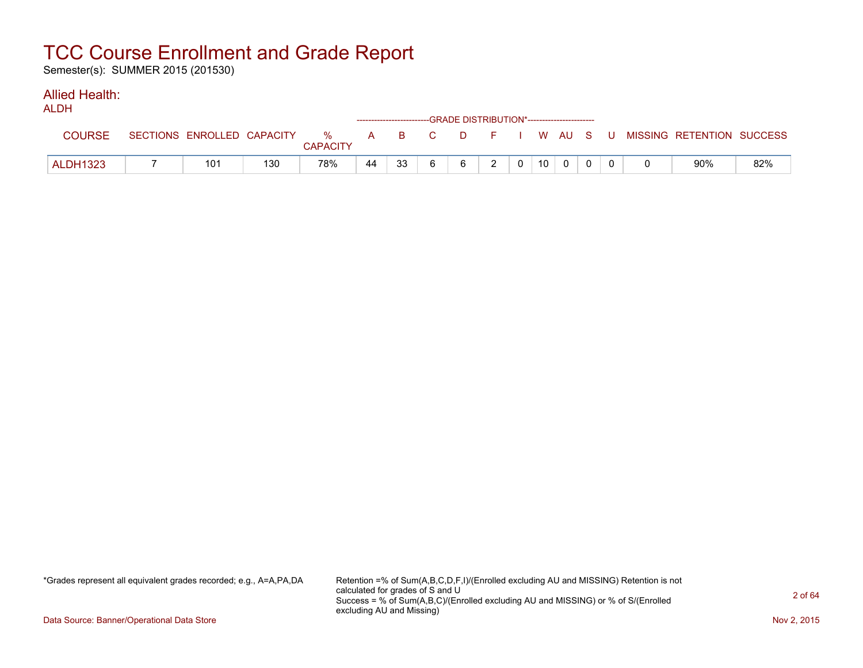Semester(s): SUMMER 2015 (201530)

#### Allied Health: ALDH<sub>1</sub>

| ALUN            |                            |     |                      | ------------------------GRADE DISTRIBUTION*----------------------- |    |    |  |                 |              |  |                                                |     |
|-----------------|----------------------------|-----|----------------------|--------------------------------------------------------------------|----|----|--|-----------------|--------------|--|------------------------------------------------|-----|
| <b>COURSE</b>   | SECTIONS ENROLLED CAPACITY |     | %<br><b>CAPACITY</b> |                                                                    |    |    |  |                 |              |  | A B C D F I W AU S U MISSING RETENTION SUCCESS |     |
| <b>ALDH1323</b> | 101                        | 130 | 78%                  | 44                                                                 | 33 | 6. |  | 10 <sup>1</sup> | $\mathbf{0}$ |  | 90%                                            | 82% |

\*Grades represent all equivalent grades recorded; e.g., A=A,PA,DA Retention =% of Sum(A,B,C,D,F,I)/(Enrolled excluding AU and MISSING) Retention is not calculated for grades of S and U Success = % of Sum(A,B,C)/(Enrolled excluding AU and MISSING) or % of S/(Enrolled excluding AU and Missing)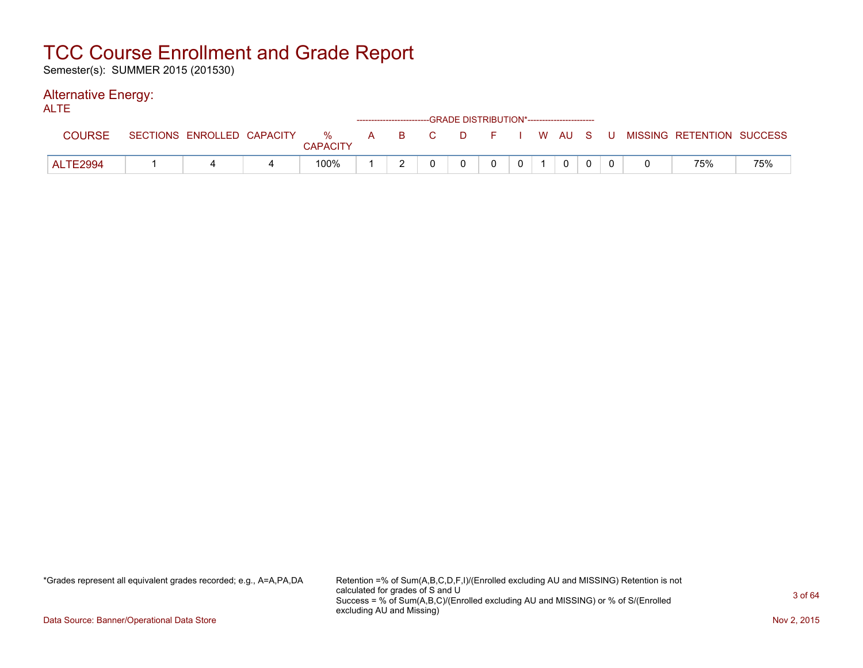Semester(s): SUMMER 2015 (201530)

#### Alternative Energy: ALTE

| ALIE            |                            |                      |     |    |                      | ------------------------GRADE DISTRIBUTION*----------------------- |  |          |  |                                        |     |
|-----------------|----------------------------|----------------------|-----|----|----------------------|--------------------------------------------------------------------|--|----------|--|----------------------------------------|-----|
| <b>COURSE</b>   | SECTIONS ENROLLED CAPACITY | %<br><b>CAPACITY</b> | A B | C. | in <b>D</b> irection |                                                                    |  |          |  | F I W AU S U MISSING RETENTION SUCCESS |     |
| <b>ALTE2994</b> |                            | 100%                 |     |    |                      |                                                                    |  | $\Omega$ |  | 75%                                    | 75% |

\*Grades represent all equivalent grades recorded; e.g., A=A,PA,DA Retention =% of Sum(A,B,C,D,F,I)/(Enrolled excluding AU and MISSING) Retention is not calculated for grades of S and U Success = % of Sum(A,B,C)/(Enrolled excluding AU and MISSING) or % of S/(Enrolled excluding AU and Missing)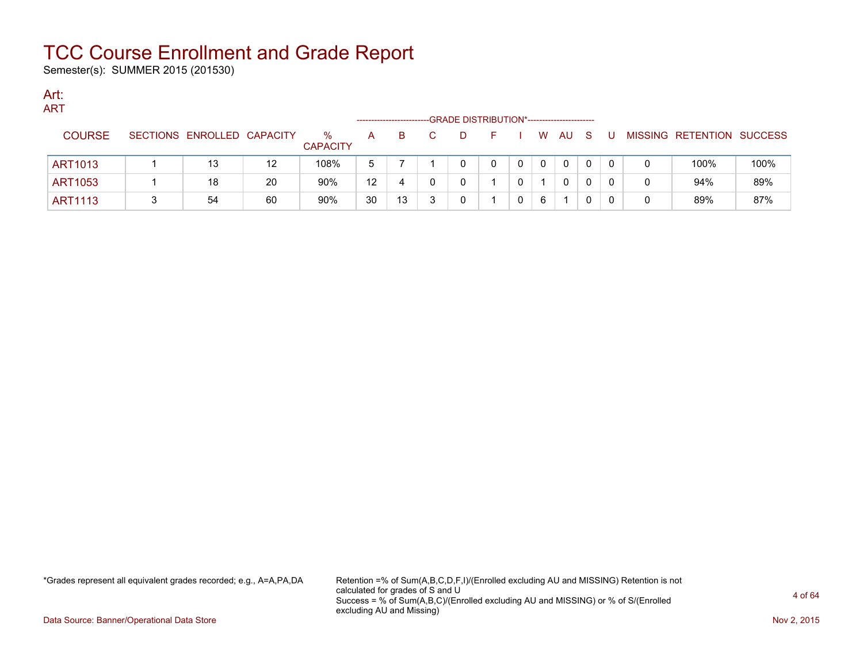Semester(s): SUMMER 2015 (201530)

#### Art: ADT

| AR I           |                            |    |                      |                   |    | -GRADE DISTRIBUTION*---------------------- |  |   |              |    |   |   |                           |      |
|----------------|----------------------------|----|----------------------|-------------------|----|--------------------------------------------|--|---|--------------|----|---|---|---------------------------|------|
| <b>COURSE</b>  | SECTIONS ENROLLED CAPACITY |    | ℅<br><b>CAPACITY</b> | A                 | B. | D                                          |  | W | AU           | -S | U |   | MISSING RETENTION SUCCESS |      |
| ART1013        | 13                         | 12 | 108%                 | 5                 |    |                                            |  |   | $\mathbf{0}$ |    |   | 0 | 100%                      | 100% |
| ART1053        | 18                         | 20 | 90%                  | $12 \overline{ }$ | 4  |                                            |  |   | $\mathbf{0}$ |    |   | 0 | 94%                       | 89%  |
| <b>ART1113</b> | 54                         | 60 | 90%                  | 30                | 13 |                                            |  | 6 |              |    |   | 0 | 89%                       | 87%  |

\*Grades represent all equivalent grades recorded; e.g., A=A,PA,DA Retention =% of Sum(A,B,C,D,F,I)/(Enrolled excluding AU and MISSING) Retention is not calculated for grades of S and U Success = % of Sum(A,B,C)/(Enrolled excluding AU and MISSING) or % of S/(Enrolled excluding AU and Missing)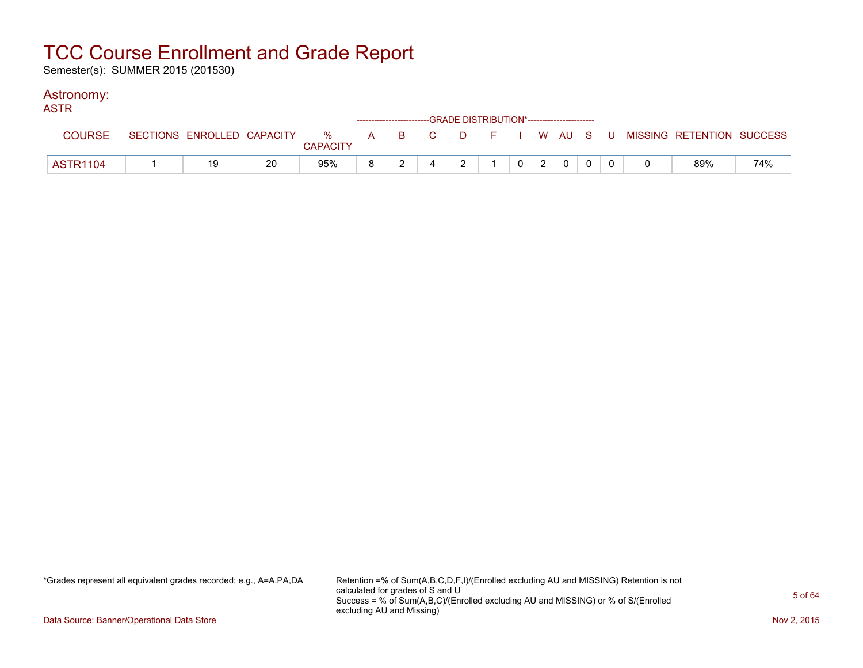Semester(s): SUMMER 2015 (201530)

#### Astronomy:

| <b>ASTR</b>     |    |    |                 |  | ------------------------GRADE DISTRIBUTION*----------------------- |                |  |                 |              |  |                                                                               |     |
|-----------------|----|----|-----------------|--|--------------------------------------------------------------------|----------------|--|-----------------|--------------|--|-------------------------------------------------------------------------------|-----|
| <b>COURSE</b>   |    |    | <b>CAPACITY</b> |  |                                                                    |                |  |                 |              |  | SECTIONS ENROLLED CAPACITY 3 % A B C D F I W AU S U MISSING RETENTION SUCCESS |     |
| <b>ASTR1104</b> | 19 | 20 | 95%             |  |                                                                    | $\overline{2}$ |  | $0 \mid 2 \mid$ | $\mathbf{0}$ |  | 89%                                                                           | 74% |

\*Grades represent all equivalent grades recorded; e.g., A=A,PA,DA Retention =% of Sum(A,B,C,D,F,I)/(Enrolled excluding AU and MISSING) Retention is not calculated for grades of S and U Success = % of Sum(A,B,C)/(Enrolled excluding AU and MISSING) or % of S/(Enrolled excluding AU and Missing)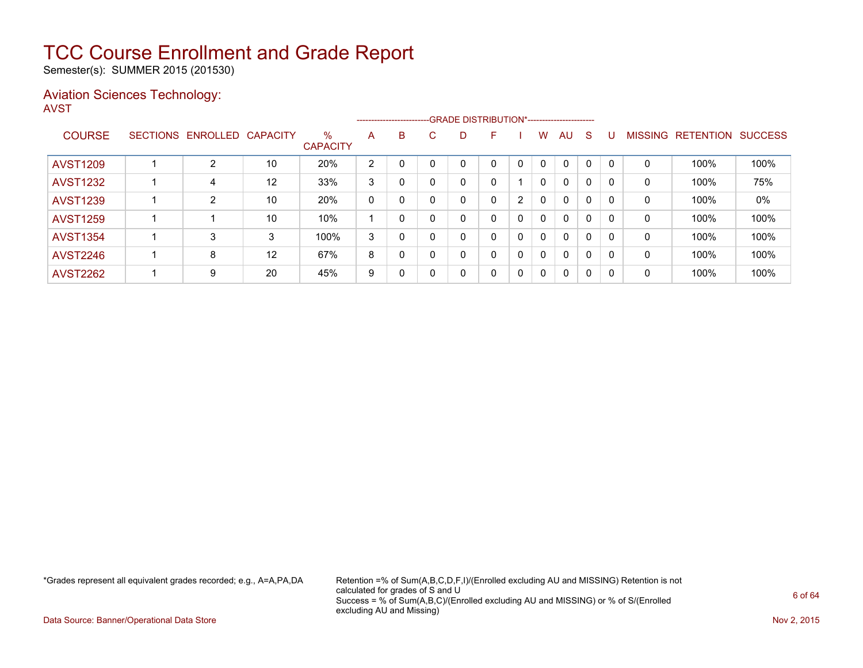Semester(s): SUMMER 2015 (201530)

#### Aviation Sciences Technology: AVST

|                 |                 |                   |    |                         |                |   |          | ------------------------GRADE                DISTRIBUTION*---------------------- |   |   |              |              |   |          |                |                  |                |
|-----------------|-----------------|-------------------|----|-------------------------|----------------|---|----------|----------------------------------------------------------------------------------|---|---|--------------|--------------|---|----------|----------------|------------------|----------------|
| <b>COURSE</b>   | <b>SECTIONS</b> | ENROLLED CAPACITY |    | $\%$<br><b>CAPACITY</b> | A              | B | C.       | D                                                                                | F |   | w            | AU           | S |          | <b>MISSING</b> | <b>RETENTION</b> | <b>SUCCESS</b> |
| <b>AVST1209</b> |                 | 2                 | 10 | 20%                     | $\overline{2}$ |   |          |                                                                                  |   | 0 | $\mathbf{0}$ | $\mathbf{0}$ | 0 |          | 0              | 100%             | 100%           |
| <b>AVST1232</b> |                 | 4                 | 12 | 33%                     | 3              |   |          |                                                                                  | 0 |   | 0            | $\mathbf{0}$ | 0 |          | 0              | 100%             | 75%            |
| <b>AVST1239</b> |                 | 2                 | 10 | 20%                     | 0              | 0 |          |                                                                                  | 0 | 2 | 0            | $\mathbf{0}$ | 0 | $\Omega$ | 0              | 100%             | 0%             |
| <b>AVST1259</b> |                 |                   | 10 | 10%                     |                | 0 |          |                                                                                  | 0 | 0 | $\mathbf{0}$ | $\mathbf{0}$ | 0 | $\Omega$ | 0              | 100%             | 100%           |
| <b>AVST1354</b> |                 | 3                 | 3  | 100%                    | 3              | 0 |          |                                                                                  | 0 | 0 | $\Omega$     | $\mathbf{0}$ | 0 | $\Omega$ | 0              | 100%             | 100%           |
| <b>AVST2246</b> |                 | 8                 | 12 | 67%                     | 8              | 0 |          |                                                                                  | 0 | 0 | $\mathbf{0}$ | $\mathbf{0}$ | 0 | $\Omega$ | $\mathbf 0$    | 100%             | 100%           |
| <b>AVST2262</b> |                 | 9                 | 20 | 45%                     | 9              | 0 | $\Omega$ | 0                                                                                | 0 | 0 | $\Omega$     | $\mathbf{0}$ | 0 | 0        | 0              | 100%             | 100%           |

\*Grades represent all equivalent grades recorded; e.g., A=A,PA,DA Retention =% of Sum(A,B,C,D,F,I)/(Enrolled excluding AU and MISSING) Retention is not calculated for grades of S and U Success = % of Sum(A,B,C)/(Enrolled excluding AU and MISSING) or % of S/(Enrolled excluding AU and Missing)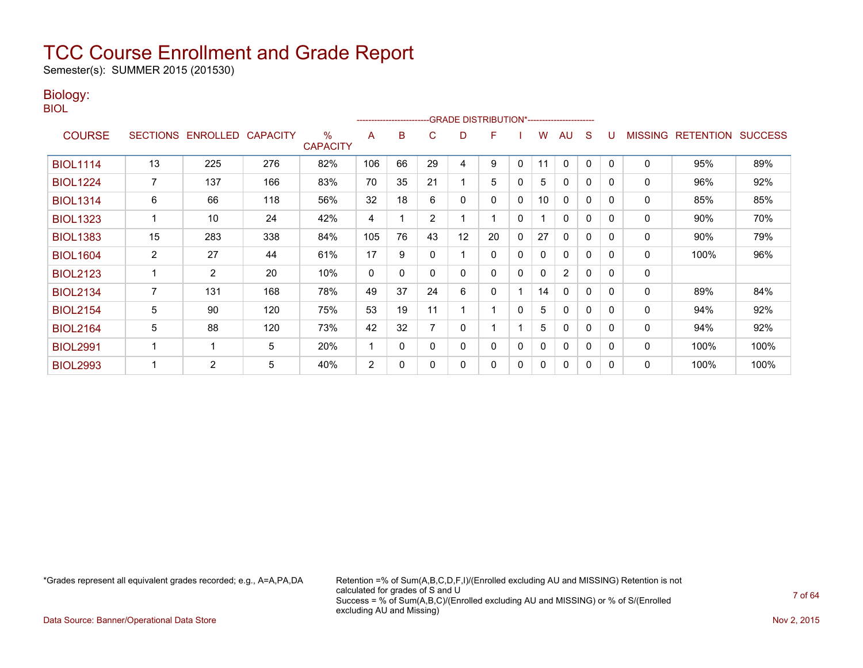Semester(s): SUMMER 2015 (201530)

#### Biology:

BIOL

|                 |                |                   |                 |                         |                | ------------------------ |                | -GRADE DISTRIBUTION*----------------------- |    |              |              |                |              |          |                |                  |                |
|-----------------|----------------|-------------------|-----------------|-------------------------|----------------|--------------------------|----------------|---------------------------------------------|----|--------------|--------------|----------------|--------------|----------|----------------|------------------|----------------|
| <b>COURSE</b>   |                | SECTIONS ENROLLED | <b>CAPACITY</b> | $\%$<br><b>CAPACITY</b> | A              | B                        | C              | D                                           | F  |              | W            | AU             | S            |          | <b>MISSING</b> | <b>RETENTION</b> | <b>SUCCESS</b> |
| <b>BIOL1114</b> | 13             | 225               | 276             | 82%                     | 106            | 66                       | 29             | 4                                           | 9  | 0            | 11           | 0              | 0            | $\Omega$ | $\mathbf 0$    | 95%              | 89%            |
| <b>BIOL1224</b> |                | 137               | 166             | 83%                     | 70             | 35                       | 21             |                                             | 5  | 0            | 5            | $\mathbf{0}$   | 0            | 0        | 0              | 96%              | 92%            |
| <b>BIOL1314</b> | 6              | 66                | 118             | 56%                     | 32             | 18                       | 6              | 0                                           | 0  | 0            | 10           | 0              | 0            | $\Omega$ | 0              | 85%              | 85%            |
| <b>BIOL1323</b> |                | 10                | 24              | 42%                     | 4              |                          | $\overline{2}$ |                                             |    | 0            |              | $\mathbf{0}$   | 0            | $\Omega$ | 0              | 90%              | 70%            |
| <b>BIOL1383</b> | 15             | 283               | 338             | 84%                     | 105            | 76                       | 43             | 12                                          | 20 | 0            | 27           | 0              | 0            | 0        | 0              | 90%              | 79%            |
| <b>BIOL1604</b> | $\overline{2}$ | 27                | 44              | 61%                     | 17             | 9                        |                |                                             | 0  | 0            | 0            | 0              | 0            | $\Omega$ | 0              | 100%             | 96%            |
| <b>BIOL2123</b> |                | $\overline{2}$    | 20              | 10%                     | 0              | $\mathbf{0}$             | 0              | 0                                           | 0  | $\mathbf{0}$ | $\mathbf{0}$ | $\overline{2}$ | $\Omega$     | $\Omega$ | 0              |                  |                |
| <b>BIOL2134</b> |                | 131               | 168             | 78%                     | 49             | 37                       | 24             | 6                                           | 0  |              | 14           | 0              | 0            | $\Omega$ | 0              | 89%              | 84%            |
| <b>BIOL2154</b> | 5              | 90                | 120             | 75%                     | 53             | 19                       | 11             |                                             |    | 0            | 5            | $\mathbf{0}$   | 0            | $\Omega$ | 0              | 94%              | 92%            |
| <b>BIOL2164</b> | 5              | 88                | 120             | 73%                     | 42             | 32                       |                | 0                                           |    |              | 5            | $\mathbf{0}$   | $\mathbf{0}$ | $\Omega$ | 0              | 94%              | 92%            |
| <b>BIOL2991</b> |                | ٠                 | 5               | 20%                     |                | 0                        | $\Omega$       | 0                                           | 0  | 0            | 0            | $\mathbf{0}$   | 0            | $\Omega$ | 0              | 100%             | 100%           |
| <b>BIOL2993</b> |                | $\overline{2}$    | 5               | 40%                     | $\overline{2}$ | 0                        |                | 0                                           | 0  | 0            | 0            | $\mathbf{0}$   | 0            | 0        | 0              | 100%             | 100%           |

\*Grades represent all equivalent grades recorded; e.g., A=A,PA,DA Retention =% of Sum(A,B,C,D,F,I)/(Enrolled excluding AU and MISSING) Retention is not calculated for grades of S and U Success = % of Sum(A,B,C)/(Enrolled excluding AU and MISSING) or % of S/(Enrolled excluding AU and Missing)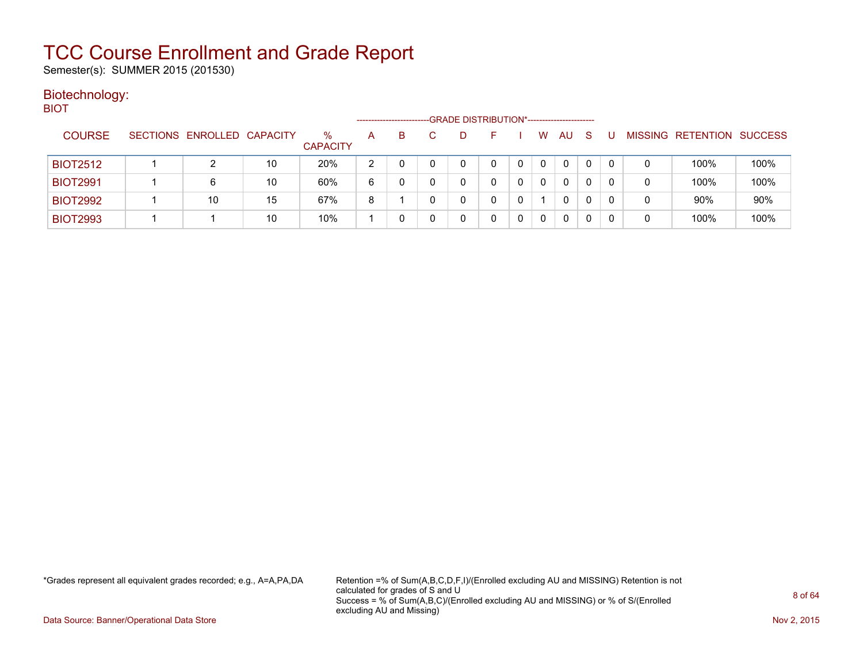Semester(s): SUMMER 2015 (201530)

#### Biotechnology: **BIOT**

| ____            |                            |    |                         | --------------------- |    | -GRADE DISTRIBUTION*----------------------- |   |   |    |              |   |   |                   |                |
|-----------------|----------------------------|----|-------------------------|-----------------------|----|---------------------------------------------|---|---|----|--------------|---|---|-------------------|----------------|
| <b>COURSE</b>   | SECTIONS ENROLLED CAPACITY |    | $\%$<br><b>CAPACITY</b> | A                     | B. |                                             |   | W | AU | <sub>S</sub> |   |   | MISSING RETENTION | <b>SUCCESS</b> |
| <b>BIOT2512</b> |                            | 10 | 20%                     | າ                     |    |                                             |   | 0 | 0  |              |   | 0 | 100%              | 100%           |
| <b>BIOT2991</b> | 6                          | 10 | 60%                     | 6                     |    | 0                                           |   | 0 | 0  |              | 0 | 0 | 100%              | 100%           |
| <b>BIOT2992</b> | 10                         | 15 | 67%                     | 8                     |    | 0                                           | 0 |   | 0  | 0            | 0 | 0 | 90%               | 90%            |
| <b>BIOT2993</b> |                            | 10 | 10%                     |                       |    |                                             |   |   | 0  |              |   | 0 | 100%              | 100%           |

\*Grades represent all equivalent grades recorded; e.g., A=A,PA,DA Retention =% of Sum(A,B,C,D,F,I)/(Enrolled excluding AU and MISSING) Retention is not calculated for grades of S and U Success = % of Sum(A,B,C)/(Enrolled excluding AU and MISSING) or % of S/(Enrolled excluding AU and Missing)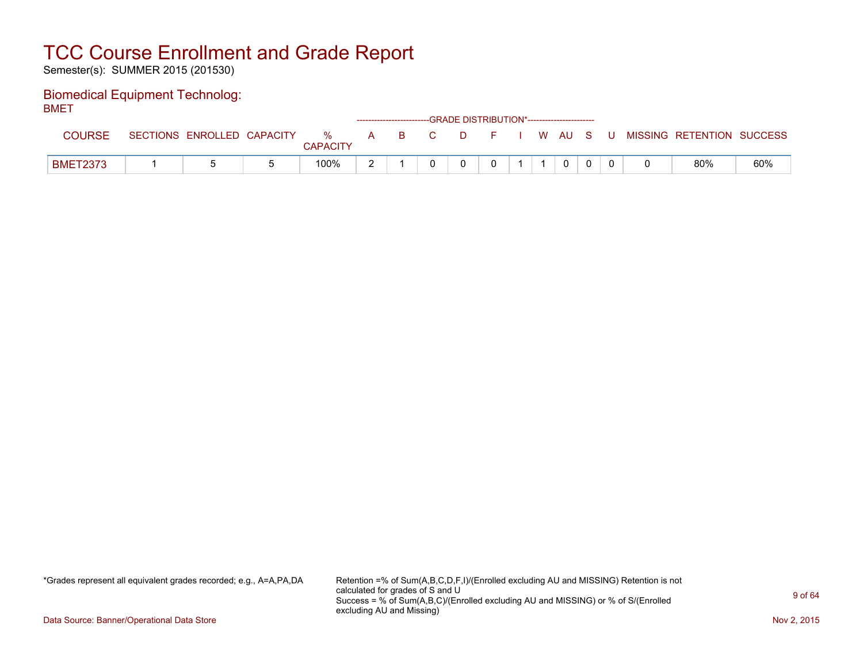Semester(s): SUMMER 2015 (201530)

#### Biomedical Equipment Technolog: BMET

| -----           |                            |                      |   |          | ------------------------GRADE DISTRIBUTION*----------------------- |      |    |          |          |  |                           |     |
|-----------------|----------------------------|----------------------|---|----------|--------------------------------------------------------------------|------|----|----------|----------|--|---------------------------|-----|
| <b>COURSE</b>   | SECTIONS ENROLLED CAPACITY | %<br><b>CAPACITY</b> | A | <b>B</b> | C.                                                                 | - D- | ÷. | I WAUS U |          |  | MISSING RETENTION SUCCESS |     |
| <b>BMET2373</b> |                            | 100%                 |   |          |                                                                    |      |    |          | $\Omega$ |  | 80%                       | 60% |

\*Grades represent all equivalent grades recorded; e.g., A=A,PA,DA Retention =% of Sum(A,B,C,D,F,I)/(Enrolled excluding AU and MISSING) Retention is not calculated for grades of S and U Success = % of Sum(A,B,C)/(Enrolled excluding AU and MISSING) or % of S/(Enrolled excluding AU and Missing)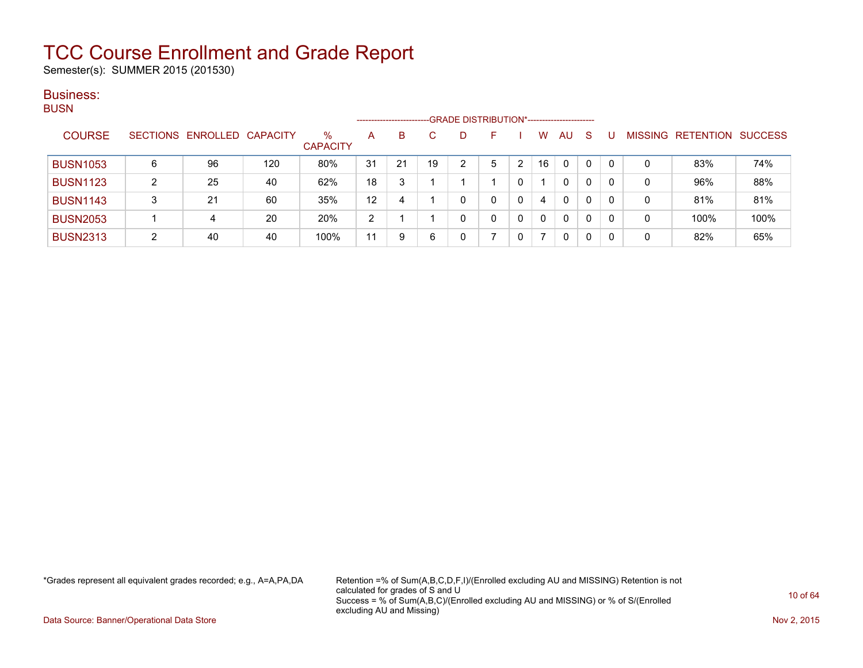Semester(s): SUMMER 2015 (201530)

#### Business: BUSN

| ייטש            |   |                            |     |                         |    | ------------------------ |    | -GRADE DISTRIBUTION*----------------------- |    |   |          |              |              |    |   |                                  |      |
|-----------------|---|----------------------------|-----|-------------------------|----|--------------------------|----|---------------------------------------------|----|---|----------|--------------|--------------|----|---|----------------------------------|------|
| <b>COURSE</b>   |   | SECTIONS ENROLLED CAPACITY |     | $\%$<br><b>CAPACITY</b> | A  | B                        | C  | D                                           |    |   | W        | AU           | <sub>S</sub> |    |   | <b>MISSING RETENTION SUCCESS</b> |      |
| <b>BUSN1053</b> | 6 | 96                         | 120 | 80%                     | 31 | 21                       | 19 | 2                                           | ۰. |   | 16       | 0            | $\mathbf 0$  | -0 | 0 | 83%                              | 74%  |
| <b>BUSN1123</b> | ົ | 25                         | 40  | 62%                     | 18 | 3                        |    |                                             |    |   |          | $\mathbf{0}$ | 0            |    | 0 | 96%                              | 88%  |
| <b>BUSN1143</b> | 3 | 21                         | 60  | 35%                     | 12 | 4                        |    | 0                                           |    | 0 | 4        | $\mathbf{0}$ | 0            | -0 | 0 | 81%                              | 81%  |
| <b>BUSN2053</b> |   | 4                          | 20  | 20%                     | 2  |                          |    | 0                                           | 0  | 0 | $\Omega$ | $\mathbf{0}$ | 0            | -0 | 0 | 100%                             | 100% |
| <b>BUSN2313</b> | ົ | 40                         | 40  | 100%                    | 11 | 9                        | 6  | 0                                           |    | 0 |          | $\mathbf{0}$ | 0            | C  | 0 | 82%                              | 65%  |

\*Grades represent all equivalent grades recorded; e.g., A=A,PA,DA Retention =% of Sum(A,B,C,D,F,I)/(Enrolled excluding AU and MISSING) Retention is not calculated for grades of S and U Success = % of Sum(A,B,C)/(Enrolled excluding AU and MISSING) or % of S/(Enrolled excluding AU and Missing)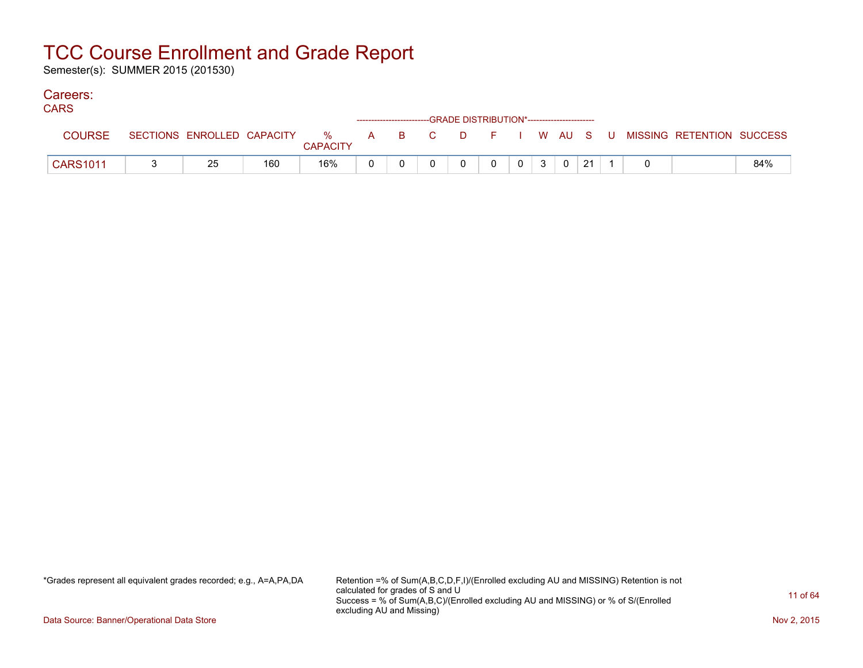Semester(s): SUMMER 2015 (201530)

#### Careers:

| <b>CARS</b>     |    |     |                 |  | --GRADE DISTRIBUTION*----------------------- |   |   |                |    |  |                                                                             |     |
|-----------------|----|-----|-----------------|--|----------------------------------------------|---|---|----------------|----|--|-----------------------------------------------------------------------------|-----|
| <b>COURSE</b>   |    |     | <b>CAPACITY</b> |  |                                              |   |   |                |    |  | SECTIONS ENROLLED CAPACITY % A B C D F I W AU S U MISSING RETENTION SUCCESS |     |
| <b>CARS1011</b> | 25 | 160 | 16%             |  |                                              | 0 | 3 | $\overline{0}$ | 21 |  |                                                                             | 84% |

\*Grades represent all equivalent grades recorded; e.g., A=A,PA,DA Retention =% of Sum(A,B,C,D,F,I)/(Enrolled excluding AU and MISSING) Retention is not calculated for grades of S and U Success = % of Sum(A,B,C)/(Enrolled excluding AU and MISSING) or % of S/(Enrolled excluding AU and Missing)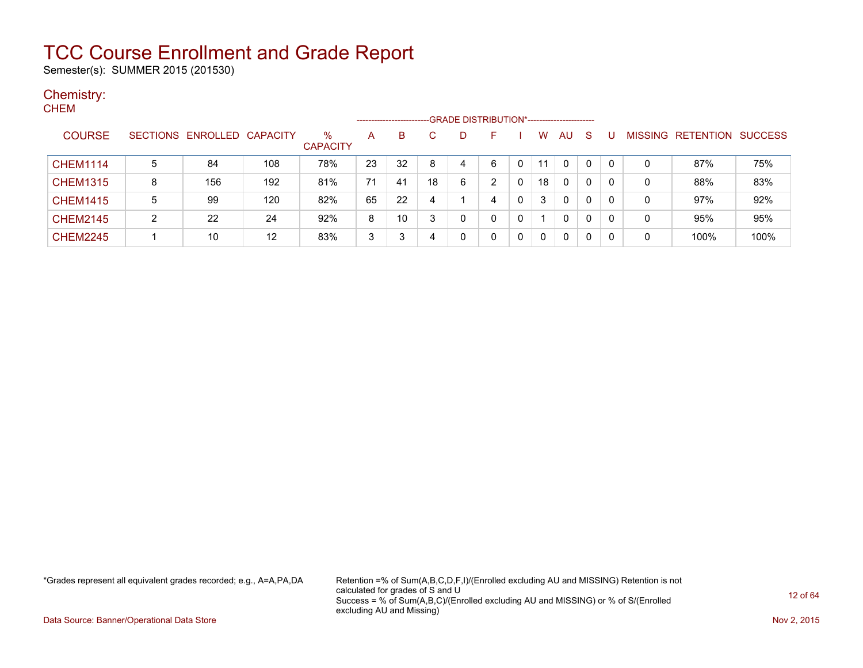Semester(s): SUMMER 2015 (201530)

#### Chemistry: **CHEM**

| -----           |   |                            |     |                         |    | ---------------------- |    | -GRADE DISTRIBUTION*---------------------- |   |              |             |              |    |          |                |           |                |
|-----------------|---|----------------------------|-----|-------------------------|----|------------------------|----|--------------------------------------------|---|--------------|-------------|--------------|----|----------|----------------|-----------|----------------|
| <b>COURSE</b>   |   | SECTIONS ENROLLED CAPACITY |     | $\%$<br><b>CAPACITY</b> | A  | B                      | C  | D                                          |   |              | W           | AU           | -S |          | <b>MISSING</b> | RETENTION | <b>SUCCESS</b> |
| <b>CHEM1114</b> | 5 | 84                         | 108 | 78%                     | 23 | 32                     | 8  | 4                                          | 6 | 0            | 11          | $\Omega$     | 0  |          | 0              | 87%       | 75%            |
| <b>CHEM1315</b> | 8 | 156                        | 192 | 81%                     | 71 | 41                     | 18 | 6                                          | າ |              | 18          | $\Omega$     | 0  | 0        | 0              | 88%       | 83%            |
| <b>CHEM1415</b> | 5 | 99                         | 120 | 82%                     | 65 | 22                     |    |                                            | 4 | $\mathbf{0}$ | 3           | $\mathbf{0}$ | 0  | $\Omega$ | 0              | 97%       | 92%            |
| <b>CHEM2145</b> | ົ | 22                         | 24  | 92%                     | 8  | 10                     |    | 0                                          | 0 |              |             | $\mathbf{0}$ | 0  |          | 0              | 95%       | 95%            |
| <b>CHEM2245</b> |   | 10                         | 12  | 83%                     | 3  | 3                      |    |                                            | 0 | 0            | $\mathbf 0$ | $\Omega$     | 0  |          | 0              | 100%      | 100%           |

\*Grades represent all equivalent grades recorded; e.g., A=A,PA,DA Retention =% of Sum(A,B,C,D,F,I)/(Enrolled excluding AU and MISSING) Retention is not calculated for grades of S and U Success = % of Sum(A,B,C)/(Enrolled excluding AU and MISSING) or % of S/(Enrolled excluding AU and Missing)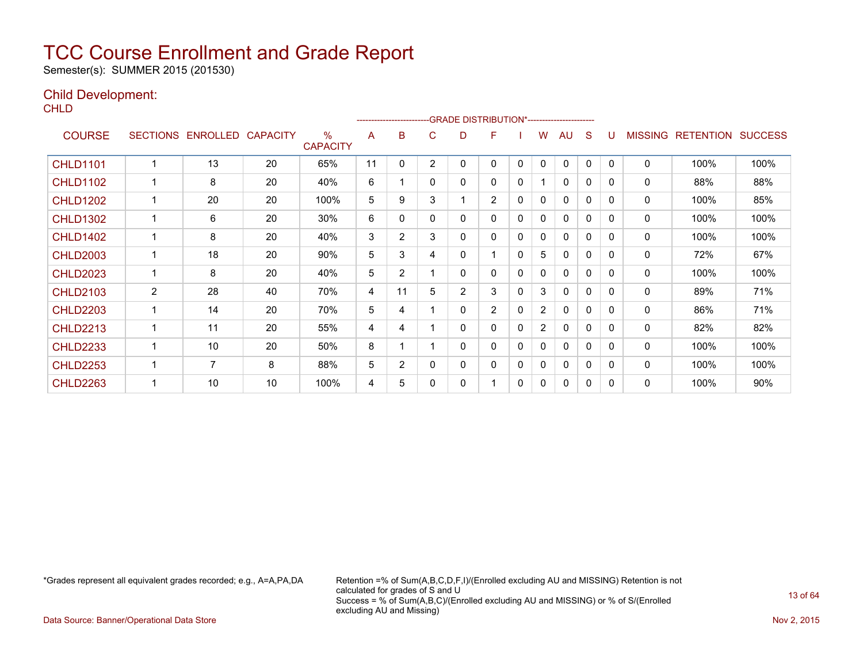Semester(s): SUMMER 2015 (201530)

#### Child Development:

**CHLD** 

| - - - - -       |                 |          |                 |                         |    |                |                | -GRADE DISTRIBUTION*---------------------- |                |          |                |              |              |              |                |                  |                |
|-----------------|-----------------|----------|-----------------|-------------------------|----|----------------|----------------|--------------------------------------------|----------------|----------|----------------|--------------|--------------|--------------|----------------|------------------|----------------|
| <b>COURSE</b>   | <b>SECTIONS</b> | ENROLLED | <b>CAPACITY</b> | $\%$<br><b>CAPACITY</b> | A  | в              | C              | D                                          | F              |          | w              | AU           | S            | U            | <b>MISSING</b> | <b>RETENTION</b> | <b>SUCCESS</b> |
| <b>CHLD1101</b> |                 | 13       | 20              | 65%                     | 11 | $\mathbf{0}$   | $\overline{2}$ | 0                                          | 0              | 0        | $\Omega$       | $\mathbf{0}$ | $\mathbf{0}$ | $\Omega$     | 0              | 100%             | 100%           |
| <b>CHLD1102</b> |                 | 8        | 20              | 40%                     | 6  |                | 0              | 0                                          | 0              | 0        |                | 0            | 0            | 0            | 0              | 88%              | 88%            |
| <b>CHLD1202</b> |                 | 20       | 20              | 100%                    | 5  | 9              | 3              |                                            | $\overline{2}$ | 0        | 0              | 0            | 0            | 0            | 0              | 100%             | 85%            |
| <b>CHLD1302</b> |                 | 6        | 20              | 30%                     | 6  | $\mathbf{0}$   | 0              | 0                                          | 0              | 0        | 0              | 0            | $\mathbf{0}$ | <sup>0</sup> | 0              | 100%             | 100%           |
| <b>CHLD1402</b> |                 | 8        | 20              | 40%                     | 3  | $\overline{2}$ | 3              | 0                                          | 0              | 0        | 0              | $\mathbf{0}$ | 0            | $\Omega$     | 0              | 100%             | 100%           |
| <b>CHLD2003</b> |                 | 18       | 20              | 90%                     | 5  | 3              | 4              | 0                                          |                | $\Omega$ | 5              | 0            | $\mathbf{0}$ | 0            | 0              | 72%              | 67%            |
| <b>CHLD2023</b> |                 | 8        | 20              | 40%                     | 5  | $\overline{2}$ |                | 0                                          | 0              | 0        | 0              | 0            | 0            | 0            | 0              | 100%             | 100%           |
| <b>CHLD2103</b> | 2               | 28       | 40              | 70%                     | 4  | 11             | 5              | 2                                          | 3              | 0        | 3              | $\mathbf{0}$ | 0            | $\Omega$     | 0              | 89%              | 71%            |
| <b>CHLD2203</b> |                 | 14       | 20              | 70%                     | 5  | 4              |                | 0                                          | $\overline{2}$ | 0        | $\overline{2}$ | 0            | 0            | 0            | 0              | 86%              | 71%            |
| <b>CHLD2213</b> |                 | 11       | 20              | 55%                     | 4  | 4              |                | 0                                          | 0              | 0        | $\overline{2}$ | 0            | $\mathbf{0}$ | 0            | 0              | 82%              | 82%            |
| <b>CHLD2233</b> |                 | 10       | 20              | 50%                     | 8  |                |                | 0                                          | 0              | 0        | 0              | 0            | 0            | 0            | 0              | 100%             | 100%           |
| <b>CHLD2253</b> |                 | 7        | 8               | 88%                     | 5  | $\overline{2}$ | 0              | 0                                          | 0              | 0        | 0              | 0            | 0            | <sup>0</sup> | 0              | 100%             | 100%           |
| <b>CHLD2263</b> |                 | 10       | 10              | 100%                    | 4  | 5              | ი              | 0                                          |                | 0        | 0              | 0            | 0            | 0            | 0              | 100%             | 90%            |

\*Grades represent all equivalent grades recorded; e.g., A=A,PA,DA Retention =% of Sum(A,B,C,D,F,I)/(Enrolled excluding AU and MISSING) Retention is not calculated for grades of S and U Success = % of Sum(A,B,C)/(Enrolled excluding AU and MISSING) or % of S/(Enrolled excluding AU and Missing)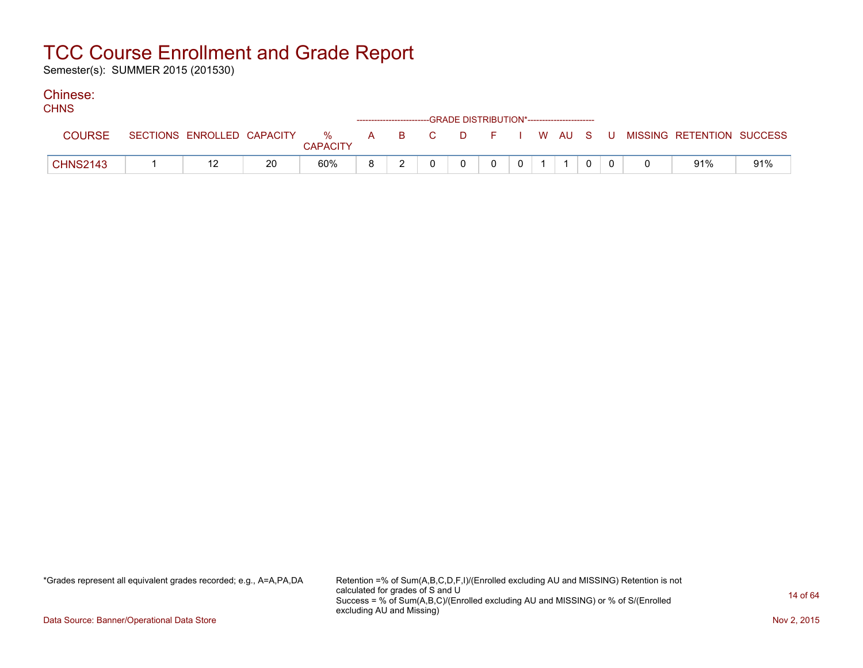Semester(s): SUMMER 2015 (201530)

#### Chinese:  $C$

| <b>CHNS</b>     |                            |    |                 |  | ------------------------GRADE DISTRIBUTION*----------------------- |          |          |                |  |  |                                                  |     |
|-----------------|----------------------------|----|-----------------|--|--------------------------------------------------------------------|----------|----------|----------------|--|--|--------------------------------------------------|-----|
| <b>COURSE</b>   | SECTIONS ENROLLED CAPACITY |    | <b>CAPACITY</b> |  |                                                                    |          |          |                |  |  | % A B C D F I W AU S U MISSING—RETENTION SUCCESS |     |
| <b>CHNS2143</b> |                            | 20 | 60%             |  | $\Omega$                                                           | $\Omega$ | $\Omega$ | 0 <sup>1</sup> |  |  | 91%                                              | 91% |

\*Grades represent all equivalent grades recorded; e.g., A=A,PA,DA Retention =% of Sum(A,B,C,D,F,I)/(Enrolled excluding AU and MISSING) Retention is not calculated for grades of S and U Success = % of Sum(A,B,C)/(Enrolled excluding AU and MISSING) or % of S/(Enrolled excluding AU and Missing)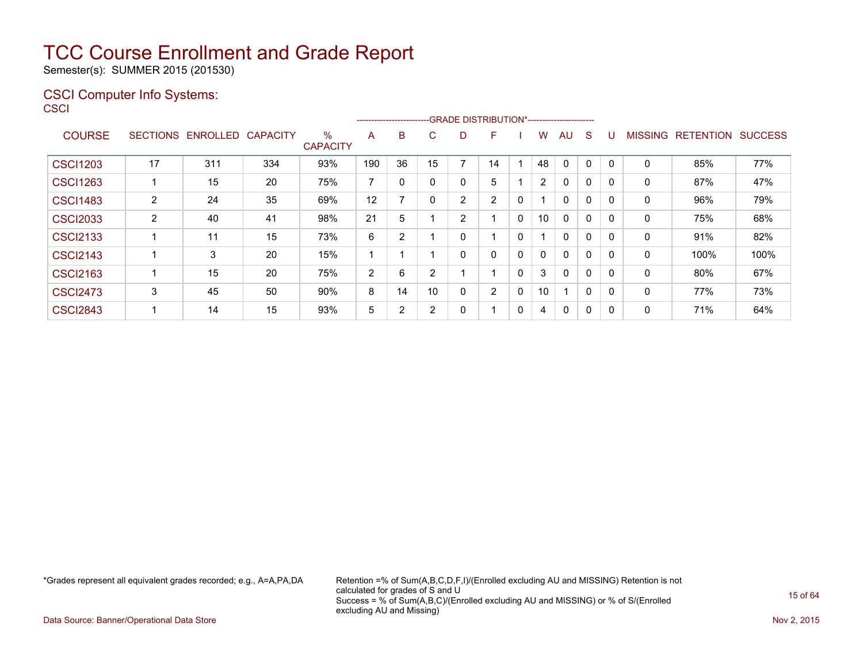Semester(s): SUMMER 2015 (201530)

#### CSCI Computer Info Systems: **CSCI**

|                 |                 |          |                 |                         |     |    |        |                | --------------------------GRADE DISTRIBUTION*----------------------- |              |                |              |              |          |                |                  |                |
|-----------------|-----------------|----------|-----------------|-------------------------|-----|----|--------|----------------|----------------------------------------------------------------------|--------------|----------------|--------------|--------------|----------|----------------|------------------|----------------|
| <b>COURSE</b>   | <b>SECTIONS</b> | ENROLLED | <b>CAPACITY</b> | $\%$<br><b>CAPACITY</b> | A   | B  | C.     | D              | F                                                                    |              | w              | AU           | S            |          | <b>MISSING</b> | <b>RETENTION</b> | <b>SUCCESS</b> |
| <b>CSCI1203</b> | 17              | 311      | 334             | 93%                     | 190 | 36 | 15     | ⇁              | 14                                                                   |              | 48             | $\Omega$     | 0            | $\Omega$ | 0              | 85%              | 77%            |
| <b>CSCI1263</b> |                 | 15       | 20              | 75%                     | 7   | 0  |        | 0              | 5                                                                    |              | $\overline{2}$ | 0            | 0            | $\Omega$ | 0              | 87%              | 47%            |
| <b>CSCI1483</b> | 2               | 24       | 35              | 69%                     | 12  | 7  |        | $\overline{2}$ | 2                                                                    | $\mathbf{0}$ |                | $\mathbf{0}$ | $\Omega$     |          | 0              | 96%              | 79%            |
| <b>CSCI2033</b> | 2               | 40       | 41              | 98%                     | 21  | 5  |        | 2              |                                                                      | 0            | 10             | $\mathbf{0}$ | $\mathbf{0}$ | $\Omega$ | 0              | 75%              | 68%            |
| <b>CSCI2133</b> |                 | 11       | 15              | 73%                     | 6   | 2  |        | 0              |                                                                      | 0            |                | $\mathbf{0}$ | $\Omega$     | $\Omega$ | 0              | 91%              | 82%            |
| <b>CSCI2143</b> |                 | 3        | 20              | 15%                     |     |    |        | 0              | 0                                                                    | 0            | 0              | $\mathbf{0}$ | $\Omega$     |          | 0              | 100%             | 100%           |
| <b>CSCI2163</b> |                 | 15       | 20              | 75%                     | 2   | 6  | ົ      |                |                                                                      | 0            | 3              | $\mathbf{0}$ | $\Omega$     | $\Omega$ | 0              | 80%              | 67%            |
| <b>CSCI2473</b> | 3               | 45       | 50              | 90%                     | 8   | 14 | 10     | 0              | $\overline{2}$                                                       | 0            | 10             | -1           | $\mathbf{0}$ | $\Omega$ | 0              | 77%              | 73%            |
| <b>CSCI2843</b> |                 | 14       | 15              | 93%                     | 5   | 2  | $\sim$ | 0              |                                                                      | 0            | 4              | $\mathbf{0}$ | 0            |          | 0              | 71%              | 64%            |

\*Grades represent all equivalent grades recorded; e.g., A=A,PA,DA Retention =% of Sum(A,B,C,D,F,I)/(Enrolled excluding AU and MISSING) Retention is not calculated for grades of S and U Success = % of Sum(A,B,C)/(Enrolled excluding AU and MISSING) or % of S/(Enrolled excluding AU and Missing)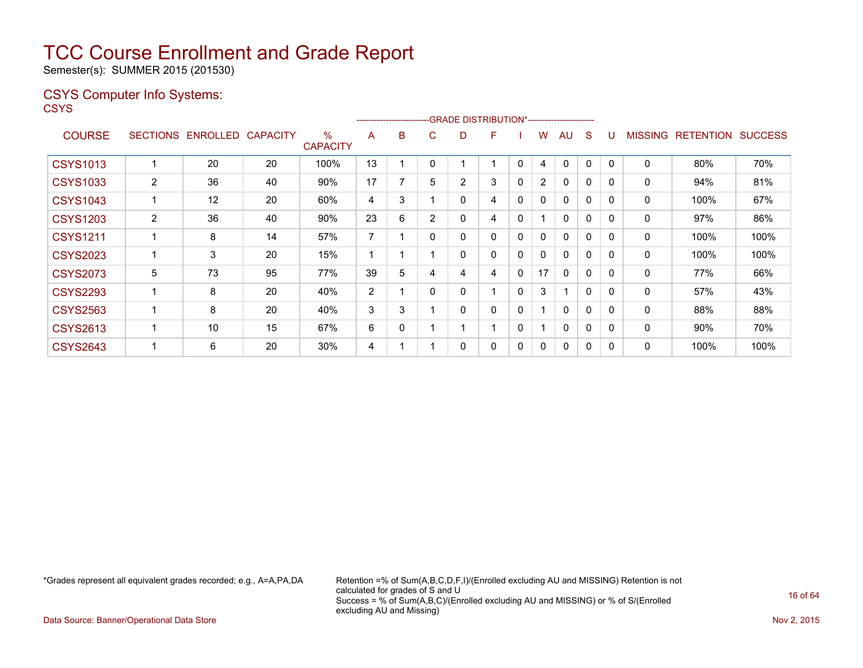Semester(s): SUMMER 2015 (201530)

#### CSYS Computer Info Systems:

**CSYS** 

|                 |                 |                 |          |                         |    |   |                |                | -------------------------GRADE                DISTRIBUTION*---------------------- |              |                |              |              |              |                |                  |                |
|-----------------|-----------------|-----------------|----------|-------------------------|----|---|----------------|----------------|-----------------------------------------------------------------------------------|--------------|----------------|--------------|--------------|--------------|----------------|------------------|----------------|
| <b>COURSE</b>   | <b>SECTIONS</b> | <b>ENROLLED</b> | CAPACITY | $\%$<br><b>CAPACITY</b> | A  | B | C.             | D              | F                                                                                 |              | w              | AU           | S            |              | <b>MISSING</b> | <b>RETENTION</b> | <b>SUCCESS</b> |
| <b>CSYS1013</b> |                 | 20              | 20       | 100%                    | 13 |   |                |                |                                                                                   | 0            | 4              | 0            | 0            |              | 0              | 80%              | 70%            |
| <b>CSYS1033</b> | $\overline{2}$  | 36              | 40       | 90%                     | 17 |   | 5              | $\overline{2}$ | 3                                                                                 | 0            | $\overline{2}$ | 0            | 0            | 0            | 0              | 94%              | 81%            |
| <b>CSYS1043</b> |                 | 12              | 20       | 60%                     | 4  | 3 |                | 0              | 4                                                                                 | 0            | $\mathbf{0}$   | $\mathbf{0}$ | $\mathbf{0}$ | $\Omega$     | $\mathbf{0}$   | 100%             | 67%            |
| <b>CSYS1203</b> | 2               | 36              | 40       | 90%                     | 23 | 6 | $\overline{2}$ | 0              | 4                                                                                 | $\mathbf{0}$ |                | $\Omega$     | $\mathbf{0}$ | $\Omega$     | 0              | 97%              | 86%            |
| <b>CSYS1211</b> |                 | 8               | 14       | 57%                     | 7  |   | 0              | 0              | 0                                                                                 | 0            | 0              | 0            | $\mathbf{0}$ | 0            | 0              | 100%             | 100%           |
| <b>CSYS2023</b> |                 | 3               | 20       | 15%                     |    |   |                | 0              | 0                                                                                 | 0            | 0              | 0            | $\mathbf 0$  | $\Omega$     | 0              | 100%             | 100%           |
| <b>CSYS2073</b> | 5               | 73              | 95       | 77%                     | 39 | 5 | 4              | 4              | 4                                                                                 | 0            | 17             | 0            | $\mathbf{0}$ | <sup>0</sup> | 0              | 77%              | 66%            |
| <b>CSYS2293</b> |                 | 8               | 20       | 40%                     | 2  |   | 0              | 0              |                                                                                   | 0            | 3              | 1            | 0            | $\Omega$     | 0              | 57%              | 43%            |
| <b>CSYS2563</b> |                 | 8               | 20       | 40%                     | 3  | 3 |                | $\Omega$       | 0                                                                                 | 0            |                | $\mathbf{0}$ | $\Omega$     | $\Omega$     | $\Omega$       | 88%              | 88%            |
| <b>CSYS2613</b> |                 | 10              | 15       | 67%                     | 6  | 0 |                |                |                                                                                   | $\mathbf{0}$ |                | $\Omega$     | $\mathbf{0}$ | $\Omega$     | 0              | 90%              | 70%            |
| <b>CSYS2643</b> |                 | 6               | 20       | 30%                     | 4  |   |                | 0              | 0                                                                                 | 0            | 0              | $\mathbf{0}$ | 0            | 0            | 0              | 100%             | 100%           |

\*Grades represent all equivalent grades recorded; e.g., A=A,PA,DA Retention =% of Sum(A,B,C,D,F,I)/(Enrolled excluding AU and MISSING) Retention is not calculated for grades of S and U Success = % of Sum(A,B,C)/(Enrolled excluding AU and MISSING) or % of S/(Enrolled excluding AU and Missing)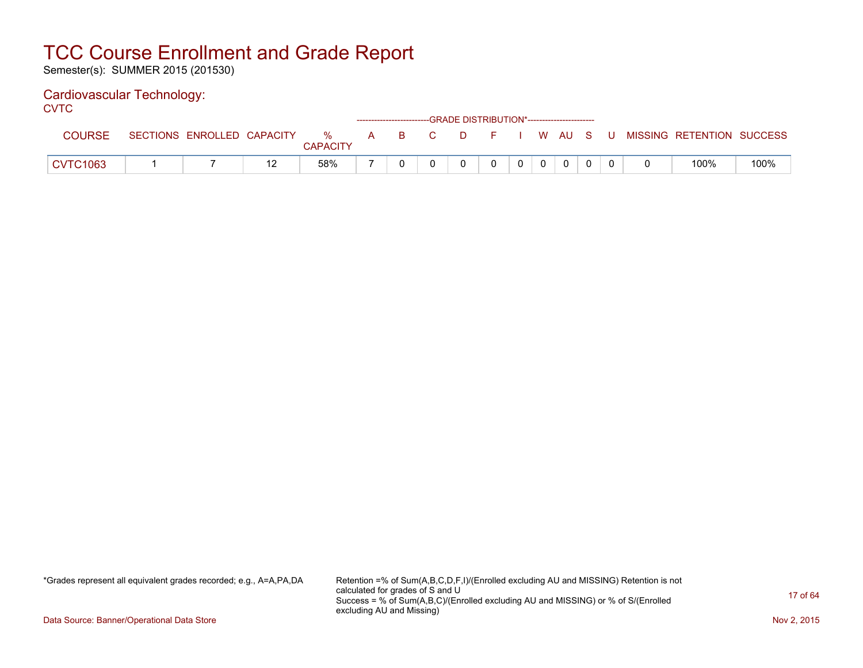Semester(s): SUMMER 2015 (201530)

#### Cardiovascular Technology:

**CVTC** 

|                 |                            |                      |   |    |                | ------------------------GRADE DISTRIBUTION*----------------------- |  |                |      |     |       |                           |      |
|-----------------|----------------------------|----------------------|---|----|----------------|--------------------------------------------------------------------|--|----------------|------|-----|-------|---------------------------|------|
| <b>COURSE</b>   | SECTIONS ENROLLED CAPACITY | %<br><b>CAPACITY</b> | A | B. | $\overline{C}$ | $\Box$ $\Box$ $\Box$                                               |  |                | W AU | - S | - U - | MISSING RETENTION SUCCESS |      |
| <b>CVTC1063</b> |                            | 58%                  |   |    |                |                                                                    |  | $\overline{0}$ | 0    |     |       | 100%                      | 100% |

\*Grades represent all equivalent grades recorded; e.g., A=A,PA,DA Retention =% of Sum(A,B,C,D,F,I)/(Enrolled excluding AU and MISSING) Retention is not calculated for grades of S and U Success = % of Sum(A,B,C)/(Enrolled excluding AU and MISSING) or % of S/(Enrolled excluding AU and Missing)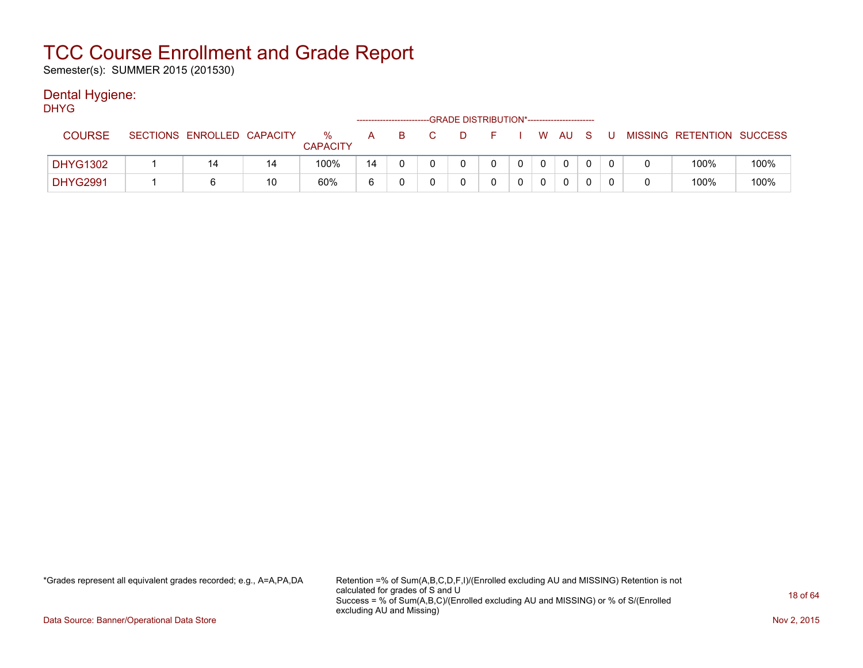Semester(s): SUMMER 2015 (201530)

#### Dental Hygiene:

| <b>DHYG</b>     |                            |    |                         |              |    | -GRADE DISTRIBUTION*----------------------- |              |          |                |          |     |                           |      |
|-----------------|----------------------------|----|-------------------------|--------------|----|---------------------------------------------|--------------|----------|----------------|----------|-----|---------------------------|------|
| <b>COURSE</b>   | SECTIONS ENROLLED CAPACITY |    | $\%$<br><b>CAPACITY</b> | $\mathsf{A}$ | B. | - D                                         | - F -        |          |                | I W AU S | - U | MISSING RETENTION SUCCESS |      |
| <b>DHYG1302</b> | 14                         | 14 | 100%                    | 14           |    | <sup>n</sup>                                | $\mathbf{0}$ | $\Omega$ | $\overline{0}$ | $\Omega$ |     | 100%                      | 100% |
| <b>DHYG2991</b> |                            | 10 | 60%                     | 6            |    |                                             |              |          |                | 0        |     | 100%                      | 100% |

\*Grades represent all equivalent grades recorded; e.g., A=A,PA,DA Retention =% of Sum(A,B,C,D,F,I)/(Enrolled excluding AU and MISSING) Retention is not calculated for grades of S and U Success = % of Sum(A,B,C)/(Enrolled excluding AU and MISSING) or % of S/(Enrolled excluding AU and Missing)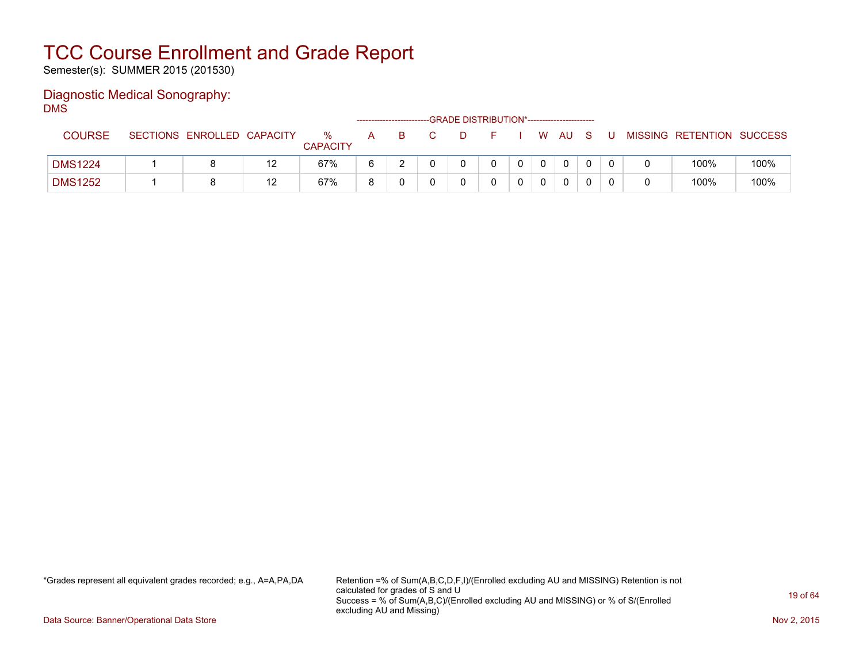Semester(s): SUMMER 2015 (201530)

#### Diagnostic Medical Sonography: DMS

|                |                            |    |                      |   |  | -GRADE DISTRIBUTION*----------------------- |  |      |   |                           |      |
|----------------|----------------------------|----|----------------------|---|--|---------------------------------------------|--|------|---|---------------------------|------|
| <b>COURSE</b>  | SECTIONS ENROLLED CAPACITY |    | %<br><b>CAPACITY</b> | A |  |                                             |  | W AU | U | MISSING RETENTION SUCCESS |      |
| <b>DMS1224</b> |                            |    | 67%                  |   |  |                                             |  | 0    |   | 100%                      | 100% |
| <b>DMS1252</b> |                            | 12 | 67%                  |   |  |                                             |  | 0    |   | 100%                      | 100% |

\*Grades represent all equivalent grades recorded; e.g., A=A,PA,DA Retention =% of Sum(A,B,C,D,F,I)/(Enrolled excluding AU and MISSING) Retention is not calculated for grades of S and U Success = % of Sum(A,B,C)/(Enrolled excluding AU and MISSING) or % of S/(Enrolled excluding AU and Missing)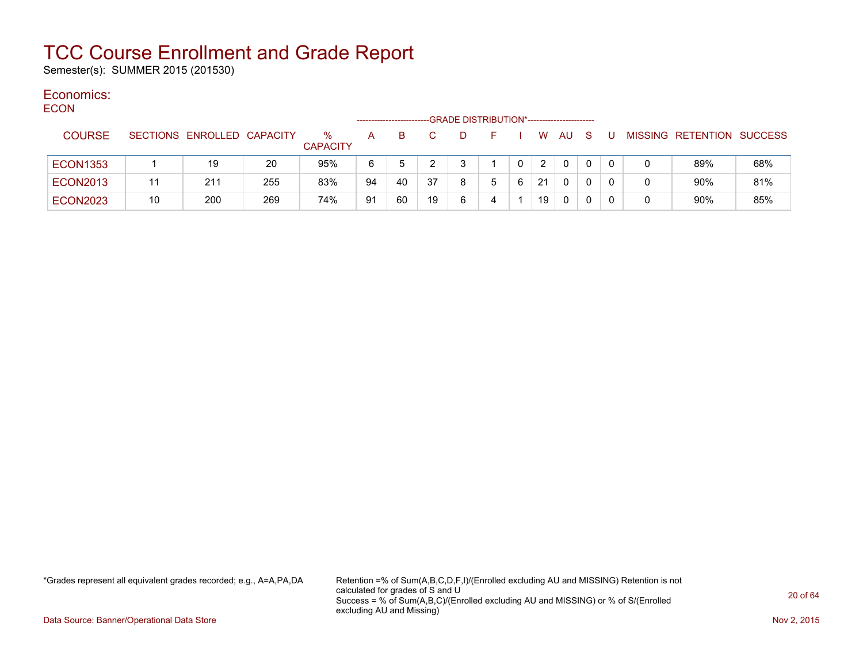Semester(s): SUMMER 2015 (201530)

#### Economics: ECON

| <b>ECON</b>     |    |                            |     |                         | ---------------- |    |    | -GRADE DISTRIBUTION*----------------------- |    |   |    |    |     |   |   |                                  |     |
|-----------------|----|----------------------------|-----|-------------------------|------------------|----|----|---------------------------------------------|----|---|----|----|-----|---|---|----------------------------------|-----|
| <b>COURSE</b>   |    | SECTIONS ENROLLED CAPACITY |     | $\%$<br><b>CAPACITY</b> | A                | B. |    | D                                           | н. |   | W  | AU | - S | U |   | <b>MISSING RETENTION SUCCESS</b> |     |
| <b>ECON1353</b> |    | 19                         | 20  | 95%                     | 6                |    |    |                                             |    |   | 2  | 0  |     |   |   | 89%                              | 68% |
| <b>ECON2013</b> | 11 | 211                        | 255 | 83%                     | 94               | 40 | 37 | 8                                           | 5  | 6 | 21 | 0  |     | 0 | 0 | 90%                              | 81% |
| <b>ECON2023</b> | 10 | 200                        | 269 | 74%                     | 91               | 60 | 19 | 6                                           | 4  |   | 19 | 0  |     | 0 | 0 | 90%                              | 85% |

\*Grades represent all equivalent grades recorded; e.g., A=A,PA,DA Retention =% of Sum(A,B,C,D,F,I)/(Enrolled excluding AU and MISSING) Retention is not calculated for grades of S and U Success = % of Sum(A,B,C)/(Enrolled excluding AU and MISSING) or % of S/(Enrolled excluding AU and Missing)

Data Source: Banner/Operational Data Store Nov 2, 2015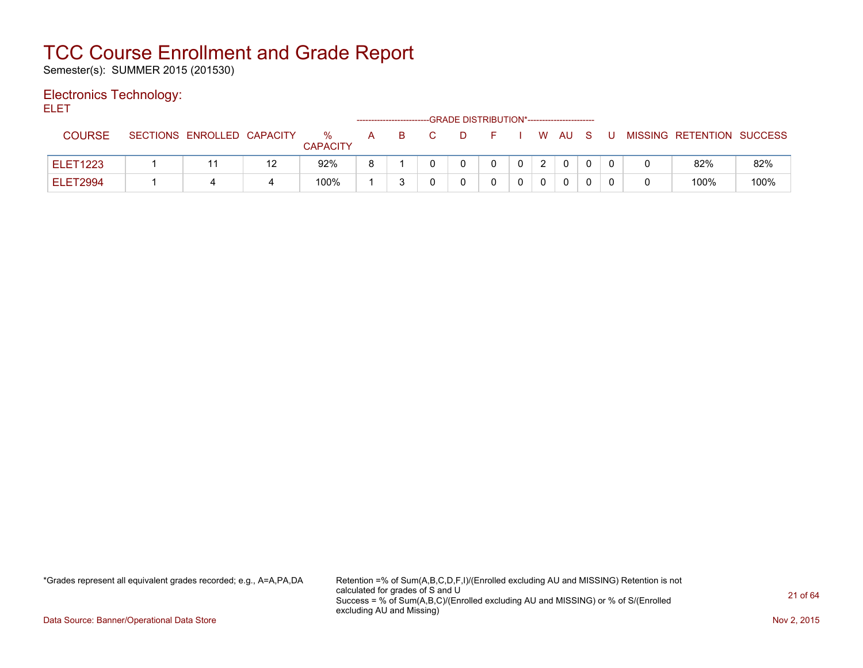Semester(s): SUMMER 2015 (201530)

#### Electronics Technology:

ELET

|                 |                            |    |                      |   |    | ------------------------GRADE DISTRIBUTION*----------------------- |  |    |      |     |   |                           |      |
|-----------------|----------------------------|----|----------------------|---|----|--------------------------------------------------------------------|--|----|------|-----|---|---------------------------|------|
| COURSE          | SECTIONS ENROLLED CAPACITY |    | ℅<br><b>CAPACITY</b> | A | B. | D                                                                  |  | W. | - AU | - S | U | MISSING RETENTION SUCCESS |      |
| <b>ELET1223</b> |                            | 12 | 92%                  |   |    |                                                                    |  |    |      |     |   | 82%                       | 82%  |
| ELET2994        |                            |    | 100%                 |   |    |                                                                    |  |    |      |     |   | 100%                      | 100% |

\*Grades represent all equivalent grades recorded; e.g., A=A,PA,DA Retention =% of Sum(A,B,C,D,F,I)/(Enrolled excluding AU and MISSING) Retention is not calculated for grades of S and U Success = % of Sum(A,B,C)/(Enrolled excluding AU and MISSING) or % of S/(Enrolled excluding AU and Missing)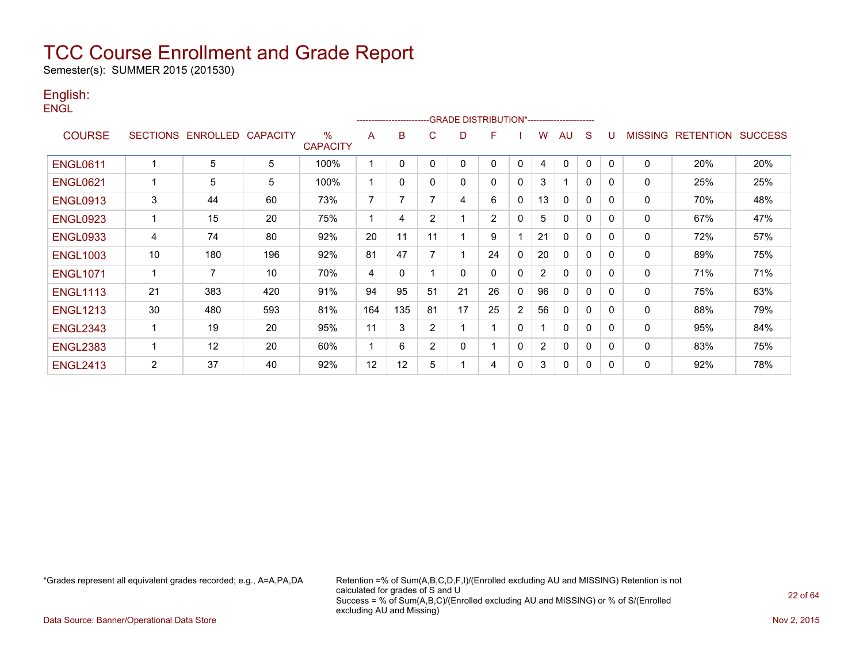Semester(s): SUMMER 2015 (201530)

#### English: **ENGL**

|                 |                 |                |                 |                                  |                | ---------------------- |                | -GRADE DISTRIBUTION*----------------------- |                |                |                |              |              |              |                |                  |                |
|-----------------|-----------------|----------------|-----------------|----------------------------------|----------------|------------------------|----------------|---------------------------------------------|----------------|----------------|----------------|--------------|--------------|--------------|----------------|------------------|----------------|
| <b>COURSE</b>   | <b>SECTIONS</b> | ENROLLED       | <b>CAPACITY</b> | $\frac{9}{6}$<br><b>CAPACITY</b> | A              | B                      | C              | D                                           | F              |                | W              | AU           | S            | U            | <b>MISSING</b> | <b>RETENTION</b> | <b>SUCCESS</b> |
| <b>ENGL0611</b> |                 | 5              | 5               | 100%                             |                | $\mathbf{0}$           | 0              | 0                                           | 0              | $\mathbf{0}$   | 4              | $\mathbf{0}$ | $\mathbf{0}$ | $\Omega$     | 0              | 20%              | 20%            |
| <b>ENGL0621</b> |                 | 5              | 5               | 100%                             | 1              | 0                      | 0              | 0                                           | 0              | $\mathbf{0}$   | 3              | 1            | $\mathbf 0$  | <sup>0</sup> | 0              | 25%              | 25%            |
| <b>ENGL0913</b> | 3               | 44             | 60              | 73%                              | $\overline{7}$ | 7                      |                | 4                                           | 6              | $\mathbf{0}$   | 13             | $\mathbf{0}$ | $\mathbf{0}$ | $\Omega$     | 0              | 70%              | 48%            |
| <b>ENGL0923</b> |                 | 15             | 20              | 75%                              |                | 4                      | $\overline{2}$ |                                             | $\overline{2}$ | $\mathbf{0}$   | 5              | $\mathbf{0}$ | $\mathbf{0}$ | $\Omega$     | 0              | 67%              | 47%            |
| <b>ENGL0933</b> | 4               | 74             | 80              | 92%                              | 20             | 11                     | 11             |                                             | 9              |                | 21             | $\Omega$     | $\mathbf{0}$ | <sup>0</sup> | 0              | 72%              | 57%            |
| <b>ENGL1003</b> | 10              | 180            | 196             | 92%                              | 81             | 47                     |                |                                             | 24             | $\mathbf{0}$   | 20             | 0            | $\mathbf{0}$ | <sup>0</sup> | 0              | 89%              | 75%            |
| <b>ENGL1071</b> | 1               | $\overline{7}$ | 10              | 70%                              | 4              | $\mathbf{0}$           |                | 0                                           | 0              | $\mathbf{0}$   | $\overline{2}$ | $\Omega$     | $\mathbf{0}$ | 0            | 0              | 71%              | 71%            |
| <b>ENGL1113</b> | 21              | 383            | 420             | 91%                              | 94             | 95                     | 51             | 21                                          | 26             | $\mathbf{0}$   | 96             | 0            | $\Omega$     | <sup>0</sup> | 0              | 75%              | 63%            |
| <b>ENGL1213</b> | 30              | 480            | 593             | 81%                              | 164            | 135                    | 81             | 17                                          | 25             | $\overline{2}$ | 56             | 0            | $\mathbf{0}$ | <sup>0</sup> | 0              | 88%              | 79%            |
| <b>ENGL2343</b> | 1               | 19             | 20              | 95%                              | 11             | 3                      | $\overline{2}$ |                                             | 1              | $\mathbf{0}$   |                | 0            | $\mathbf{0}$ | $\Omega$     | 0              | 95%              | 84%            |
| <b>ENGL2383</b> | 1               | 12             | 20              | 60%                              | 1              | 6                      | $\overline{2}$ | 0                                           |                | $\Omega$       | $\overline{2}$ | 0            | $\Omega$     | <sup>0</sup> | 0              | 83%              | 75%            |
| <b>ENGL2413</b> | $\overline{2}$  | 37             | 40              | 92%                              | 12             | 12                     | 5              |                                             | 4              | 0              | 3              | 0            | 0            | <sup>0</sup> | 0              | 92%              | 78%            |

\*Grades represent all equivalent grades recorded; e.g., A=A,PA,DA Retention =% of Sum(A,B,C,D,F,I)/(Enrolled excluding AU and MISSING) Retention is not calculated for grades of S and U Success = % of Sum(A,B,C)/(Enrolled excluding AU and MISSING) or % of S/(Enrolled excluding AU and Missing)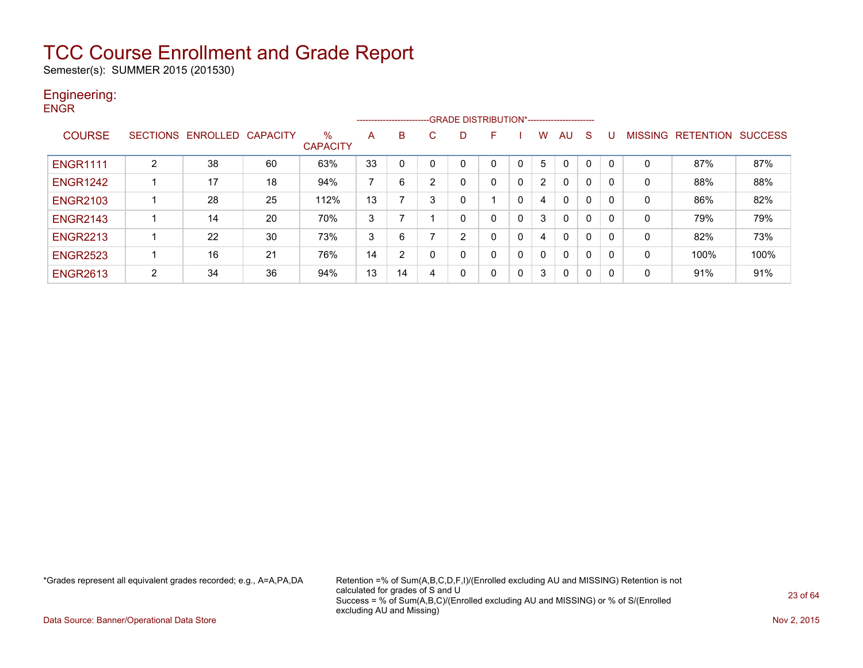Semester(s): SUMMER 2015 (201530)

#### Engineering: **ENGR**

|                 |   |                            |    |                      |                |                |    |   | ------------------------GRADE DISTRIBUTION*----------------------- |             |                |              |              |   |         |                  |                |
|-----------------|---|----------------------------|----|----------------------|----------------|----------------|----|---|--------------------------------------------------------------------|-------------|----------------|--------------|--------------|---|---------|------------------|----------------|
| <b>COURSE</b>   |   | SECTIONS ENROLLED CAPACITY |    | %<br><b>CAPACITY</b> | A              | B              | C. | D | F                                                                  |             | w              | AU           | <sub>S</sub> | U | MISSING | <b>RETENTION</b> | <b>SUCCESS</b> |
| <b>ENGR1111</b> | 2 | 38                         | 60 | 63%                  | 33             | $\Omega$       | 0  |   |                                                                    | 0           | 5.             | $\Omega$     |              | 0 | 0       | 87%              | 87%            |
| <b>ENGR1242</b> |   | 17                         | 18 | 94%                  | $\overline{7}$ | 6              | 2  | 0 | 0                                                                  | 0           | $\overline{2}$ | 0            | 0            | 0 | 0       | 88%              | 88%            |
| <b>ENGR2103</b> |   | 28                         | 25 | 112%                 | 13             |                | 3  |   |                                                                    | $\mathbf 0$ | 4              | $\mathbf{0}$ | 0            | 0 | 0       | 86%              | 82%            |
| <b>ENGR2143</b> |   | 14                         | 20 | 70%                  | 3              |                |    | 0 | 0                                                                  | 0           | 3              | $\mathbf{0}$ | $\mathbf{0}$ | 0 | 0       | 79%              | 79%            |
| <b>ENGR2213</b> |   | 22                         | 30 | 73%                  | 3              | 6              |    | 2 | 0                                                                  | 0           | 4              | $\mathbf{0}$ | 0            | 0 | 0       | 82%              | 73%            |
| <b>ENGR2523</b> |   | 16                         | 21 | 76%                  | 14             | $\overline{2}$ | 0  | 0 | 0                                                                  | 0           | <sup>0</sup>   | $\mathbf{0}$ | 0            | 0 | 0       | 100%             | 100%           |
| <b>ENGR2613</b> | 2 | 34                         | 36 | 94%                  | 13             | 14             | 4  | 0 | 0                                                                  | 0           | 3              | 0            | 0            | 0 | 0       | 91%              | 91%            |

\*Grades represent all equivalent grades recorded; e.g., A=A,PA,DA Retention =% of Sum(A,B,C,D,F,I)/(Enrolled excluding AU and MISSING) Retention is not calculated for grades of S and U Success = % of Sum(A,B,C)/(Enrolled excluding AU and MISSING) or % of S/(Enrolled excluding AU and Missing)

Data Source: Banner/Operational Data Store Nov 2, 2015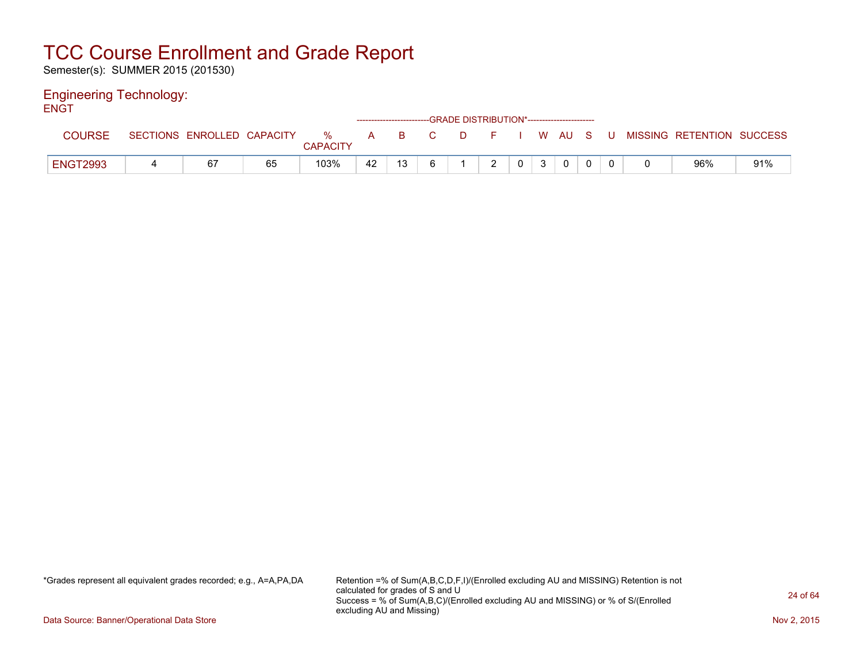Semester(s): SUMMER 2015 (201530)

#### Engineering Technology: ENGT

| --- |                 |                            |    |                      |    |    |       | ------------------------GRADE DISTRIBUTION*----------------------- |                |              |                |  |                                          |     |
|-----|-----------------|----------------------------|----|----------------------|----|----|-------|--------------------------------------------------------------------|----------------|--------------|----------------|--|------------------------------------------|-----|
|     | <b>COURSE</b>   | SECTIONS ENROLLED CAPACITY |    | %<br><b>CAPACITY</b> |    |    | A B C |                                                                    |                |              |                |  | D F I W AU S U MISSING RETENTION SUCCESS |     |
|     | <b>ENGT2993</b> | 67                         | 65 | 103%                 | 42 | 13 |       | $\mathcal{D}$                                                      | 0 <sup>1</sup> | $\mathbf{3}$ | $\overline{0}$ |  | 96%                                      | 91% |

\*Grades represent all equivalent grades recorded; e.g., A=A,PA,DA Retention =% of Sum(A,B,C,D,F,I)/(Enrolled excluding AU and MISSING) Retention is not calculated for grades of S and U Success = % of Sum(A,B,C)/(Enrolled excluding AU and MISSING) or % of S/(Enrolled excluding AU and Missing)

Data Source: Banner/Operational Data Store Nov 2, 2015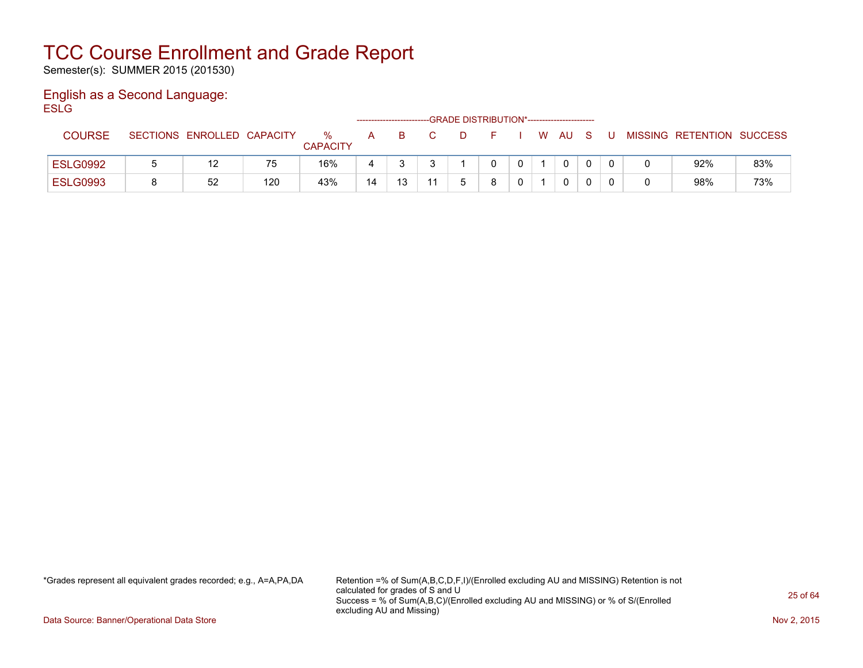Semester(s): SUMMER 2015 (201530)

#### English as a Second Language: **ESLG**

|                 |                            |     |                      |    | -------------------------- |  | -GRADE DISTRIBUTION*----------------------- |          |      |     |   |                           |     |
|-----------------|----------------------------|-----|----------------------|----|----------------------------|--|---------------------------------------------|----------|------|-----|---|---------------------------|-----|
| <b>COURSE</b>   | SECTIONS ENROLLED CAPACITY |     | %<br><b>CAPACITY</b> | A  | -B                         |  |                                             | <b>W</b> | AU - | - S | U | MISSING RETENTION SUCCESS |     |
| <b>ESLG0992</b> | 12                         | 75  | 16%                  | 4  |                            |  |                                             |          | 0    | 0   |   | 92%                       | 83% |
| <b>ESLG0993</b> | 52                         | 120 | 43%                  | 14 | 12                         |  |                                             |          | 0    |     |   | 98%                       | 73% |

\*Grades represent all equivalent grades recorded; e.g., A=A,PA,DA Retention =% of Sum(A,B,C,D,F,I)/(Enrolled excluding AU and MISSING) Retention is not calculated for grades of S and U Success = % of Sum(A,B,C)/(Enrolled excluding AU and MISSING) or % of S/(Enrolled excluding AU and Missing)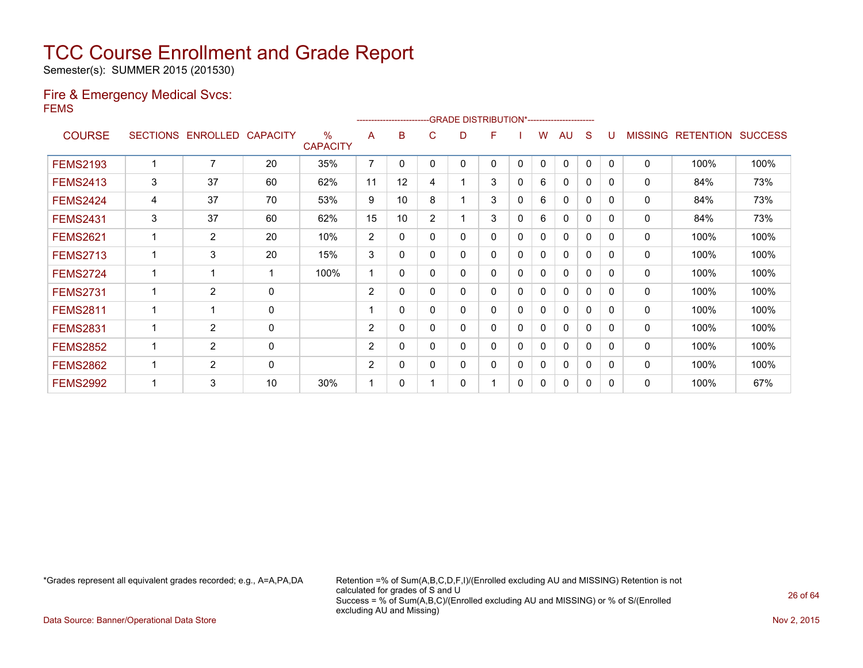Semester(s): SUMMER 2015 (201530)

#### Fire & Emergency Medical Svcs: FEMS

|                 |   |                   |                 |                                  |                |              |                | -GRADE DISTRIBUTION*----------------------- |   |          |          |              |          |              |                |                  |                |
|-----------------|---|-------------------|-----------------|----------------------------------|----------------|--------------|----------------|---------------------------------------------|---|----------|----------|--------------|----------|--------------|----------------|------------------|----------------|
| <b>COURSE</b>   |   | SECTIONS ENROLLED | <b>CAPACITY</b> | $\frac{0}{0}$<br><b>CAPACITY</b> | A              | B            | C              | D                                           | F |          | w        | AU           | S        |              | <b>MISSING</b> | <b>RETENTION</b> | <b>SUCCESS</b> |
| <b>FEMS2193</b> |   | 7                 | 20              | 35%                              | $\overline{7}$ | 0            | 0              | 0                                           | 0 | 0        | 0        | 0            | 0        | $\Omega$     | 0              | 100%             | 100%           |
| <b>FEMS2413</b> | 3 | 37                | 60              | 62%                              | 11             | 12           | 4              |                                             | 3 | 0        | 6        | $\mathbf{0}$ | 0        | 0            | 0              | 84%              | 73%            |
| <b>FEMS2424</b> | 4 | 37                | 70              | 53%                              | 9              | 10           | 8              |                                             | 3 | 0        | 6        | 0            | 0        | 0            | 0              | 84%              | 73%            |
| <b>FEMS2431</b> | 3 | 37                | 60              | 62%                              | 15             | 10           | $\overline{2}$ |                                             | 3 | 0        | 6        | 0            | $\Omega$ | 0            | 0              | 84%              | 73%            |
| <b>FEMS2621</b> |   | $\overline{2}$    | 20              | 10%                              | 2              | 0            | 0              | 0                                           | 0 | 0        | 0        | $\Omega$     | 0        | 0            | 0              | 100%             | 100%           |
| <b>FEMS2713</b> |   | 3                 | 20              | 15%                              | 3              | 0            | 0              | 0                                           | 0 | $\Omega$ | 0        | 0            | $\Omega$ | 0            | 0              | 100%             | 100%           |
| <b>FEMS2724</b> |   | 1                 | 1               | 100%                             |                | $\mathbf{0}$ | 0              | 0                                           | 0 | 0        | 0        | $\mathbf{0}$ | $\Omega$ | <sup>0</sup> | 0              | 100%             | 100%           |
| <b>FEMS2731</b> |   | $\overline{2}$    | 0               |                                  | $\overline{2}$ | 0            | 0              | 0                                           | 0 | 0        | 0        | 0            | $\Omega$ | 0            | 0              | 100%             | 100%           |
| <b>FEMS2811</b> |   | 1                 | $\mathbf 0$     |                                  |                | $\Omega$     | 0              | 0                                           | 0 | 0        | 0        | $\Omega$     | 0        | 0            | 0              | 100%             | 100%           |
| <b>FEMS2831</b> |   | $\overline{2}$    | 0               |                                  | $\overline{2}$ | 0            | 0              | 0                                           | 0 | 0        | 0        | 0            | 0        | 0            | 0              | 100%             | 100%           |
| <b>FEMS2852</b> |   | $\overline{2}$    | 0               |                                  | 2              | 0            | 0              | 0                                           | 0 | 0        | $\Omega$ | 0            | $\Omega$ | 0            | 0              | 100%             | 100%           |
| <b>FEMS2862</b> |   | $\overline{2}$    | 0               |                                  | $\overline{2}$ | 0            | 0              | 0                                           | 0 | 0        | $\Omega$ | $\mathbf{0}$ | 0        | 0            | 0              | 100%             | 100%           |
| <b>FEMS2992</b> |   | 3                 | 10              | 30%                              |                | 0            |                | 0                                           |   | 0        | 0        | 0            | 0        | 0            | 0              | 100%             | 67%            |

\*Grades represent all equivalent grades recorded; e.g., A=A,PA,DA Retention =% of Sum(A,B,C,D,F,I)/(Enrolled excluding AU and MISSING) Retention is not calculated for grades of S and U Success = % of Sum(A,B,C)/(Enrolled excluding AU and MISSING) or % of S/(Enrolled excluding AU and Missing)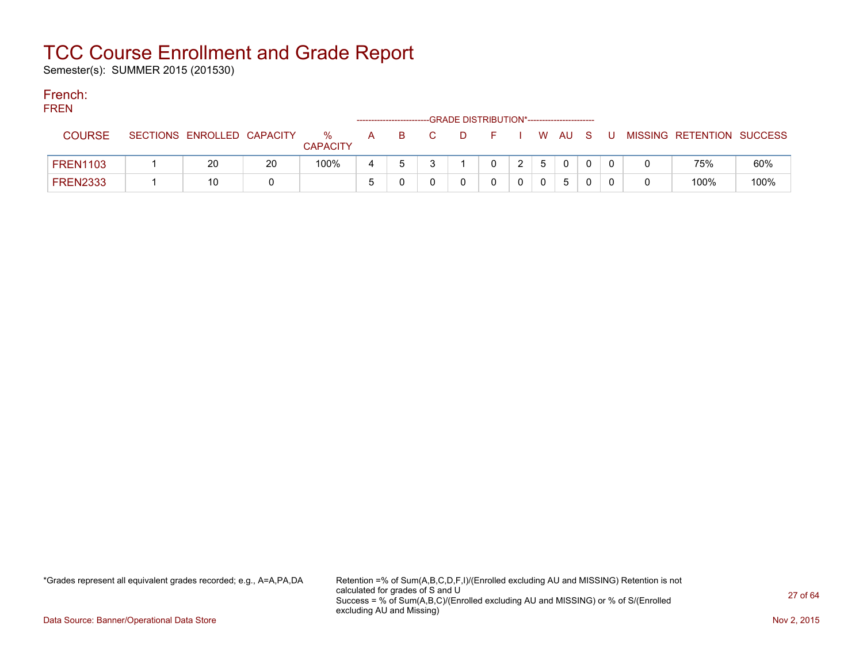Semester(s): SUMMER 2015 (201530)

#### French: FREN

| FREN            |                            |    |                      |    |                | ------------------------GRADE DISTRIBUTION*----------------------- |  |       |          |   |                           |      |
|-----------------|----------------------------|----|----------------------|----|----------------|--------------------------------------------------------------------|--|-------|----------|---|---------------------------|------|
| <b>COURSE</b>   | SECTIONS ENROLLED CAPACITY |    | %<br><b>CAPACITY</b> | A. | $\overline{B}$ |                                                                    |  |       | I WAUS   | U | MISSING RETENTION SUCCESS |      |
| <b>FREN1103</b> | 20                         | 20 | 100%                 |    |                |                                                                    |  | $5 -$ | $\Omega$ |   | 75%                       | 60%  |
| <b>FREN2333</b> | 10                         |    |                      |    |                |                                                                    |  |       | 5        |   | 100%                      | 100% |

\*Grades represent all equivalent grades recorded; e.g., A=A,PA,DA Retention =% of Sum(A,B,C,D,F,I)/(Enrolled excluding AU and MISSING) Retention is not calculated for grades of S and U Success = % of Sum(A,B,C)/(Enrolled excluding AU and MISSING) or % of S/(Enrolled excluding AU and Missing)

Data Source: Banner/Operational Data Store Nov 2, 2015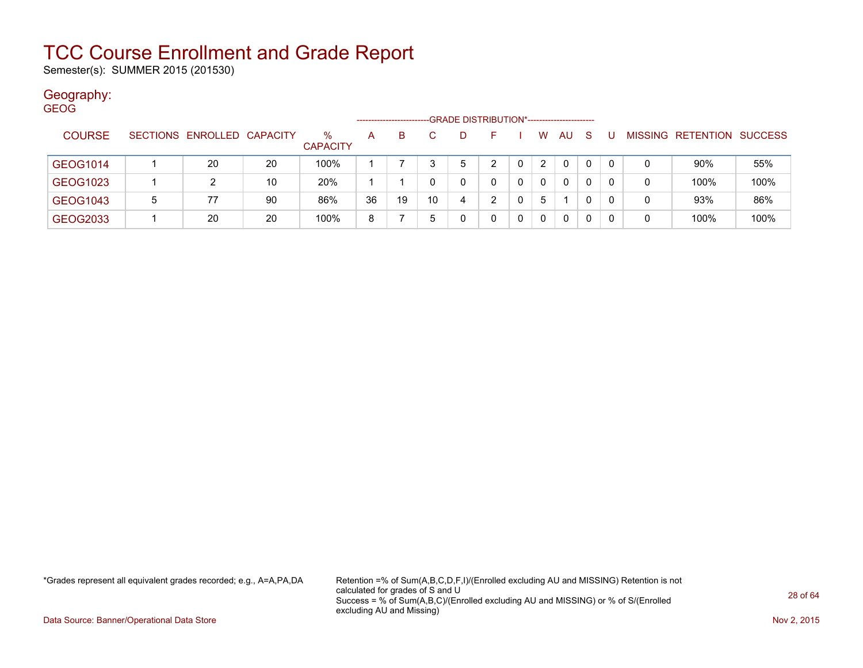Semester(s): SUMMER 2015 (201530)

#### Geography:

| <b>GEOG</b> |               |   |                            |    |                 |    |    |    |                                             |   |   |                |              |              |    |   |                                  |      |
|-------------|---------------|---|----------------------------|----|-----------------|----|----|----|---------------------------------------------|---|---|----------------|--------------|--------------|----|---|----------------------------------|------|
|             |               |   |                            |    |                 |    |    |    | -GRADE DISTRIBUTION*----------------------- |   |   |                |              |              |    |   |                                  |      |
|             | <b>COURSE</b> |   | SECTIONS ENROLLED CAPACITY |    | $\%$            | A  | B. |    | D.                                          |   |   | W              | <b>AU</b>    | <sub>S</sub> |    |   | <b>MISSING RETENTION SUCCESS</b> |      |
|             |               |   |                            |    | <b>CAPACITY</b> |    |    |    |                                             |   |   |                |              |              |    |   |                                  |      |
|             | GEOG1014      |   | 20                         | 20 | 100%            |    |    |    | 5                                           | ົ |   | $\overline{2}$ | 0            | 0            | -0 | 0 | 90%                              | 55%  |
|             | GEOG1023      |   |                            | 10 | 20%             |    |    |    | 0                                           | 0 | 0 | 0              | $\mathbf{0}$ | 0            | -0 | 0 | 100%                             | 100% |
|             | GEOG1043      | 5 | 77                         | 90 | 86%             | 36 | 19 | 10 | 4                                           | ົ |   | 5              |              | 0            | -0 | 0 | 93%                              | 86%  |
|             | GEOG2033      |   | 20                         | 20 | 100%            | 8  |    | 5  | 0                                           |   | 0 | 0              | 0            | 0            | -0 | 0 | 100%                             | 100% |

\*Grades represent all equivalent grades recorded; e.g., A=A,PA,DA Retention =% of Sum(A,B,C,D,F,I)/(Enrolled excluding AU and MISSING) Retention is not calculated for grades of S and U Success = % of Sum(A,B,C)/(Enrolled excluding AU and MISSING) or % of S/(Enrolled excluding AU and Missing)

Data Source: Banner/Operational Data Store Nov 2, 2015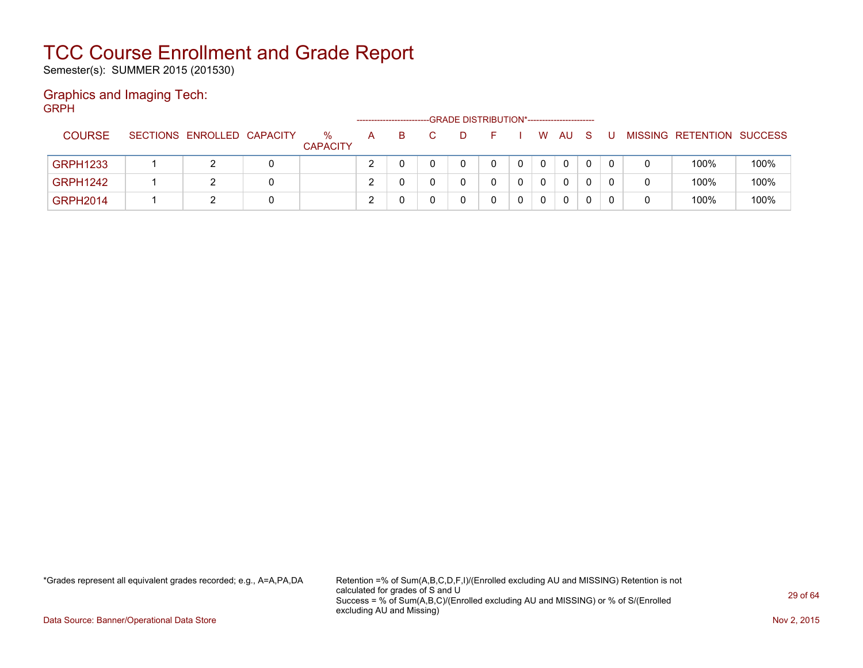Semester(s): SUMMER 2015 (201530)

#### Graphics and Imaging Tech: GRPH

| -----           |                            |                         | -------------------- |    |     | -GRADE DISTRIBUTION*----------------------- |       |             |              |     |    |                           |      |
|-----------------|----------------------------|-------------------------|----------------------|----|-----|---------------------------------------------|-------|-------------|--------------|-----|----|---------------------------|------|
| <b>COURSE</b>   | SECTIONS ENROLLED CAPACITY | $\%$<br><b>CAPACITY</b> | $\mathsf{A}$         | B. | -D. | F.                                          |       | W.          | AU           | - S | -U | MISSING RETENTION SUCCESS |      |
| <b>GRPH1233</b> |                            |                         |                      |    |     | 0                                           | $0-1$ | $\mathbf 0$ | $\mathbf{0}$ | 0   |    | 100%                      | 100% |
| <b>GRPH1242</b> |                            |                         |                      |    |     |                                             |       | $\Omega$    | $\mathbf{0}$ | 0   |    | 100%                      | 100% |
| <b>GRPH2014</b> |                            |                         | ◠                    |    |     |                                             |       | $\mathbf 0$ | 0            |     |    | 100%                      | 100% |

\*Grades represent all equivalent grades recorded; e.g., A=A,PA,DA Retention =% of Sum(A,B,C,D,F,I)/(Enrolled excluding AU and MISSING) Retention is not calculated for grades of S and U Success = % of Sum(A,B,C)/(Enrolled excluding AU and MISSING) or % of S/(Enrolled excluding AU and Missing)

Data Source: Banner/Operational Data Store Nov 2, 2015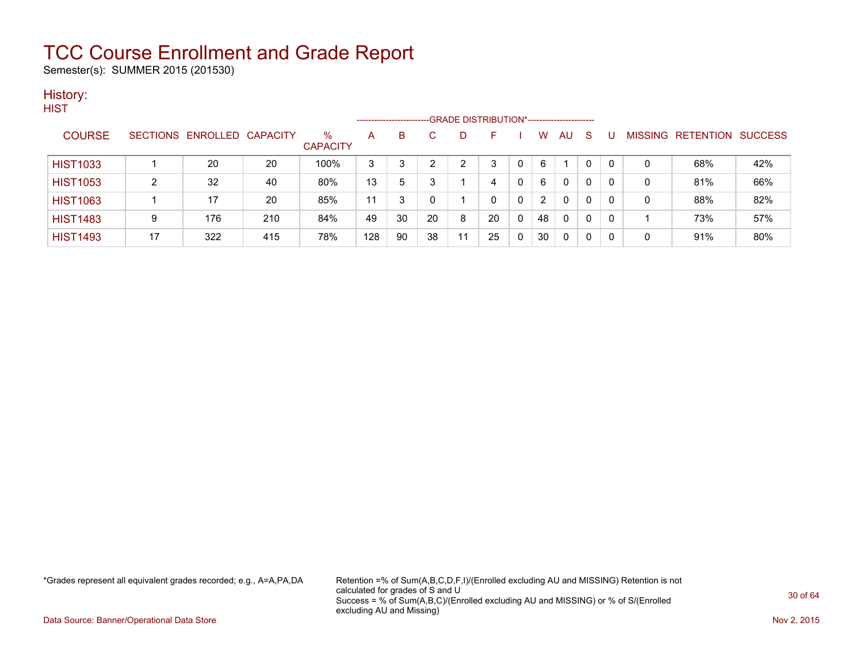Semester(s): SUMMER 2015 (201530)

#### History: **HIST**

| .               |    |                            |     |                      |     | ---------------------- |    |    | -GRADE DISTRIBUTION*----------------------- |   |               |              |              |   |   |                                  |     |
|-----------------|----|----------------------------|-----|----------------------|-----|------------------------|----|----|---------------------------------------------|---|---------------|--------------|--------------|---|---|----------------------------------|-----|
| <b>COURSE</b>   |    | SECTIONS ENROLLED CAPACITY |     | %<br><b>CAPACITY</b> | A   | B                      |    |    | н                                           |   | w             | AU           | -S           | U |   | <b>MISSING RETENTION SUCCESS</b> |     |
| <b>HIST1033</b> |    | 20                         | 20  | 100%                 | 3   |                        |    |    |                                             | 0 | 6             |              | 0            | 0 | 0 | 68%                              | 42% |
| <b>HIST1053</b> | 2  | 32                         | 40  | 80%                  | 13  | 5                      |    |    |                                             | 0 | 6             | $\Omega$     | $\mathbf{0}$ | 0 | 0 | 81%                              | 66% |
| <b>HIST1063</b> |    | 17                         | 20  | 85%                  | 11  | 3                      | 0  |    | <sup>0</sup>                                | 0 | $\mathcal{P}$ | $\Omega$     | $\mathbf{0}$ | 0 | 0 | 88%                              | 82% |
| <b>HIST1483</b> | 9  | 176                        | 210 | 84%                  | 49  | 30                     | 20 | 8  | 20                                          | 0 | 48            | $\mathbf{0}$ | $\mathbf{0}$ | 0 |   | 73%                              | 57% |
| <b>HIST1493</b> | 17 | 322                        | 415 | 78%                  | 128 | 90                     | 38 | 11 | 25                                          | 0 | 30            | $\mathbf{0}$ | 0            | 0 | 0 | 91%                              | 80% |

\*Grades represent all equivalent grades recorded; e.g., A=A,PA,DA Retention =% of Sum(A,B,C,D,F,I)/(Enrolled excluding AU and MISSING) Retention is not calculated for grades of S and U Success = % of Sum(A,B,C)/(Enrolled excluding AU and MISSING) or % of S/(Enrolled excluding AU and Missing)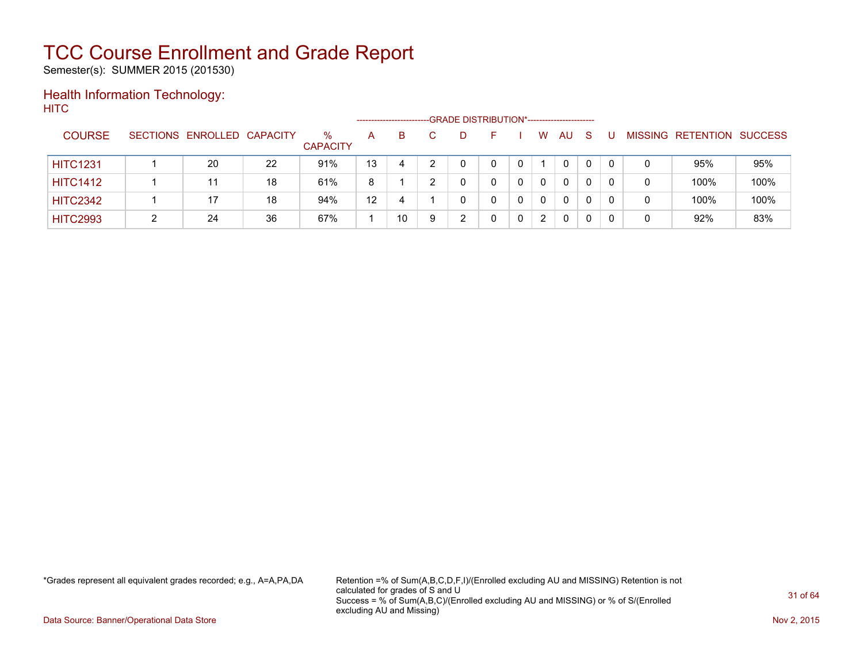Semester(s): SUMMER 2015 (201530)

#### Health Information Technology: **HITC**

|                 |                            |    |                      |    | ----------------------- | -GRADE DISTRIBUTION*----------------------- |   |   |     |          |          |                |                  |                |
|-----------------|----------------------------|----|----------------------|----|-------------------------|---------------------------------------------|---|---|-----|----------|----------|----------------|------------------|----------------|
| <b>COURSE</b>   | SECTIONS ENROLLED CAPACITY |    | %<br><b>CAPACITY</b> | A  | в                       | D                                           |   | w | AU. | S        |          | <b>MISSING</b> | <b>RETENTION</b> | <b>SUCCESS</b> |
| <b>HITC1231</b> | 20                         | 22 | 91%                  | 13 | 4                       | 0                                           | 0 |   | 0   | $\Omega$ | $\Omega$ | 0              | 95%              | 95%            |
| <b>HITC1412</b> |                            | 18 | 61%                  | 8  |                         |                                             |   | 0 | 0   | 0        | $\Omega$ | 0              | 100%             | 100%           |
| <b>HITC2342</b> | 17                         | 18 | 94%                  | 12 | 4                       |                                             | 0 | 0 | 0   | $\Omega$ | $\Omega$ | 0              | 100%             | 100%           |
| <b>HITC2993</b> | 24                         | 36 | 67%                  |    | 10                      | ົ                                           |   | 2 | 0   | 0        |          | 0              | 92%              | 83%            |

\*Grades represent all equivalent grades recorded; e.g., A=A,PA,DA Retention =% of Sum(A,B,C,D,F,I)/(Enrolled excluding AU and MISSING) Retention is not calculated for grades of S and U Success = % of Sum(A,B,C)/(Enrolled excluding AU and MISSING) or % of S/(Enrolled excluding AU and Missing)

Data Source: Banner/Operational Data Store Nov 2, 2015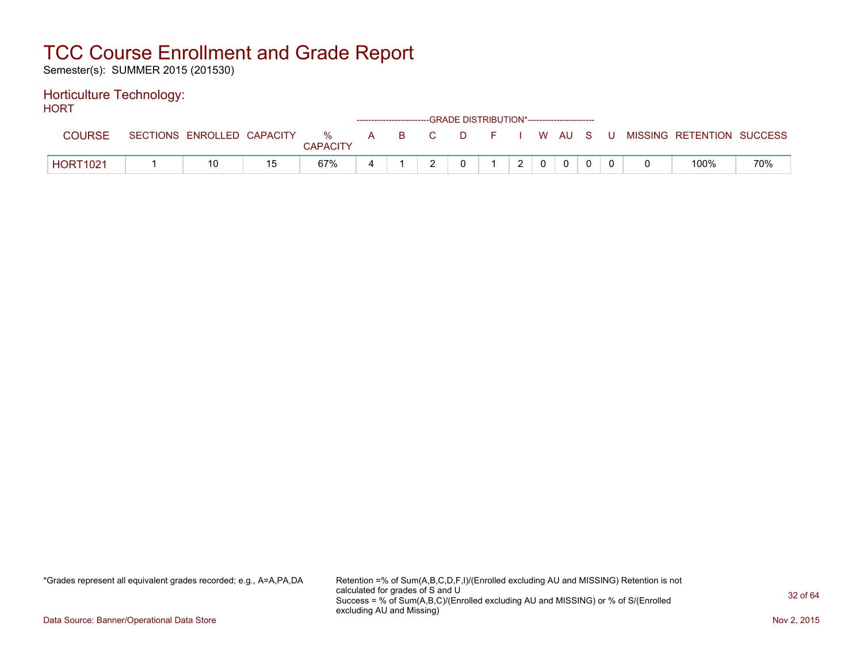Semester(s): SUMMER 2015 (201530)

#### Horticulture Technology: HORT.

| 1 IVIN 1        |                            |    |                      |   | ------------------------GRADE DISTRIBUTION*----------------------- |  |         |               |              |   |                           |     |
|-----------------|----------------------------|----|----------------------|---|--------------------------------------------------------------------|--|---------|---------------|--------------|---|---------------------------|-----|
| <b>COURSE</b>   | SECTIONS ENROLLED CAPACITY |    | %<br><b>CAPACITY</b> |   | A B C                                                              |  | DFIWAUS |               |              | U | MISSING RETENTION SUCCESS |     |
| <b>HORT1021</b> |                            | 15 | 67%                  | 4 |                                                                    |  |         | $\mathcal{P}$ | $\mathbf{0}$ |   | 100%                      | 70% |

\*Grades represent all equivalent grades recorded; e.g., A=A,PA,DA Retention =% of Sum(A,B,C,D,F,I)/(Enrolled excluding AU and MISSING) Retention is not calculated for grades of S and U Success = % of Sum(A,B,C)/(Enrolled excluding AU and MISSING) or % of S/(Enrolled excluding AU and Missing)

Data Source: Banner/Operational Data Store Nov 2, 2015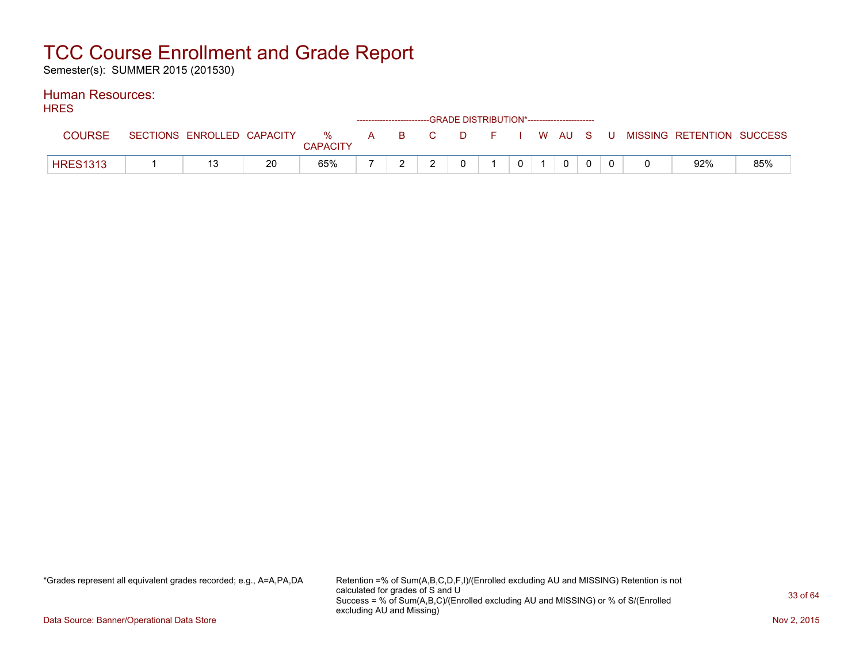Semester(s): SUMMER 2015 (201530)

#### Human Resources: **HDES**

| I INEO          |                            |    |                         |              | ------------------------GRADE DISTRIBUTION*----------------------- |    |      |    |       |          |     |                           |     |
|-----------------|----------------------------|----|-------------------------|--------------|--------------------------------------------------------------------|----|------|----|-------|----------|-----|---------------------------|-----|
| <b>COURSE</b>   | SECTIONS ENROLLED CAPACITY |    | $\%$<br><b>CAPACITY</b> | $\mathsf{A}$ | <b>B</b>                                                           | C. | . D. | E. |       | I W AU S | - U | MISSING RETENTION SUCCESS |     |
| <b>HRES1313</b> | 13                         | 20 | 65%                     |              |                                                                    |    |      |    | $0-1$ | $\Omega$ |     | 92%                       | 85% |

\*Grades represent all equivalent grades recorded; e.g., A=A,PA,DA Retention =% of Sum(A,B,C,D,F,I)/(Enrolled excluding AU and MISSING) Retention is not calculated for grades of S and U Success = % of Sum(A,B,C)/(Enrolled excluding AU and MISSING) or % of S/(Enrolled excluding AU and Missing)

Data Source: Banner/Operational Data Store Nov 2, 2015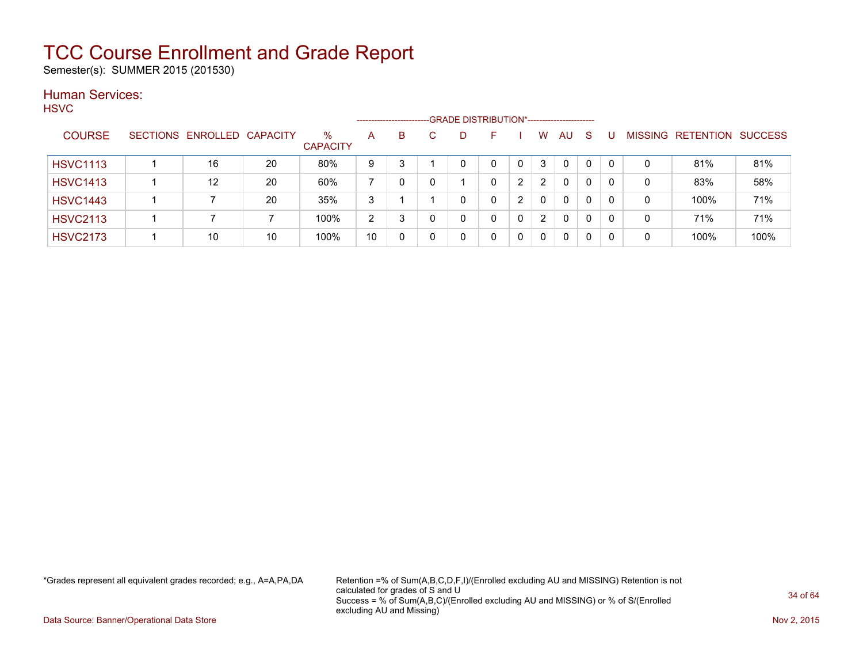Semester(s): SUMMER 2015 (201530)

#### Human Services: HSVC

| .               |                            |    |                         | -------------------- |   | -GRADE DISTRIBUTION*----------------------- |   |              |                |           |              |          |                |           |                |
|-----------------|----------------------------|----|-------------------------|----------------------|---|---------------------------------------------|---|--------------|----------------|-----------|--------------|----------|----------------|-----------|----------------|
| <b>COURSE</b>   | SECTIONS ENROLLED CAPACITY |    | $\%$<br><b>CAPACITY</b> | A                    | B | D                                           | ⊢ |              | W              | <b>AU</b> | <sub>S</sub> |          | <b>MISSING</b> | RETENTION | <b>SUCCESS</b> |
| <b>HSVC1113</b> | 16                         | 20 | 80%                     | 9                    | 3 |                                             | 0 | $\mathbf{0}$ | 3              | $\Omega$  | 0            |          | 0              | 81%       | 81%            |
| <b>HSVC1413</b> | 12                         | 20 | 60%                     |                      | 0 |                                             | 0 | າ            | $\overline{2}$ | 0         | 0            |          | 0              | 83%       | 58%            |
| <b>HSVC1443</b> |                            | 20 | 35%                     | 3                    |   |                                             | 0 | າ            | 0              | 0         | 0            | $\Omega$ | 0              | 100%      | 71%            |
| <b>HSVC2113</b> |                            |    | 100%                    | $\overline{2}$       | 3 |                                             | 0 |              | $\mathbf{2}$   | 0         | 0            | $\Omega$ | 0              | 71%       | 71%            |
| <b>HSVC2173</b> | 10                         | 10 | 100%                    | 10                   | 0 |                                             | 0 |              | 0              | 0         | 0            | 0        | 0              | 100%      | 100%           |

\*Grades represent all equivalent grades recorded; e.g., A=A,PA,DA Retention =% of Sum(A,B,C,D,F,I)/(Enrolled excluding AU and MISSING) Retention is not calculated for grades of S and U Success = % of Sum(A,B,C)/(Enrolled excluding AU and MISSING) or % of S/(Enrolled excluding AU and Missing)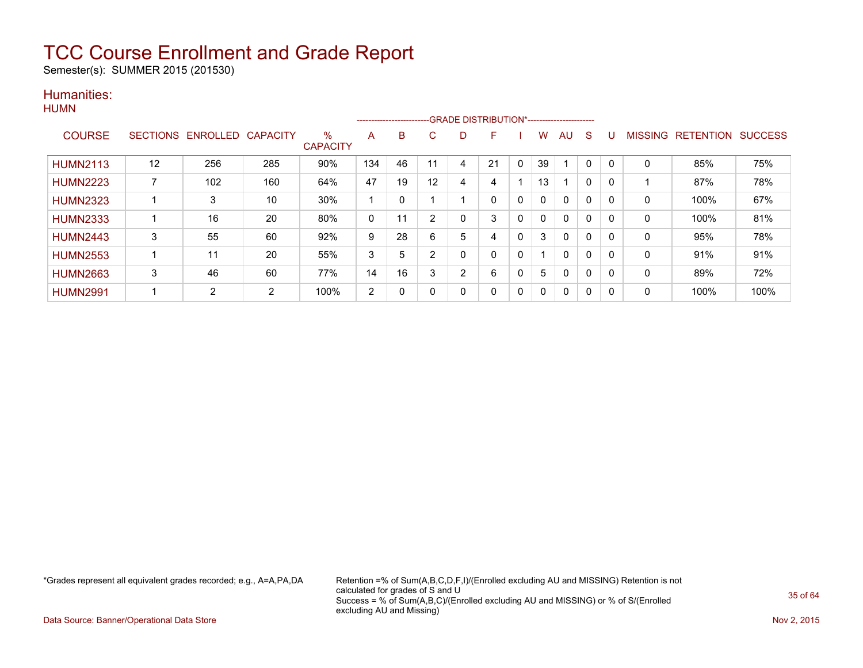Semester(s): SUMMER 2015 (201530)

#### Humanities:

|                 |    |                   |                 |                         |     | ------------------------- |    |   | --GRADE DISTRIBUTION*----------------------- |          |    |              |          |          |                |                  |                |
|-----------------|----|-------------------|-----------------|-------------------------|-----|---------------------------|----|---|----------------------------------------------|----------|----|--------------|----------|----------|----------------|------------------|----------------|
| <b>COURSE</b>   |    | SECTIONS ENROLLED | <b>CAPACITY</b> | $\%$<br><b>CAPACITY</b> | A   | B                         | C. | D | н                                            |          | w  | AU           | S        |          | <b>MISSING</b> | <b>RETENTION</b> | <b>SUCCESS</b> |
|                 |    |                   |                 |                         |     |                           |    |   |                                              |          |    |              |          |          |                |                  |                |
| <b>HUMN2113</b> | 12 | 256               | 285             | 90%                     | 134 | 46                        | 11 |   | 21                                           | 0        | 39 |              | 0        | $\Omega$ | $\mathbf 0$    | 85%              | 75%            |
| <b>HUMN2223</b> |    | 102               | 160             | 64%                     | 47  | 19                        | 12 | 4 | 4                                            |          | 13 |              | 0        | 0        |                | 87%              | 78%            |
| <b>HUMN2323</b> |    | 3                 | 10              | 30%                     |     | 0                         |    |   | 0                                            | 0        | 0  | $\mathbf{0}$ | 0        | 0        | $\mathbf 0$    | 100%             | 67%            |
| <b>HUMN2333</b> |    | 16                | 20              | 80%                     | 0   | 11                        | 2  |   | 3                                            | 0        |    | $\mathbf 0$  | 0        | 0        | $\mathbf 0$    | 100%             | 81%            |
| <b>HUMN2443</b> | 3  | 55                | 60              | 92%                     | 9   | 28                        | 6  | 5 | 4                                            | 0        | 3  | 0            | $\Omega$ | $\Omega$ | $\mathbf 0$    | 95%              | 78%            |
| <b>HUMN2553</b> |    | 11                | 20              | 55%                     | 3   | 5                         | 2  |   |                                              | 0        |    | $\mathbf{0}$ | $\Omega$ | $\Omega$ | $\mathbf 0$    | 91%              | 91%            |
| <b>HUMN2663</b> | 3  | 46                | 60              | 77%                     | 14  | 16                        | 3  | ົ | 6                                            | 0        | 5  | $\mathbf{0}$ | 0        | 0        | $\mathbf 0$    | 89%              | 72%            |
| <b>HUMN2991</b> |    | 2                 | 2               | 100%                    | 2   | 0                         |    |   | 0                                            | $\Omega$ | 0  | 0            | 0        | 0        | $\mathbf 0$    | 100%             | 100%           |

\*Grades represent all equivalent grades recorded; e.g., A=A,PA,DA Retention =% of Sum(A,B,C,D,F,I)/(Enrolled excluding AU and MISSING) Retention is not calculated for grades of S and U Success = % of Sum(A,B,C)/(Enrolled excluding AU and MISSING) or % of S/(Enrolled excluding AU and Missing)

Data Source: Banner/Operational Data Store Nov 2, 2015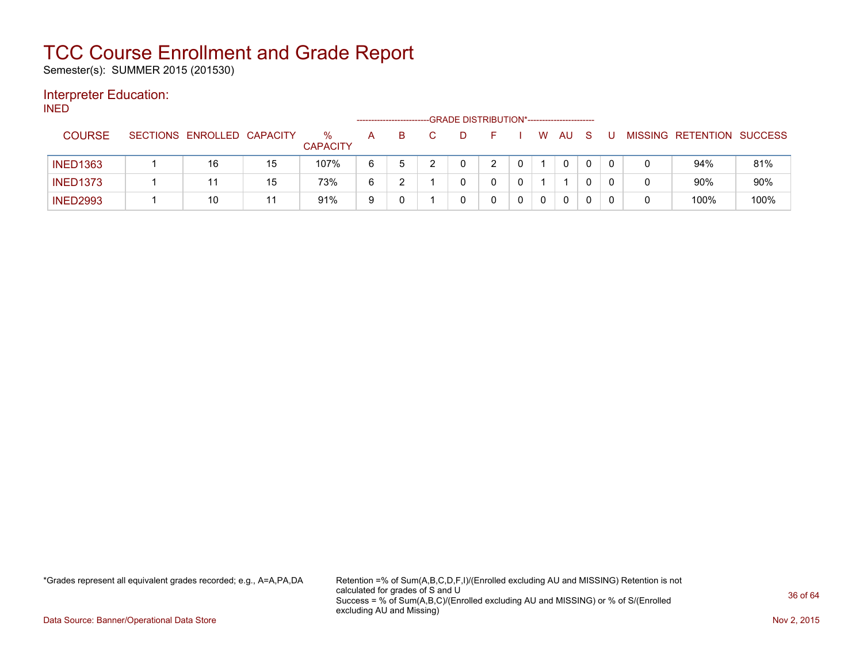Semester(s): SUMMER 2015 (201530)

#### Interpreter Education:

INED

|                 |                            |    |                         |   | ------------------------- | -GRADE DISTRIBUTION*----------------------- |              |              |   |              |              |  |                           |      |
|-----------------|----------------------------|----|-------------------------|---|---------------------------|---------------------------------------------|--------------|--------------|---|--------------|--------------|--|---------------------------|------|
| <b>COURSE</b>   | SECTIONS ENROLLED CAPACITY |    | $\%$<br><b>CAPACITY</b> | A | B                         |                                             |              |              | W | <b>AU</b>    | <sub>S</sub> |  | MISSING RETENTION SUCCESS |      |
| <b>INED1363</b> | 16                         | 15 | 107%                    | 6 | $5^{\circ}$               |                                             | າ            | $\mathbf{0}$ |   | $\mathbf{0}$ |              |  | 94%                       | 81%  |
| <b>INED1373</b> | 11                         | 15 | 73%                     | 6 |                           |                                             | <sup>n</sup> | 0            |   |              |              |  | 90%                       | 90%  |
| <b>INED2993</b> | 10                         | 11 | 91%                     | 9 |                           |                                             |              |              |   | $\mathbf{0}$ |              |  | 100%                      | 100% |

\*Grades represent all equivalent grades recorded; e.g., A=A,PA,DA Retention =% of Sum(A,B,C,D,F,I)/(Enrolled excluding AU and MISSING) Retention is not calculated for grades of S and U Success = % of Sum(A,B,C)/(Enrolled excluding AU and MISSING) or % of S/(Enrolled excluding AU and Missing)

Data Source: Banner/Operational Data Store Nov 2, 2015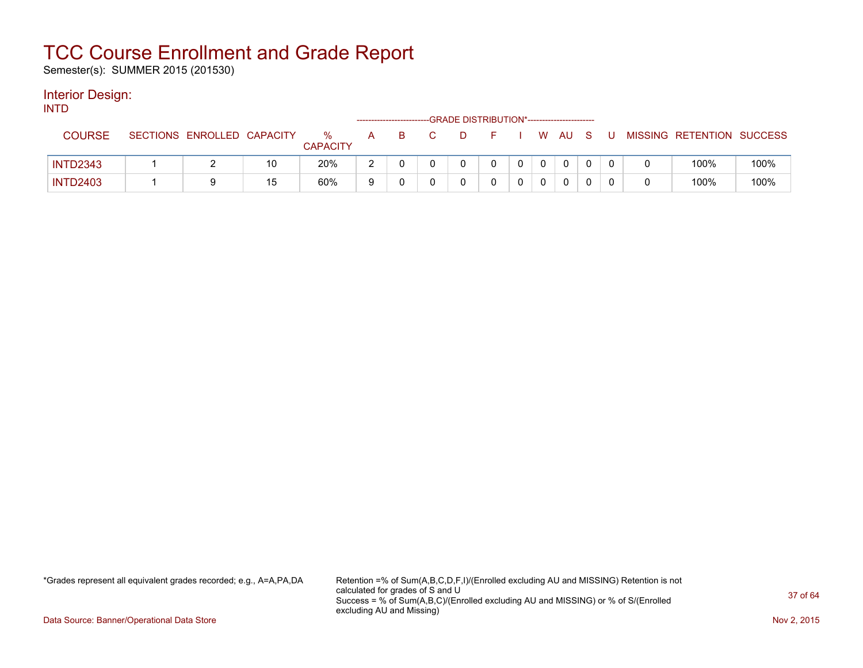Semester(s): SUMMER 2015 (201530)

#### Interior Design: INTD

| 11 N 1 L        |                            |    |                      |   | -------------------------- | -GRADE DISTRIBUTION*----------------------- |  |    |     |     |   |                           |      |
|-----------------|----------------------------|----|----------------------|---|----------------------------|---------------------------------------------|--|----|-----|-----|---|---------------------------|------|
| <b>COURSE</b>   | SECTIONS ENROLLED CAPACITY |    | %<br><b>CAPACITY</b> | A | B.                         |                                             |  | W. | AU. | - S | U | MISSING RETENTION SUCCESS |      |
| <b>INTD2343</b> |                            | 10 | 20%                  |   |                            |                                             |  |    | 0   |     |   | 100%                      | 100% |
| <b>INTD2403</b> |                            | 15 | 60%                  |   |                            |                                             |  |    | 0   |     |   | 100%                      | 100% |

\*Grades represent all equivalent grades recorded; e.g., A=A,PA,DA Retention =% of Sum(A,B,C,D,F,I)/(Enrolled excluding AU and MISSING) Retention is not calculated for grades of S and U Success = % of Sum(A,B,C)/(Enrolled excluding AU and MISSING) or % of S/(Enrolled excluding AU and Missing)

Data Source: Banner/Operational Data Store Nov 2, 2015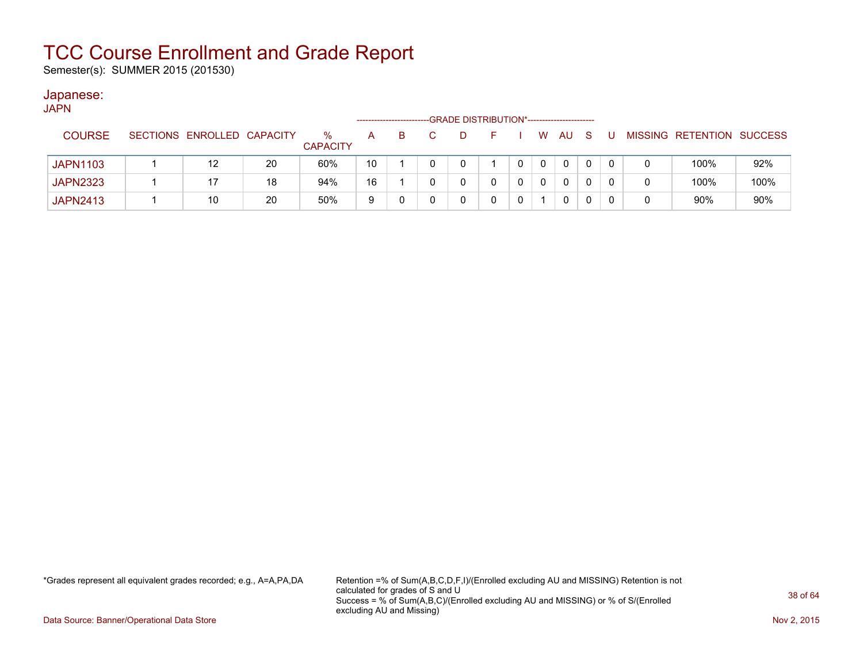Semester(s): SUMMER 2015 (201530)

#### Japanese:

| <b>JAPN</b>     |                            |    |                         |    |    |   | -GRADE DISTRIBUTION*----------------------- |   |          |              |              |  |                           |      |
|-----------------|----------------------------|----|-------------------------|----|----|---|---------------------------------------------|---|----------|--------------|--------------|--|---------------------------|------|
| <b>COURSE</b>   | SECTIONS ENROLLED CAPACITY |    | $\%$<br><b>CAPACITY</b> | A  | B. | D | F.                                          |   | W.       | AU           | <sub>S</sub> |  | MISSING RETENTION SUCCESS |      |
| <b>JAPN1103</b> | 12                         | 20 | 60%                     | 10 |    |   |                                             |   | $\Omega$ | $\mathbf{0}$ |              |  | 100%                      | 92%  |
| <b>JAPN2323</b> |                            | 18 | 94%                     | 16 |    |   |                                             | 0 | 0        | $\mathbf{0}$ |              |  | 100%                      | 100% |
| <b>JAPN2413</b> | 10                         | 20 | 50%                     | 9  |    |   |                                             |   |          | 0            |              |  | 90%                       | 90%  |

\*Grades represent all equivalent grades recorded; e.g., A=A,PA,DA Retention =% of Sum(A,B,C,D,F,I)/(Enrolled excluding AU and MISSING) Retention is not calculated for grades of S and U Success = % of Sum(A,B,C)/(Enrolled excluding AU and MISSING) or % of S/(Enrolled excluding AU and Missing)

Data Source: Banner/Operational Data Store Nov 2, 2015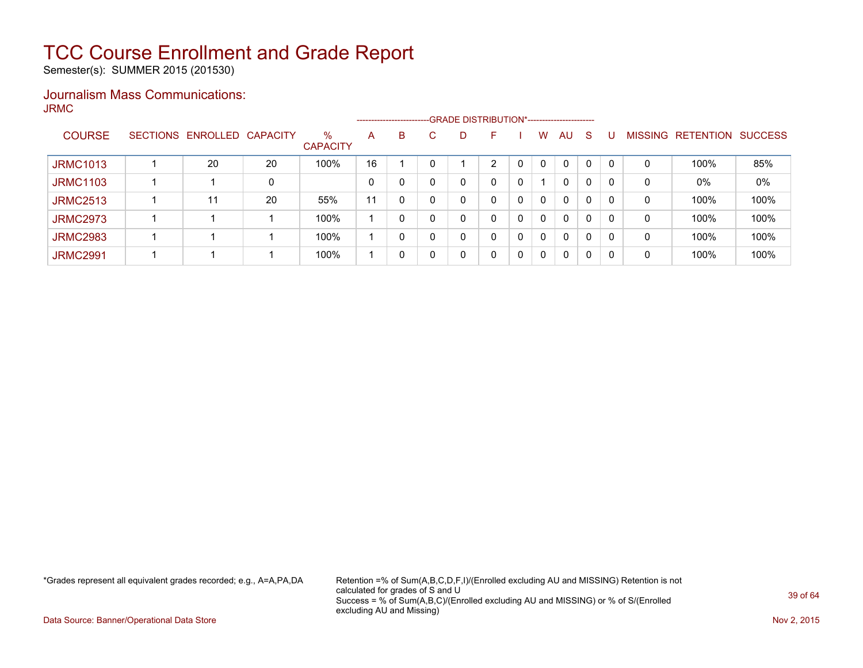Semester(s): SUMMER 2015 (201530)

#### Journalism Mass Communications: JRMC

|                 | ------------------------- |                 |                         |    |   |    |   |    |              |              |              |              |          |                |                  |                |
|-----------------|---------------------------|-----------------|-------------------------|----|---|----|---|----|--------------|--------------|--------------|--------------|----------|----------------|------------------|----------------|
| <b>COURSE</b>   | SECTIONS ENROLLED         | <b>CAPACITY</b> | $\%$<br><b>CAPACITY</b> | A  | B | C. | D | F  |              | w            | AU           | <sub>S</sub> |          | <b>MISSING</b> | <b>RETENTION</b> | <b>SUCCESS</b> |
| <b>JRMC1013</b> | 20                        | 20              | 100%                    | 16 |   |    |   | C. |              | 0            | $\Omega$     | 0            | $\Omega$ | 0              | 100%             | 85%            |
| <b>JRMC1103</b> |                           | 0               |                         | 0  | 0 |    |   | 0  |              |              | $\mathbf{0}$ | 0            |          | 0              | $0\%$            | 0%             |
| <b>JRMC2513</b> | 11                        | 20              | 55%                     | 11 | 0 |    |   | 0  | 0            | $\mathbf{0}$ | $\mathbf{0}$ | 0            |          | 0              | 100%             | 100%           |
| <b>JRMC2973</b> |                           |                 | 100%                    |    | 0 |    |   | 0  | $\mathbf{0}$ | $\mathbf{0}$ | $\mathbf{0}$ | 0            | $\Omega$ | 0              | 100%             | 100%           |
| <b>JRMC2983</b> |                           |                 | 100%                    |    | 0 |    |   | 0  | 0            | $\Omega$     | $\mathbf{0}$ | 0            | 0        | 0              | 100%             | 100%           |
| <b>JRMC2991</b> |                           |                 | 100%                    |    | 0 |    |   | 0  | 0            | $\mathbf 0$  | $\mathbf{0}$ | 0            | $\Omega$ | 0              | 100%             | 100%           |

\*Grades represent all equivalent grades recorded; e.g., A=A,PA,DA Retention =% of Sum(A,B,C,D,F,I)/(Enrolled excluding AU and MISSING) Retention is not calculated for grades of S and U Success = % of Sum(A,B,C)/(Enrolled excluding AU and MISSING) or % of S/(Enrolled excluding AU and Missing)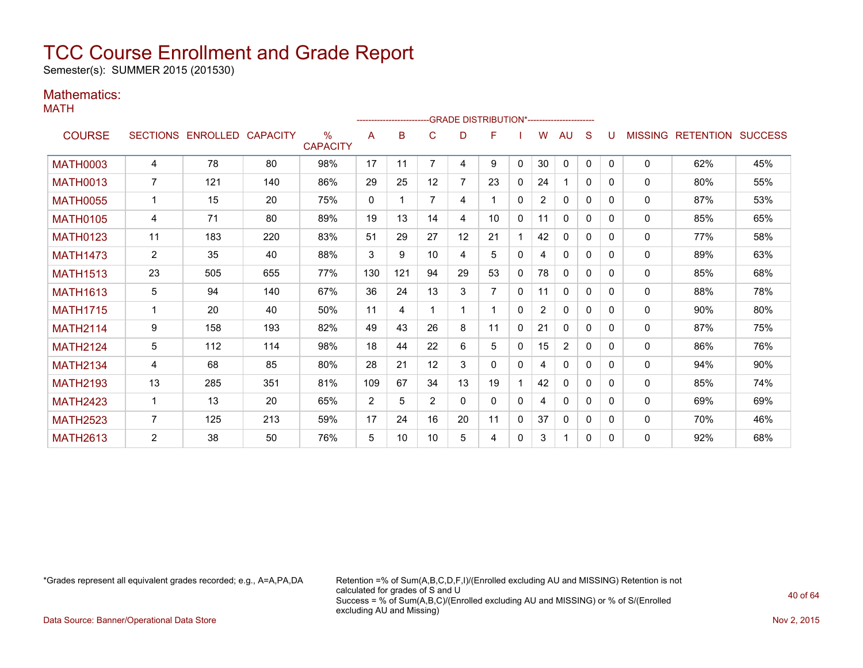Semester(s): SUMMER 2015 (201530)

#### Mathematics:

MATH

|                 |                |                   |                 |                         |              |     |                | ------------------------GRADE                DISTRIBUTION*---------------------- |                |          |                |                |              |          |                |                          |     |
|-----------------|----------------|-------------------|-----------------|-------------------------|--------------|-----|----------------|----------------------------------------------------------------------------------|----------------|----------|----------------|----------------|--------------|----------|----------------|--------------------------|-----|
| <b>COURSE</b>   |                | SECTIONS ENROLLED | <b>CAPACITY</b> | $\%$<br><b>CAPACITY</b> | A            | B   | C              | D                                                                                | F              |          | w              | AU             | S            | U        | <b>MISSING</b> | <b>RETENTION SUCCESS</b> |     |
| <b>MATH0003</b> | 4              | 78                | 80              | 98%                     | 17           | 11  | $\overline{7}$ | 4                                                                                | 9              | 0        | 30             | 0              | $\mathbf{0}$ | $\Omega$ | 0              | 62%                      | 45% |
| <b>MATH0013</b> | $\overline{7}$ | 121               | 140             | 86%                     | 29           | 25  | 12             | 7                                                                                | 23             | 0        | 24             |                | 0            | 0        | $\mathbf{0}$   | 80%                      | 55% |
| <b>MATH0055</b> |                | 15                | 20              | 75%                     | $\mathbf{0}$ |     | 7              | 4                                                                                |                | $\Omega$ | $\overline{2}$ | 0              | $\Omega$     | 0        | $\mathbf{0}$   | 87%                      | 53% |
| <b>MATH0105</b> | 4              | 71                | 80              | 89%                     | 19           | 13  | 14             | 4                                                                                | 10             | $\Omega$ | 11             | $\mathbf{0}$   | $\Omega$     | 0        | $\mathbf{0}$   | 85%                      | 65% |
| <b>MATH0123</b> | 11             | 183               | 220             | 83%                     | 51           | 29  | 27             | 12                                                                               | 21             |          | 42             | $\mathbf{0}$   | $\Omega$     | 0        | 0              | 77%                      | 58% |
| <b>MATH1473</b> | $\overline{2}$ | 35                | 40              | 88%                     | 3            | 9   | 10             | 4                                                                                | 5              | $\Omega$ | 4              | $\Omega$       | $\Omega$     | 0        | 0              | 89%                      | 63% |
| <b>MATH1513</b> | 23             | 505               | 655             | 77%                     | 130          | 121 | 94             | 29                                                                               | 53             | 0        | 78             | 0              | $\Omega$     | 0        | 0              | 85%                      | 68% |
| <b>MATH1613</b> | 5              | 94                | 140             | 67%                     | 36           | 24  | 13             | 3                                                                                | $\overline{7}$ | 0        | 11             | $\mathbf{0}$   | $\Omega$     | 0        | 0              | 88%                      | 78% |
| <b>MATH1715</b> |                | 20                | 40              | 50%                     | 11           | 4   |                |                                                                                  |                | $\Omega$ | $\overline{2}$ | $\Omega$       | $\Omega$     | 0        | $\mathbf{0}$   | 90%                      | 80% |
| <b>MATH2114</b> | 9              | 158               | 193             | 82%                     | 49           | 43  | 26             | 8                                                                                | 11             | $\Omega$ | 21             | $\mathbf{0}$   | $\Omega$     | 0        | $\mathbf{0}$   | 87%                      | 75% |
| <b>MATH2124</b> | 5              | 112               | 114             | 98%                     | 18           | 44  | 22             | 6                                                                                | 5              | 0        | 15             | $\overline{2}$ | $\Omega$     | 0        | 0              | 86%                      | 76% |
| <b>MATH2134</b> | 4              | 68                | 85              | 80%                     | 28           | 21  | 12             | 3                                                                                | 0              | $\Omega$ | 4              | $\mathbf{0}$   | $\Omega$     | 0        | $\mathbf{0}$   | 94%                      | 90% |
| <b>MATH2193</b> | 13             | 285               | 351             | 81%                     | 109          | 67  | 34             | 13                                                                               | 19             |          | 42             | 0              | $\Omega$     | 0        | 0              | 85%                      | 74% |
| <b>MATH2423</b> |                | 13                | 20              | 65%                     | 2            | 5   | $\overline{2}$ | 0                                                                                | 0              | 0        | 4              | 0              | 0            | 0        | $\mathbf{0}$   | 69%                      | 69% |
| <b>MATH2523</b> | $\overline{7}$ | 125               | 213             | 59%                     | 17           | 24  | 16             | 20                                                                               | 11             | 0        | 37             | $\mathbf{0}$   | $\Omega$     | 0        | $\mathbf{0}$   | 70%                      | 46% |
| <b>MATH2613</b> | 2              | 38                | 50              | 76%                     | 5            | 10  | 10             | 5                                                                                | 4              | $\Omega$ | 3              | 1              | $\Omega$     | 0        | $\mathbf{0}$   | 92%                      | 68% |

\*Grades represent all equivalent grades recorded; e.g., A=A,PA,DA Retention =% of Sum(A,B,C,D,F,I)/(Enrolled excluding AU and MISSING) Retention is not calculated for grades of S and U Success = % of Sum(A,B,C)/(Enrolled excluding AU and MISSING) or % of S/(Enrolled excluding AU and Missing)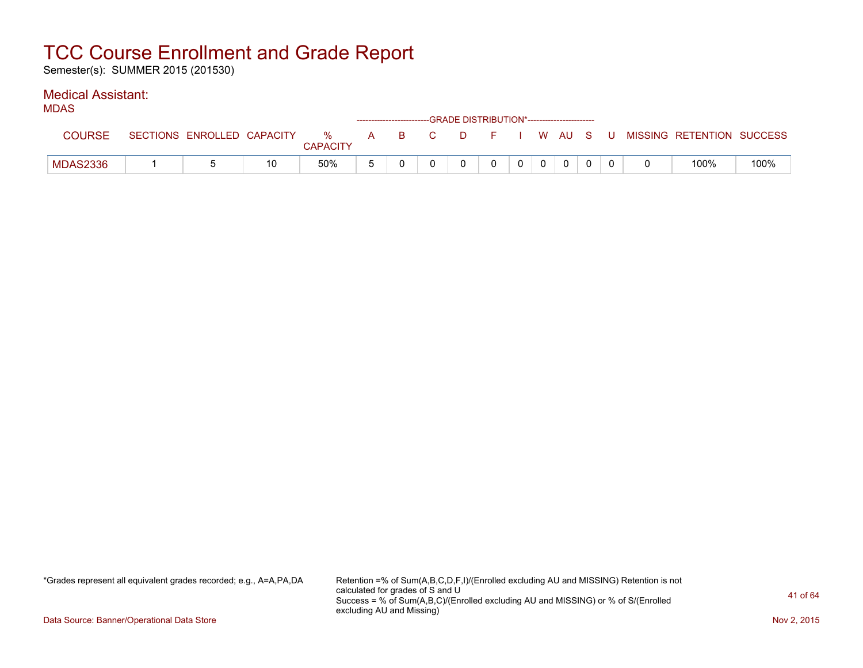Semester(s): SUMMER 2015 (201530)

#### Medical Assistant:

|--|--|

| .             |                            |    |               |   |      | ------------------------GRADE DISTRIBUTION*----------------------- |     |                |         |  |                           |      |
|---------------|----------------------------|----|---------------|---|------|--------------------------------------------------------------------|-----|----------------|---------|--|---------------------------|------|
| <b>COURSE</b> | SECTIONS ENROLLED CAPACITY |    | %<br>CAPACITY | A | BC D |                                                                    | DFI |                | , WAUSU |  | MISSING RETENTION SUCCESS |      |
| MDAS2336      |                            | 10 | 50%           |   |      |                                                                    |     | 0 <sup>1</sup> |         |  | 100%                      | 100% |

\*Grades represent all equivalent grades recorded; e.g., A=A,PA,DA Retention =% of Sum(A,B,C,D,F,I)/(Enrolled excluding AU and MISSING) Retention is not calculated for grades of S and U Success = % of Sum(A,B,C)/(Enrolled excluding AU and MISSING) or % of S/(Enrolled excluding AU and Missing)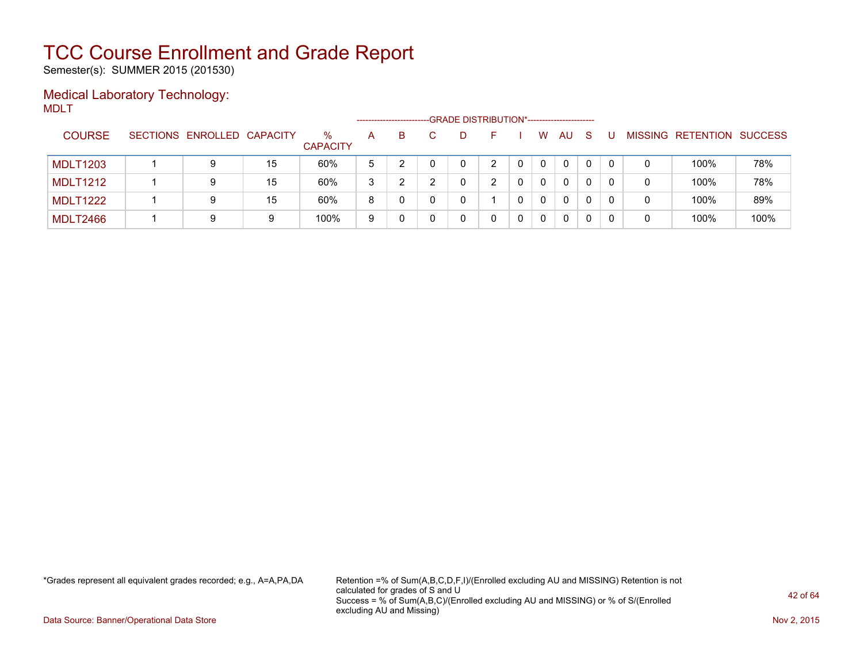Semester(s): SUMMER 2015 (201530)

#### Medical Laboratory Technology: MDLT

|                 |                            |    |                         | -------------------- |    |              | -GRADE DISTRIBUTION*----------------------- |          |              |              |  |                   |                |
|-----------------|----------------------------|----|-------------------------|----------------------|----|--------------|---------------------------------------------|----------|--------------|--------------|--|-------------------|----------------|
| <b>COURSE</b>   | SECTIONS ENROLLED CAPACITY |    | $\%$<br><b>CAPACITY</b> | A                    | B. | $\mathbf{D}$ | н.                                          | W        | AU.          | <sub>S</sub> |  | MISSING RETENTION | <b>SUCCESS</b> |
| <b>MDLT1203</b> | 9                          | 15 | 60%                     | <sub>5</sub>         |    |              |                                             | $\Omega$ | $\mathbf{0}$ | $\mathbf{0}$ |  | 100%              | 78%            |
| MDLT1212        | 9                          | 15 | 60%                     | 3                    |    |              |                                             | $\Omega$ | $\mathbf{0}$ | 0            |  | 100%              | 78%            |
| <b>MDLT1222</b> | 9                          | 15 | 60%                     | 8                    | 0  |              |                                             | $\Omega$ | $\mathbf{0}$ | 0            |  | 100%              | 89%            |
| <b>MDLT2466</b> | 9                          | 9  | 100%                    | 9                    | 0  |              |                                             | 0        | $\mathbf{0}$ |              |  | 100%              | 100%           |

\*Grades represent all equivalent grades recorded; e.g., A=A,PA,DA Retention =% of Sum(A,B,C,D,F,I)/(Enrolled excluding AU and MISSING) Retention is not calculated for grades of S and U Success = % of Sum(A,B,C)/(Enrolled excluding AU and MISSING) or % of S/(Enrolled excluding AU and Missing)

Data Source: Banner/Operational Data Store Nov 2, 2015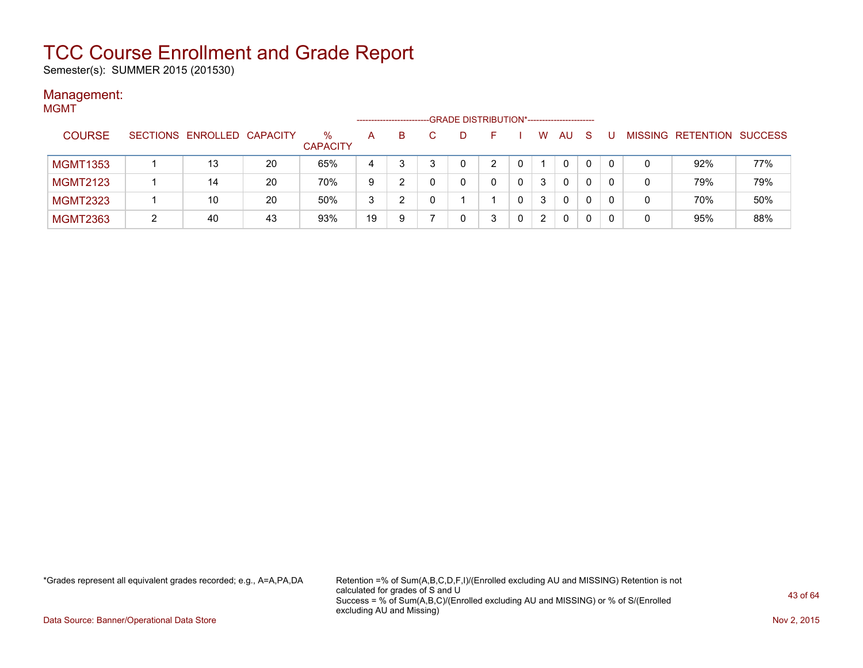Semester(s): SUMMER 2015 (201530)

#### Management: **MGMT**

| ו ועושועו       |  |                            |    |                         | ------------------ |    | -GRADE DISTRIBUTION*----------------------- |   |            |                      |              |    |   |                           |     |
|-----------------|--|----------------------------|----|-------------------------|--------------------|----|---------------------------------------------|---|------------|----------------------|--------------|----|---|---------------------------|-----|
| <b>COURSE</b>   |  | SECTIONS ENROLLED CAPACITY |    | $\%$<br><b>CAPACITY</b> | A                  | B. | D                                           |   |            | W                    | AU           | -S |   | MISSING RETENTION SUCCESS |     |
| <b>MGMT1353</b> |  | 13                         | 20 | 65%                     | 4                  |    |                                             | ົ |            |                      | $\mathbf{0}$ | 0  |   | 92%                       | 77% |
| <b>MGMT2123</b> |  | 14                         | 20 | 70%                     | 9                  |    |                                             |   | 0          | 3                    | 0            | 0  |   | 79%                       | 79% |
| <b>MGMT2323</b> |  | 10                         | 20 | 50%                     | 3                  | ົ  |                                             |   | $^{\circ}$ | 3                    | $\Omega$     | 0  | 0 | 70%                       | 50% |
| <b>MGMT2363</b> |  | 40                         | 43 | 93%                     | 19                 | 9  |                                             |   |            | $\mathbf{2}^{\circ}$ | 0            | 0  | 0 | 95%                       | 88% |

\*Grades represent all equivalent grades recorded; e.g., A=A,PA,DA Retention =% of Sum(A,B,C,D,F,I)/(Enrolled excluding AU and MISSING) Retention is not calculated for grades of S and U Success = % of Sum(A,B,C)/(Enrolled excluding AU and MISSING) or % of S/(Enrolled excluding AU and Missing)

Data Source: Banner/Operational Data Store Nov 2, 2015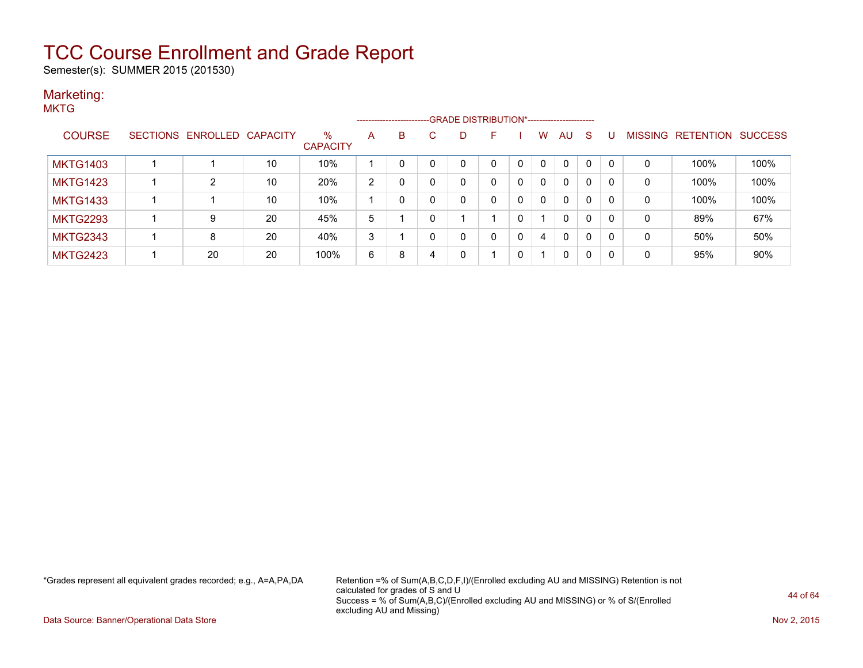Semester(s): SUMMER 2015 (201530)

#### Marketing: **MKTG**

|                 |                            |    |                         |                | ---------------------- |              | --GRADE DISTRIBUTION*----------------------- |   |          |          |    |              |   |         |                  |                |
|-----------------|----------------------------|----|-------------------------|----------------|------------------------|--------------|----------------------------------------------|---|----------|----------|----|--------------|---|---------|------------------|----------------|
| <b>COURSE</b>   | SECTIONS ENROLLED CAPACITY |    | $\%$<br><b>CAPACITY</b> | A              | B                      |              | D.                                           | F |          | w        | AU | S            | U | MISSING | <b>RETENTION</b> | <b>SUCCESS</b> |
| <b>MKTG1403</b> |                            | 10 | 10%                     |                | 0                      | 0            |                                              |   | 0        | $\Omega$ | 0  | $\mathbf{0}$ | 0 | 0       | 100%             | 100%           |
| <b>MKTG1423</b> | 2                          | 10 | 20%                     | $\overline{2}$ |                        | 0            |                                              |   | 0        | 0        | 0  | 0            | 0 | 0       | 100%             | 100%           |
| <b>MKTG1433</b> |                            | 10 | 10%                     |                |                        |              |                                              |   | 0        | 0        | 0  | 0            | 0 | 0       | 100%             | 100%           |
| <b>MKTG2293</b> | 9                          | 20 | 45%                     | 5              |                        | $\mathbf{0}$ |                                              |   | 0        |          | 0  | 0            | 0 | 0       | 89%              | 67%            |
| <b>MKTG2343</b> | 8                          | 20 | 40%                     | 3              |                        | 0            |                                              |   | 0        | 4        | 0  | 0            | 0 | 0       | 50%              | 50%            |
| <b>MKTG2423</b> | 20                         | 20 | 100%                    | 6              | 8                      | 4            |                                              |   | $\Omega$ |          | 0  | 0            | 0 | 0       | 95%              | 90%            |

\*Grades represent all equivalent grades recorded; e.g., A=A,PA,DA Retention =% of Sum(A,B,C,D,F,I)/(Enrolled excluding AU and MISSING) Retention is not calculated for grades of S and U Success = % of Sum(A,B,C)/(Enrolled excluding AU and MISSING) or % of S/(Enrolled excluding AU and Missing)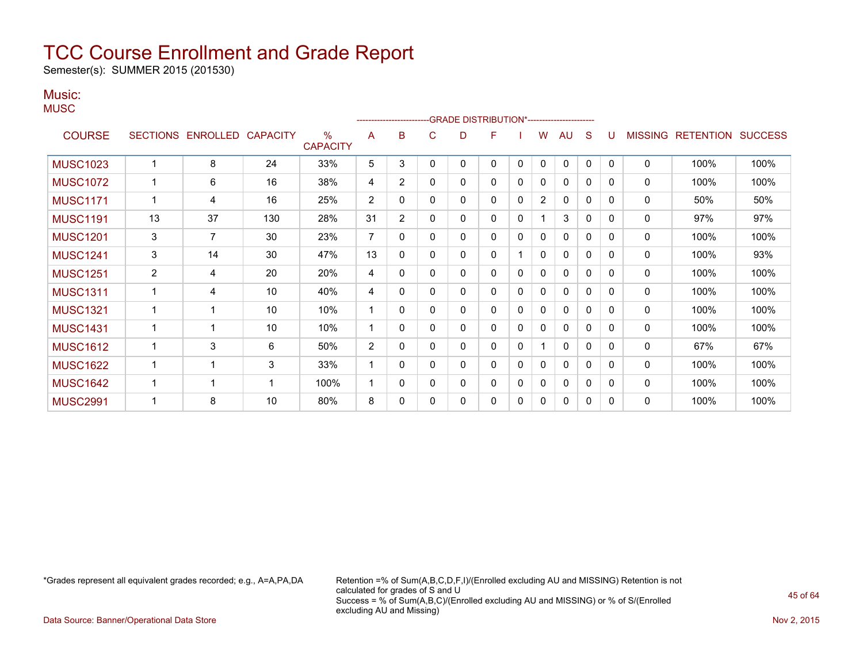Semester(s): SUMMER 2015 (201530)

#### Music:

| iviujiu. |  |
|----------|--|
| MUSC     |  |

|                 |                 |                 |                 |                      |                |              |              |   | -GRADE DISTRIBUTION*---------------------- |              |                |              |              |          |                |                  |                |
|-----------------|-----------------|-----------------|-----------------|----------------------|----------------|--------------|--------------|---|--------------------------------------------|--------------|----------------|--------------|--------------|----------|----------------|------------------|----------------|
| <b>COURSE</b>   | <b>SECTIONS</b> | <b>ENROLLED</b> | <b>CAPACITY</b> | %<br><b>CAPACITY</b> | A              | B            | C            | D | F                                          |              | W              | AU           | S            |          | <b>MISSING</b> | <b>RETENTION</b> | <b>SUCCESS</b> |
| <b>MUSC1023</b> | 1               | 8               | 24              | 33%                  | 5              | 3            | 0            | 0 | $\Omega$                                   | $\mathbf{0}$ | $\mathbf{0}$   | $\mathbf{0}$ | $\mathbf{0}$ | $\Omega$ | $\mathbf 0$    | 100%             | 100%           |
| <b>MUSC1072</b> | 1               | 6               | 16              | 38%                  | 4              | 2            | 0            | 0 | 0                                          | 0            | 0              | 0            | 0            | 0        | $\mathbf 0$    | 100%             | 100%           |
| <b>MUSC1171</b> |                 | 4               | 16              | 25%                  | $\overline{2}$ | 0            | 0            | 0 | $\mathbf{0}$                               | 0            | $\overline{2}$ | 0            | 0            | 0        | 0              | 50%              | 50%            |
| <b>MUSC1191</b> | 13              | 37              | 130             | 28%                  | 31             | 2            | 0            | 0 | $\mathbf{0}$                               | 0            |                | 3            | $\mathbf{0}$ | 0        | 0              | 97%              | 97%            |
| <b>MUSC1201</b> | 3               | 7               | 30              | 23%                  | 7              | 0            | $\mathbf{0}$ | 0 | 0                                          | 0            | 0              | 0            | 0            | 0        | 0              | 100%             | 100%           |
| <b>MUSC1241</b> | 3               | 14              | 30              | 47%                  | 13             | 0            | 0            | 0 | $\mathbf{0}$                               |              | 0              | $\mathbf{0}$ | $\Omega$     | 0        | 0              | 100%             | 93%            |
| <b>MUSC1251</b> | $\overline{2}$  | 4               | 20              | 20%                  | 4              | 0            | 0            | 0 | $\mathbf{0}$                               | 0            | 0              | 0            | 0            | 0        | 0              | 100%             | 100%           |
| <b>MUSC1311</b> | 1               | 4               | 10              | 40%                  | 4              | 0            | $\Omega$     | 0 | 0                                          | 0            | 0              | 0            | 0            | 0        | 0              | 100%             | 100%           |
| <b>MUSC1321</b> | 1               |                 | 10              | 10%                  |                | 0            | 0            | 0 | 0                                          | 0            | 0              | $\mathbf{0}$ | 0            | 0        | 0              | 100%             | 100%           |
| <b>MUSC1431</b> | 1               | -1              | 10              | 10%                  | 1              | $\mathbf{0}$ | 0            | 0 | $\mathbf{0}$                               | 0            | 0              | 0            | $\mathbf{0}$ | 0        | 0              | 100%             | 100%           |
| <b>MUSC1612</b> | 1               | 3               | 6               | 50%                  | $\overline{2}$ | 0            | $\Omega$     | 0 | $\mathbf{0}$                               | 0            |                | $\mathbf{0}$ | $\mathbf{0}$ | 0        | $\mathbf 0$    | 67%              | 67%            |
| <b>MUSC1622</b> | 1               |                 | 3               | 33%                  |                | $\Omega$     | 0            | 0 | 0                                          | 0            | 0              | $\mathbf{0}$ | 0            | 0        | 0              | 100%             | 100%           |
| <b>MUSC1642</b> | 1               |                 | 1               | 100%                 | 1              | 0            | 0            | 0 | 0                                          | 0            | 0              | 0            | 0            | 0        | 0              | 100%             | 100%           |
| <b>MUSC2991</b> |                 | 8               | 10              | 80%                  | 8              | 0            | 0            | 0 | 0                                          | 0            | 0              | 0            | 0            | 0        | 0              | 100%             | 100%           |

\*Grades represent all equivalent grades recorded; e.g., A=A,PA,DA Retention =% of Sum(A,B,C,D,F,I)/(Enrolled excluding AU and MISSING) Retention is not calculated for grades of S and U Success = % of Sum(A,B,C)/(Enrolled excluding AU and MISSING) or % of S/(Enrolled excluding AU and Missing)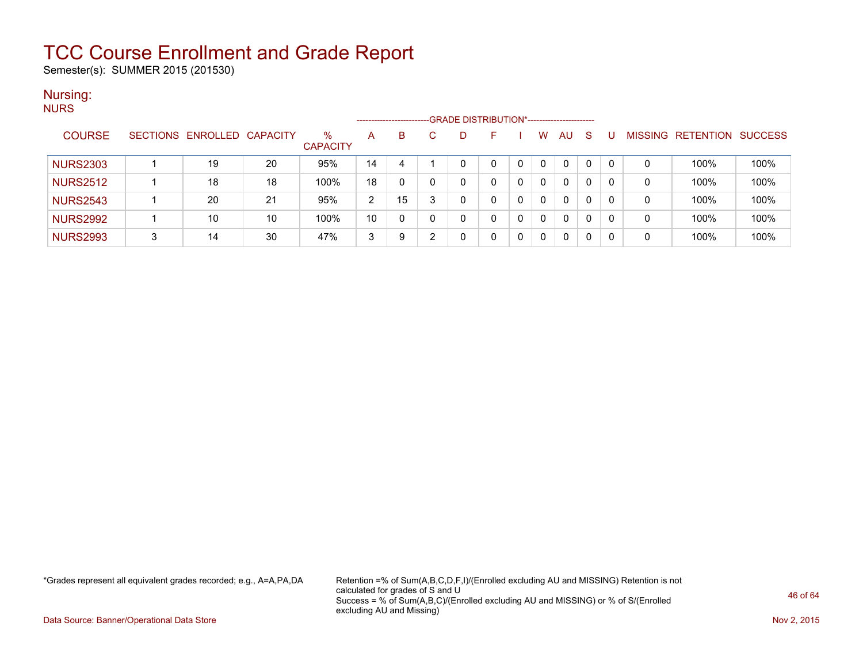Semester(s): SUMMER 2015 (201530)

#### Nursing: **NURS**

| .               |   |                            |    |                      | --------------------- |    |          | -GRADE DISTRIBUTION*----------------------- |   |          |    |   |          |                |           |                |
|-----------------|---|----------------------------|----|----------------------|-----------------------|----|----------|---------------------------------------------|---|----------|----|---|----------|----------------|-----------|----------------|
| <b>COURSE</b>   |   | SECTIONS ENROLLED CAPACITY |    | %<br><b>CAPACITY</b> | A                     | B  | D        |                                             |   | w        | AU | S |          | <b>MISSING</b> | RETENTION | <b>SUCCESS</b> |
| <b>NURS2303</b> |   | 19                         | 20 | 95%                  | 14                    | 4  | $\Omega$ |                                             |   | 0        | 0  | 0 | $\Gamma$ | 0              | 100%      | 100%           |
| <b>NURS2512</b> |   | 18                         | 18 | 100%                 | 18                    |    | 0        |                                             |   | $\Omega$ | 0  | 0 |          | 0              | 100%      | 100%           |
| <b>NURS2543</b> |   | 20                         | 21 | 95%                  | $\mathcal{D}$         | 15 | 0        |                                             |   | 0        | 0  | 0 | -0       | 0              | 100%      | 100%           |
| <b>NURS2992</b> |   | 10                         | 10 | 100%                 | 10                    |    | $\cap$   |                                             |   | $\Omega$ | 0  | 0 |          | 0              | 100%      | 100%           |
| <b>NURS2993</b> | 3 | 14                         | 30 | 47%                  | 3                     | 9  |          |                                             | 0 | $\Omega$ | 0  | 0 |          | 0              | 100%      | 100%           |

\*Grades represent all equivalent grades recorded; e.g., A=A,PA,DA Retention =% of Sum(A,B,C,D,F,I)/(Enrolled excluding AU and MISSING) Retention is not calculated for grades of S and U Success = % of Sum(A,B,C)/(Enrolled excluding AU and MISSING) or % of S/(Enrolled excluding AU and Missing)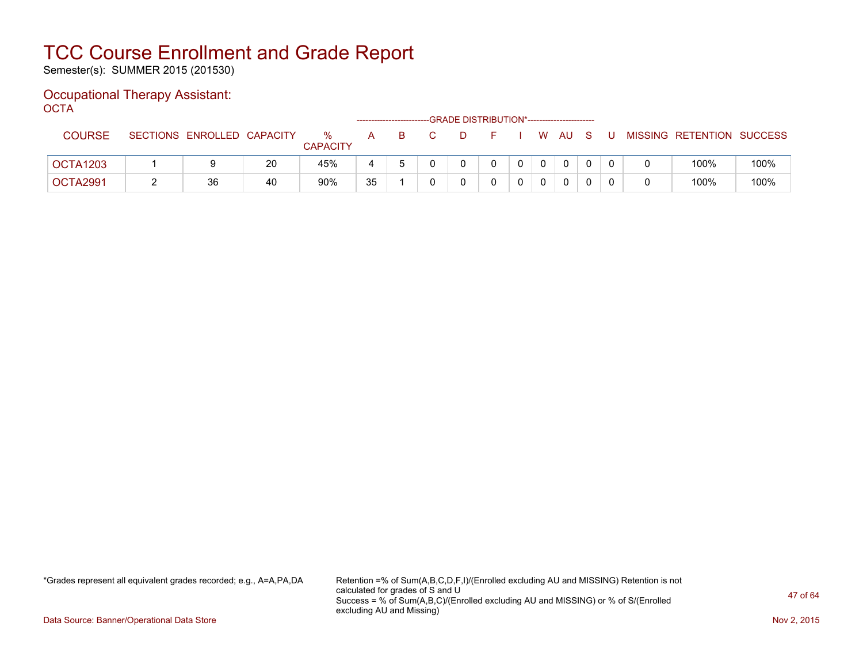Semester(s): SUMMER 2015 (201530)

#### Occupational Therapy Assistant: OCTA

| ----          |                            |    |                         |              |    | -GRADE DISTRIBUTION*----------------------- |    |  |              |     |                           |      |
|---------------|----------------------------|----|-------------------------|--------------|----|---------------------------------------------|----|--|--------------|-----|---------------------------|------|
| <b>COURSE</b> | SECTIONS ENROLLED CAPACITY |    | $\%$<br><b>CAPACITY</b> | $\mathsf{A}$ | B. |                                             | ·⊢ |  | I W AU       | . U | MISSING RETENTION SUCCESS |      |
| OCTA1203      |                            | 20 | 45%                     |              |    |                                             |    |  | $\mathbf{0}$ |     | 100%                      | 100% |
| OCTA2991      | 36                         | 40 | 90%                     | 35           |    |                                             |    |  | $\mathbf{0}$ |     | 100%                      | 100% |

\*Grades represent all equivalent grades recorded; e.g., A=A,PA,DA Retention =% of Sum(A,B,C,D,F,I)/(Enrolled excluding AU and MISSING) Retention is not calculated for grades of S and U Success = % of Sum(A,B,C)/(Enrolled excluding AU and MISSING) or % of S/(Enrolled excluding AU and Missing)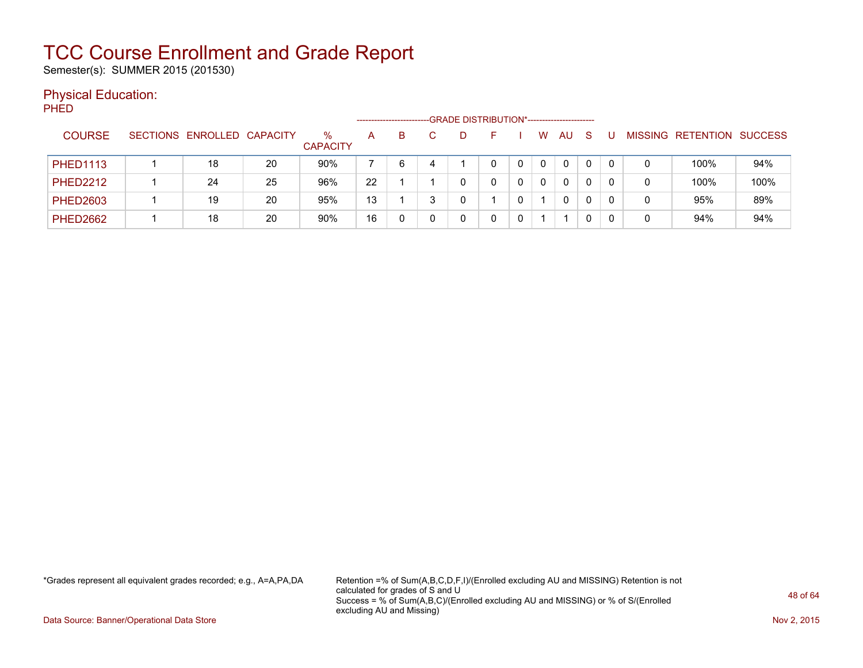Semester(s): SUMMER 2015 (201530)

#### Physical Education:

PHED

|                 |                            |    |                         |    |    |   | -GRADE DISTRIBUTION*----------------------- |          |    |   |                |                   |      |
|-----------------|----------------------------|----|-------------------------|----|----|---|---------------------------------------------|----------|----|---|----------------|-------------------|------|
| <b>COURSE</b>   | SECTIONS ENROLLED CAPACITY |    | $\%$<br><b>CAPACITY</b> | A  | B. |   | н.                                          | w        | AU | S | <b>MISSING</b> | RETENTION SUCCESS |      |
| <b>PHED1113</b> | 18                         | 20 | 90%                     |    | 6  | 4 |                                             | 0        | 0  | 0 | 0              | 100%              | 94%  |
| <b>PHED2212</b> | 24                         | 25 | 96%                     | 22 |    |   |                                             | $\Omega$ | 0  | 0 | 0              | 100%              | 100% |
| <b>PHED2603</b> | 19                         | 20 | 95%                     | 13 |    |   |                                             |          | 0  | 0 |                | 95%               | 89%  |
| <b>PHED2662</b> | 18                         | 20 | 90%                     | 16 |    |   |                                             |          |    |   | 0              | 94%               | 94%  |

\*Grades represent all equivalent grades recorded; e.g., A=A,PA,DA Retention =% of Sum(A,B,C,D,F,I)/(Enrolled excluding AU and MISSING) Retention is not calculated for grades of S and U Success = % of Sum(A,B,C)/(Enrolled excluding AU and MISSING) or % of S/(Enrolled excluding AU and Missing)

Data Source: Banner/Operational Data Store Nov 2, 2015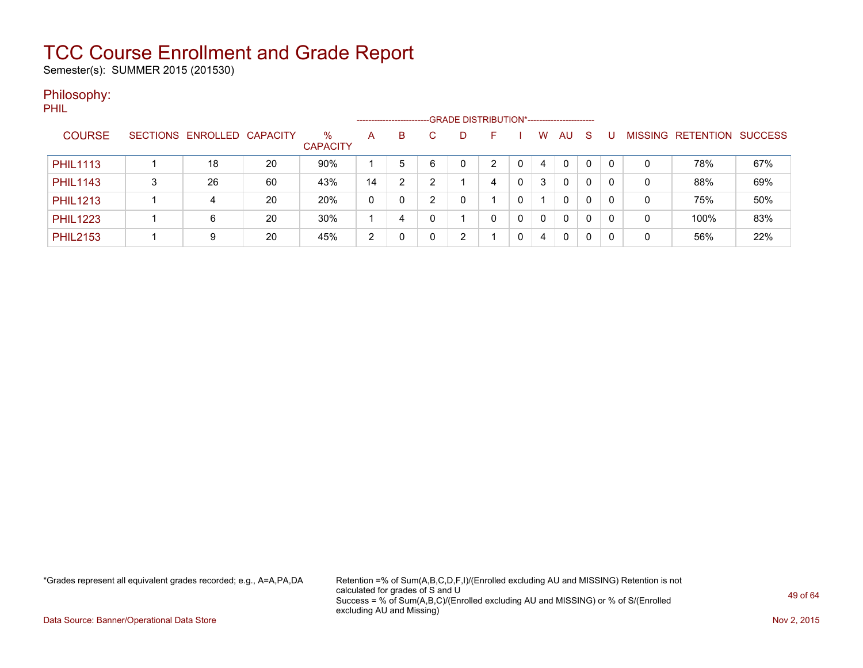Semester(s): SUMMER 2015 (201530)

#### Philosophy:

|                 |                            |    |                         | --------------------- |   |   | -GRADE DISTRIBUTION*----------------------- |    |   |   |              |              |   |   |                   |                |
|-----------------|----------------------------|----|-------------------------|-----------------------|---|---|---------------------------------------------|----|---|---|--------------|--------------|---|---|-------------------|----------------|
| <b>COURSE</b>   | SECTIONS ENROLLED CAPACITY |    | $\%$<br><b>CAPACITY</b> | A                     | B |   |                                             | н. |   | w | AU           | -S           |   |   | MISSING RETENTION | <b>SUCCESS</b> |
| <b>PHIL1113</b> | 18                         | 20 | 90%                     |                       | 5 | 6 |                                             | ົ  |   | 4 | $\mathbf{0}$ | 0            |   | 0 | 78%               | 67%            |
| <b>PHIL1143</b> | 26                         | 60 | 43%                     | 14                    | າ |   |                                             | 4  | 0 | 3 | 0            | 0            |   | 0 | 88%               | 69%            |
| <b>PHIL1213</b> | 4                          | 20 | 20%                     | 0                     | 0 |   |                                             |    |   |   | 0            | $\mathbf{0}$ | 0 | 0 | 75%               | 50%            |
| <b>PHIL1223</b> | 6                          | 20 | 30%                     |                       | 4 |   |                                             | 0  | 0 |   | $\mathbf{0}$ | 0            |   | 0 | 100%              | 83%            |
| <b>PHIL2153</b> | 9                          | 20 | 45%                     | 2                     |   |   | ົ                                           |    |   | 4 | 0            | 0            |   | 0 | 56%               | 22%            |

\*Grades represent all equivalent grades recorded; e.g., A=A,PA,DA Retention =% of Sum(A,B,C,D,F,I)/(Enrolled excluding AU and MISSING) Retention is not calculated for grades of S and U Success = % of Sum(A,B,C)/(Enrolled excluding AU and MISSING) or % of S/(Enrolled excluding AU and Missing)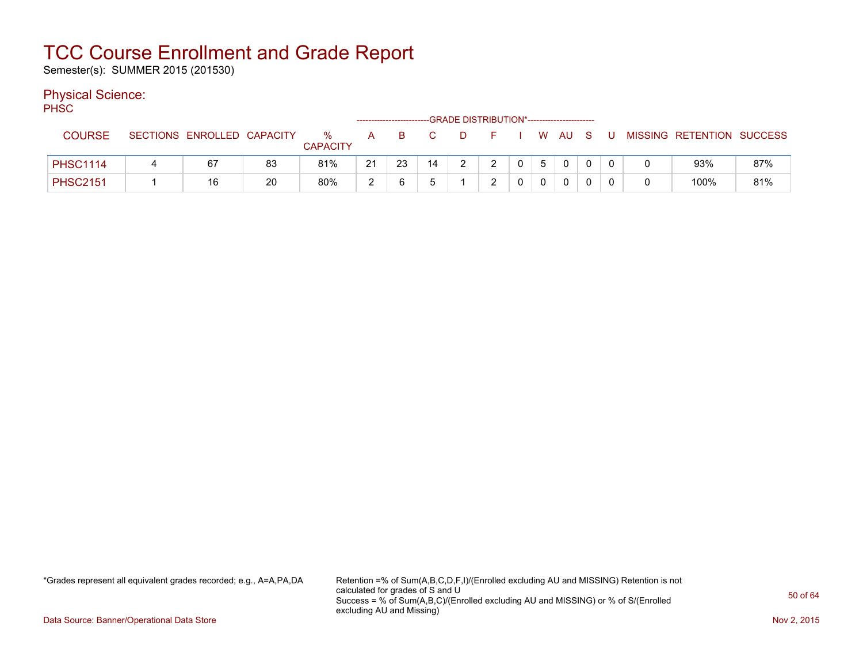Semester(s): SUMMER 2015 (201530)

#### Physical Science:

PH<sub>SC</sub>

| .               |                            |    |                      |    | -------------------------- |                |    | -GRADE DISTRIBUTION*----------------------- |                |   |                |                |   |                           |     |
|-----------------|----------------------------|----|----------------------|----|----------------------------|----------------|----|---------------------------------------------|----------------|---|----------------|----------------|---|---------------------------|-----|
| <b>COURSE</b>   | SECTIONS ENROLLED CAPACITY |    | %<br><b>CAPACITY</b> | A  | -B                         | $\overline{C}$ | D. | <b>E</b> F                                  |                |   | W AU S         |                | U | MISSING RETENTION SUCCESS |     |
| <b>PHSC1114</b> | 67                         | 83 | 81%                  | 21 | 23                         | 14             |    |                                             | $\overline{0}$ | 5 | $\overline{0}$ | $\overline{0}$ |   | 93%                       | 87% |
| <b>PHSC2151</b> | 16                         | 20 | 80%                  | ົ  |                            |                |    |                                             |                |   |                |                |   | 100%                      | 81% |

\*Grades represent all equivalent grades recorded; e.g., A=A,PA,DA Retention =% of Sum(A,B,C,D,F,I)/(Enrolled excluding AU and MISSING) Retention is not calculated for grades of S and U Success = % of Sum(A,B,C)/(Enrolled excluding AU and MISSING) or % of S/(Enrolled excluding AU and Missing)

Data Source: Banner/Operational Data Store Nov 2, 2015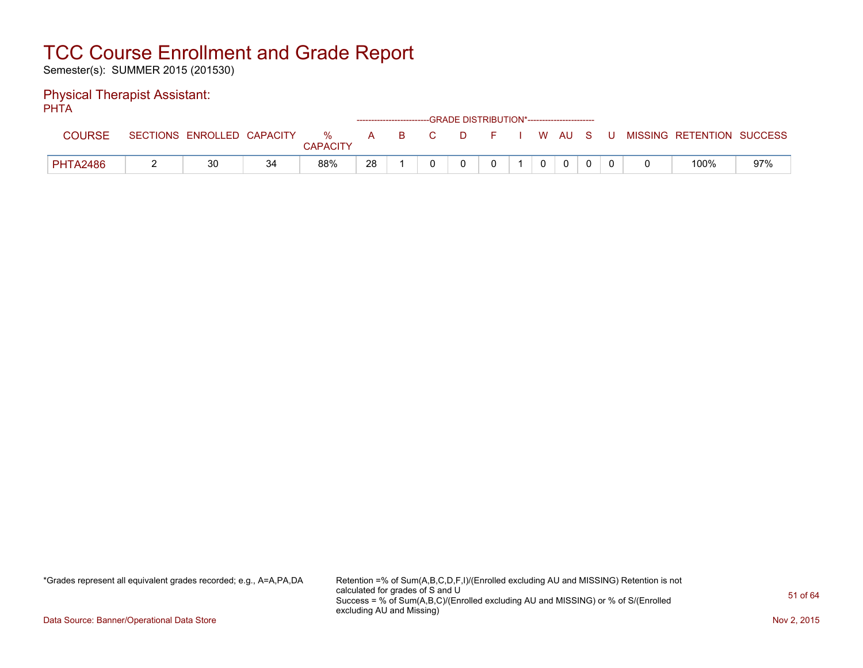Semester(s): SUMMER 2015 (201530)

#### Physical Therapist Assistant: PHTA

| .               |                            |    |                         |              |    |    | ------------------------GRADE DISTRIBUTION*----------------------- |    |  |              |     |                           |     |
|-----------------|----------------------------|----|-------------------------|--------------|----|----|--------------------------------------------------------------------|----|--|--------------|-----|---------------------------|-----|
| <b>COURSE</b>   | SECTIONS ENROLLED CAPACITY |    | $\%$<br><b>CAPACITY</b> | $\mathsf{A}$ | B. | C. | D.                                                                 | н. |  | WAUS         | - U | MISSING RETENTION SUCCESS |     |
| <b>PHTA2486</b> | 30                         | 34 | 88%                     | 28           |    |    |                                                                    |    |  | $\mathbf{0}$ |     | 100%                      | 97% |

\*Grades represent all equivalent grades recorded; e.g., A=A,PA,DA Retention =% of Sum(A,B,C,D,F,I)/(Enrolled excluding AU and MISSING) Retention is not calculated for grades of S and U Success = % of Sum(A,B,C)/(Enrolled excluding AU and MISSING) or % of S/(Enrolled excluding AU and Missing)

Data Source: Banner/Operational Data Store Nov 2, 2015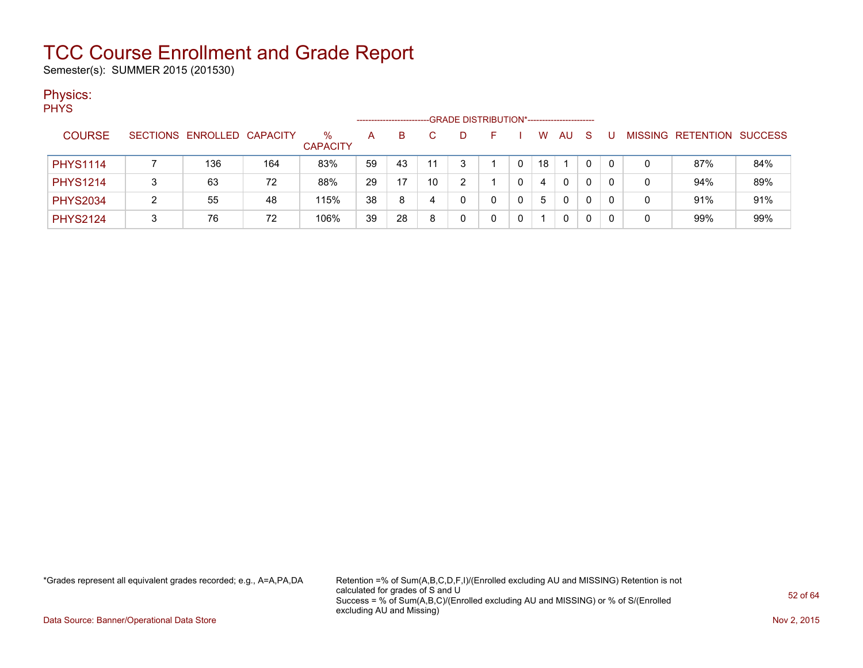Semester(s): SUMMER 2015 (201530)

#### Physics:

| <b>PHYS</b>     |   |                            |     |                 |    |    |    |                                             |   |    |          |    |   |   |                   |                |
|-----------------|---|----------------------------|-----|-----------------|----|----|----|---------------------------------------------|---|----|----------|----|---|---|-------------------|----------------|
|                 |   |                            |     |                 |    |    |    | -GRADE DISTRIBUTION*----------------------- |   |    |          |    |   |   |                   |                |
| <b>COURSE</b>   |   | SECTIONS ENROLLED CAPACITY |     | %               | A  | B. |    | D                                           |   | W  | AU.      | -S | U |   | MISSING RETENTION | <b>SUCCESS</b> |
|                 |   |                            |     | <b>CAPACITY</b> |    |    |    |                                             |   |    |          |    |   |   |                   |                |
| <b>PHYS1114</b> |   | 136                        | 164 | 83%             | 59 | 43 | 11 | 3                                           | 0 | 18 |          |    | 0 | 0 | 87%               | 84%            |
| <b>PHYS1214</b> |   | 63                         | 72  | 88%             | 29 | 17 | 10 | $\overline{2}$                              | 0 | 4  | $\Omega$ | 0  | 0 | 0 | 94%               | 89%            |
| <b>PHYS2034</b> | ົ | 55                         | 48  | 115%            | 38 | 8  | 4  | 0                                           | 0 | 5  | 0        | 0  | 0 | 0 | 91%               | 91%            |
| <b>PHYS2124</b> | 3 | 76                         | 72  | 106%            | 39 | 28 | 8  | 0                                           | 0 |    | 0        |    |   | 0 | 99%               | 99%            |

\*Grades represent all equivalent grades recorded; e.g., A=A,PA,DA Retention =% of Sum(A,B,C,D,F,I)/(Enrolled excluding AU and MISSING) Retention is not calculated for grades of S and U Success = % of Sum(A,B,C)/(Enrolled excluding AU and MISSING) or % of S/(Enrolled excluding AU and Missing)

Data Source: Banner/Operational Data Store Nov 2, 2015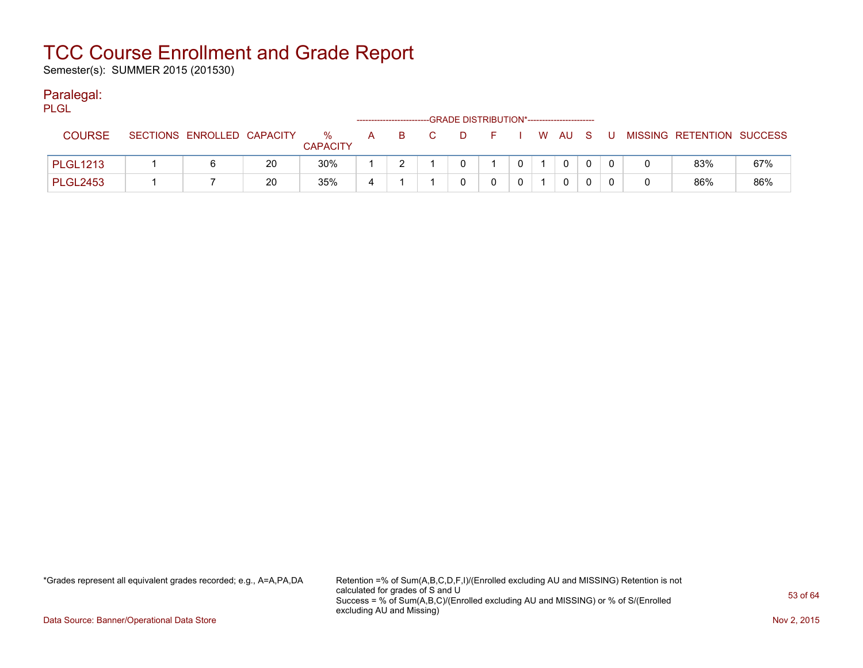Semester(s): SUMMER 2015 (201530)

#### Paralegal:

| PLGL            |                            |    |                         | ------------------------- |    |                |      | -GRADE DISTRIBUTION*----------------------- |          |          |     |                           |     |
|-----------------|----------------------------|----|-------------------------|---------------------------|----|----------------|------|---------------------------------------------|----------|----------|-----|---------------------------|-----|
| <b>COURSE</b>   | SECTIONS ENROLLED CAPACITY |    | $\%$<br><b>CAPACITY</b> | A                         | B. | $\overline{C}$ | . D. | F I W AU S                                  |          |          | . U | MISSING RETENTION SUCCESS |     |
| <b>PLGL1213</b> |                            | 20 | 30%                     |                           |    |                |      |                                             | $\Omega$ | $\Omega$ |     | 83%                       | 67% |
| <b>PLGL2453</b> |                            | 20 | 35%                     |                           |    |                |      |                                             |          | 0        |     | 86%                       | 86% |

\*Grades represent all equivalent grades recorded; e.g., A=A,PA,DA Retention =% of Sum(A,B,C,D,F,I)/(Enrolled excluding AU and MISSING) Retention is not calculated for grades of S and U Success = % of Sum(A,B,C)/(Enrolled excluding AU and MISSING) or % of S/(Enrolled excluding AU and Missing)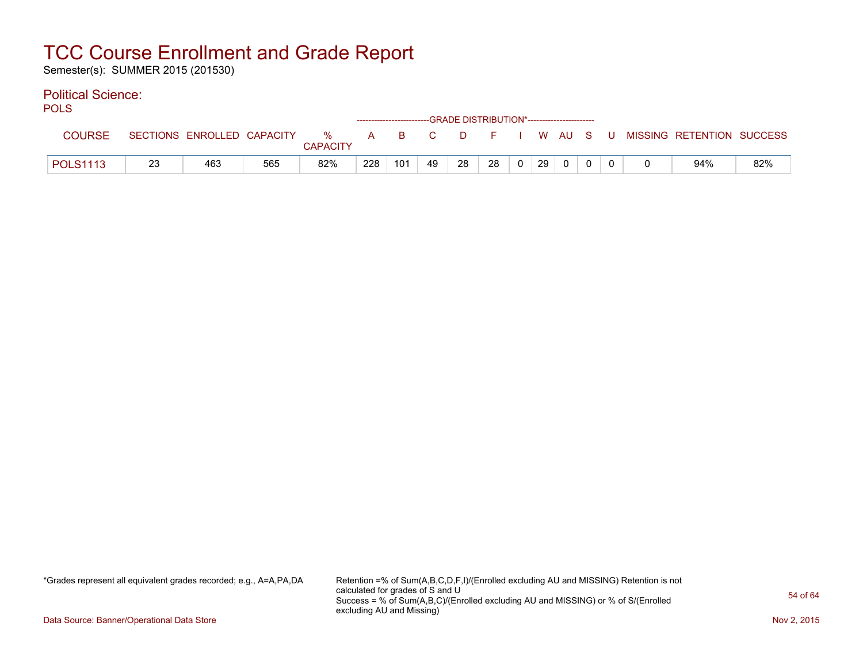Semester(s): SUMMER 2015 (201530)

#### Political Science:

POLS

| ---             |    |                            |     |               |     |     |    |    | ------------------------GRADE DISTRIBUTION*----------------------- |          |    |        |  |                           |     |
|-----------------|----|----------------------------|-----|---------------|-----|-----|----|----|--------------------------------------------------------------------|----------|----|--------|--|---------------------------|-----|
| <b>COURSE</b>   |    | SECTIONS ENROLLED CAPACITY |     | %<br>CAPACITY | А   | B.  |    | D. |                                                                    |          |    | W AU S |  | MISSING RETENTION SUCCESS |     |
| <b>POLS1113</b> | 23 | 463                        | 565 | 82%           | 228 | 101 | 49 | 28 | 28                                                                 | $\Omega$ | 29 |        |  | 94%                       | 82% |

\*Grades represent all equivalent grades recorded; e.g., A=A,PA,DA Retention =% of Sum(A,B,C,D,F,I)/(Enrolled excluding AU and MISSING) Retention is not calculated for grades of S and U Success = % of Sum(A,B,C)/(Enrolled excluding AU and MISSING) or % of S/(Enrolled excluding AU and Missing)

Data Source: Banner/Operational Data Store Nov 2, 2015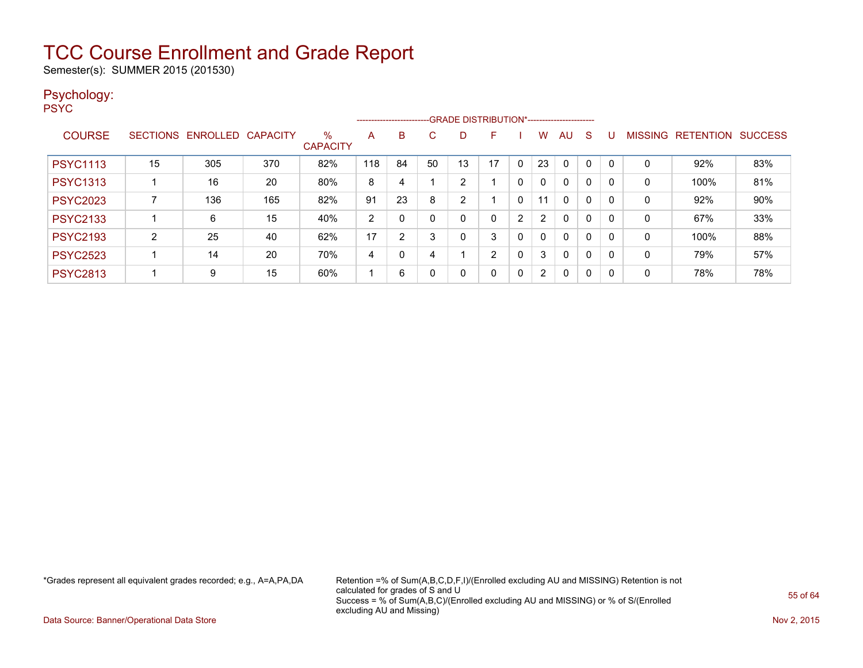Semester(s): SUMMER 2015 (201530)

#### Psychology:

PSYC

|                 |                 |          |                 |                         |     |          | --------------------------GRADE DISTRIBUTION*----------------------- |    |    |          |                |              |             |          |                |                  |                |
|-----------------|-----------------|----------|-----------------|-------------------------|-----|----------|----------------------------------------------------------------------|----|----|----------|----------------|--------------|-------------|----------|----------------|------------------|----------------|
| <b>COURSE</b>   | <b>SECTIONS</b> | ENROLLED | <b>CAPACITY</b> | $\%$<br><b>CAPACITY</b> | A   | B        | C.                                                                   | D  | F  |          | w              | AU           | S           |          | <b>MISSING</b> | <b>RETENTION</b> | <b>SUCCESS</b> |
| <b>PSYC1113</b> | 15              | 305      | 370             | 82%                     | 118 | 84       | 50                                                                   | 13 | 17 | $\Omega$ | 23             | $\Omega$     |             | $\Omega$ | 0              | 92%              | 83%            |
| <b>PSYC1313</b> |                 | 16       | 20              | 80%                     | 8   | 4        |                                                                      | 2  |    | 0        | $\mathbf{0}$   | $\mathbf{0}$ | $\mathbf 0$ | $\Omega$ | 0              | 100%             | 81%            |
| <b>PSYC2023</b> |                 | 136      | 165             | 82%                     | 91  | 23       | 8                                                                    | 2  |    | 0        | 11             | $\Omega$     | 0           | $\Omega$ | 0              | 92%              | 90%            |
| <b>PSYC2133</b> |                 | 6        | 15              | 40%                     | 2   | $\Omega$ |                                                                      | 0  | 0  | 2        | 2              | $\Omega$     | 0           | 0        | 0              | 67%              | 33%            |
| <b>PSYC2193</b> | 2               | 25       | 40              | 62%                     | 17  | 2        | 3                                                                    | 0  | 3  | 0        | 0              | $\mathbf{0}$ | $\Omega$    | $\Omega$ | 0              | 100%             | 88%            |
| <b>PSYC2523</b> |                 | 14       | 20              | 70%                     | 4   | $\Omega$ |                                                                      |    | 2  | 0        | 3              | $\mathbf{0}$ | 0           | $\Omega$ | 0              | 79%              | 57%            |
| <b>PSYC2813</b> |                 | 9        | 15              | 60%                     |     | 6        |                                                                      | 0  | 0  | 0        | $\overline{2}$ | $\mathbf{0}$ | $\Omega$    | 0        | 0              | 78%              | 78%            |

\*Grades represent all equivalent grades recorded; e.g., A=A,PA,DA Retention =% of Sum(A,B,C,D,F,I)/(Enrolled excluding AU and MISSING) Retention is not calculated for grades of S and U Success = % of Sum(A,B,C)/(Enrolled excluding AU and MISSING) or % of S/(Enrolled excluding AU and Missing)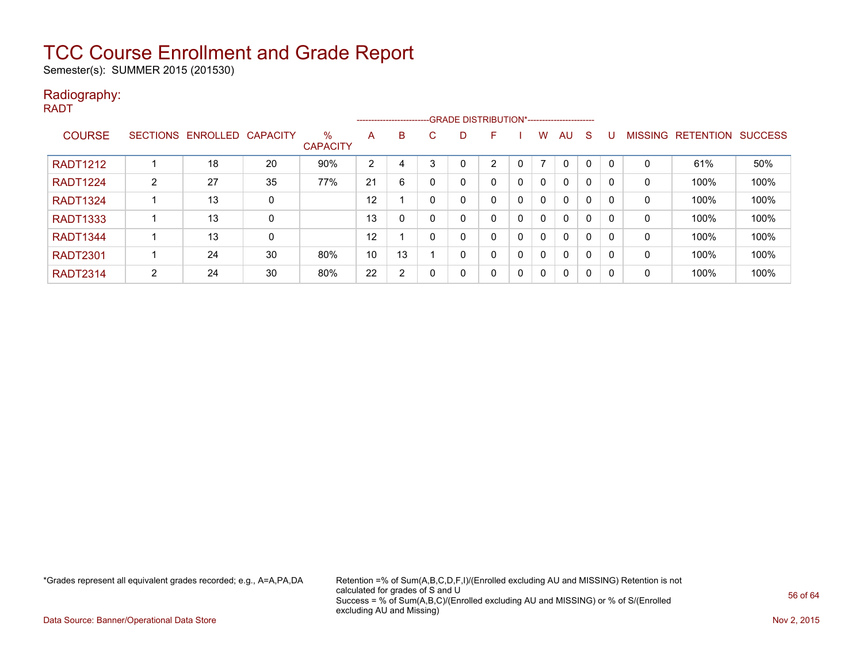Semester(s): SUMMER 2015 (201530)

#### Radiography: RADT

|                 |   |                            |             |                         |                | ------------------------ |              |          | --GRADE DISTRIBUTION*----------------------- |              |          |              |          |          |                |                  |                |
|-----------------|---|----------------------------|-------------|-------------------------|----------------|--------------------------|--------------|----------|----------------------------------------------|--------------|----------|--------------|----------|----------|----------------|------------------|----------------|
| <b>COURSE</b>   |   | SECTIONS ENROLLED CAPACITY |             | $\%$<br><b>CAPACITY</b> | A              | B                        | C            | D        | F.                                           |              | W        | AU           | S        | U        | <b>MISSING</b> | <b>RETENTION</b> | <b>SUCCESS</b> |
| <b>RADT1212</b> |   | 18                         | 20          | 90%                     | $\overline{2}$ | 4                        | 3            | 0        | C                                            | $\mathbf{0}$ |          | 0            | $\Omega$ | $\Omega$ | 0              | 61%              | 50%            |
| <b>RADT1224</b> | 2 | 27                         | 35          | 77%                     | 21             | 6                        | 0            | 0        |                                              | 0            | $\Omega$ | $\mathbf{0}$ | 0        | 0        | 0              | 100%             | 100%           |
| <b>RADT1324</b> |   | 13                         | $\mathbf 0$ |                         | 12             |                          | 0            | $\Omega$ |                                              | $\mathbf{0}$ | $\Omega$ | $\mathbf{0}$ | 0        | 0        | 0              | 100%             | 100%           |
| <b>RADT1333</b> |   | 13                         | 0           |                         | 13             | 0                        | $\mathbf{0}$ | 0        |                                              | $\mathbf{0}$ | $\Omega$ | $\mathbf{0}$ | $\Omega$ | 0        | 0              | 100%             | 100%           |
| <b>RADT1344</b> |   | 13                         | 0           |                         | 12             |                          | 0            | 0        |                                              | 0            |          | $\mathbf{0}$ | $\Omega$ | 0        | 0              | 100%             | 100%           |
| <b>RADT2301</b> |   | 24                         | 30          | 80%                     | 10             | 13                       |              | 0        |                                              | 0            | $\Omega$ | $\mathbf{0}$ | $\Omega$ | 0        | 0              | 100%             | 100%           |
| <b>RADT2314</b> | 2 | 24                         | 30          | 80%                     | 22             | 2                        | 0            | 0        |                                              | 0            | $\Omega$ | 0            | 0        | 0        | 0              | 100%             | 100%           |

\*Grades represent all equivalent grades recorded; e.g., A=A,PA,DA Retention =% of Sum(A,B,C,D,F,I)/(Enrolled excluding AU and MISSING) Retention is not calculated for grades of S and U Success = % of Sum(A,B,C)/(Enrolled excluding AU and MISSING) or % of S/(Enrolled excluding AU and Missing)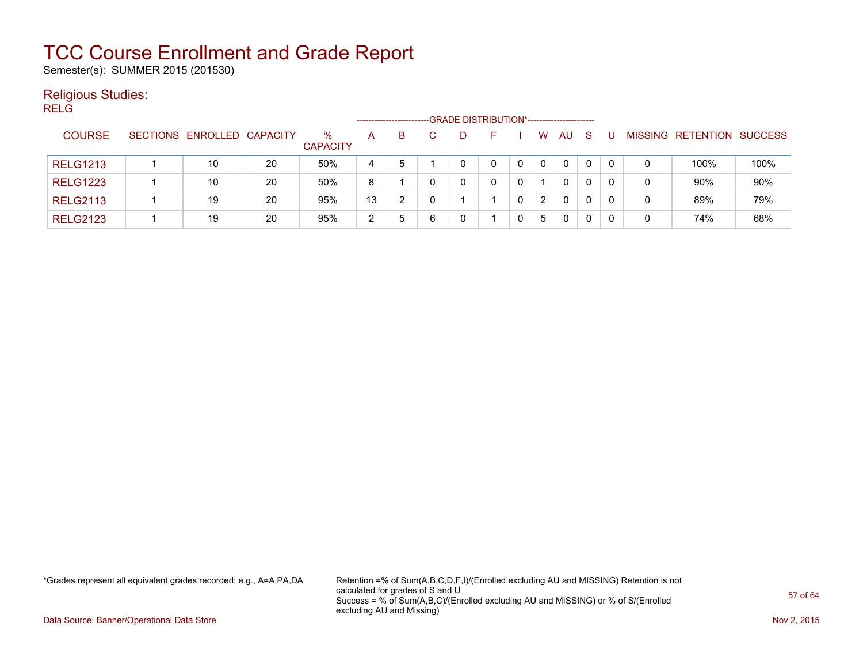Semester(s): SUMMER 2015 (201530)

#### Religious Studies:

RELG

|                 |                            |    |                 | -- GRADE DISTRIBUTION*------------------------<br>--------------------<br>$\%$<br>MISSING RETENTION SUCCESS<br>B<br><sub>S</sub><br>AU<br>W<br>A<br>D<br>н. |   |   |  |  |  |   |   |   |  |   |      |      |
|-----------------|----------------------------|----|-----------------|-------------------------------------------------------------------------------------------------------------------------------------------------------------|---|---|--|--|--|---|---|---|--|---|------|------|
| <b>COURSE</b>   | SECTIONS ENROLLED CAPACITY |    | <b>CAPACITY</b> |                                                                                                                                                             |   |   |  |  |  |   |   |   |  |   |      |      |
| <b>RELG1213</b> | 10                         | 20 | 50%             | 4                                                                                                                                                           | 5 |   |  |  |  |   | 0 | 0 |  |   | 100% | 100% |
| <b>RELG1223</b> | 10                         | 20 | 50%             | 8                                                                                                                                                           |   |   |  |  |  |   | 0 |   |  | 0 | 90%  | 90%  |
| <b>RELG2113</b> | 19                         | 20 | 95%             | 13                                                                                                                                                          | ົ |   |  |  |  | 2 | 0 |   |  | 0 | 89%  | 79%  |
| <b>RELG2123</b> | 19                         | 20 | 95%             | 2                                                                                                                                                           | 5 | 6 |  |  |  | 5 | 0 |   |  |   | 74%  | 68%  |

\*Grades represent all equivalent grades recorded; e.g., A=A,PA,DA Retention =% of Sum(A,B,C,D,F,I)/(Enrolled excluding AU and MISSING) Retention is not calculated for grades of S and U Success = % of Sum(A,B,C)/(Enrolled excluding AU and MISSING) or % of S/(Enrolled excluding AU and Missing)

Data Source: Banner/Operational Data Store Nov 2, 2015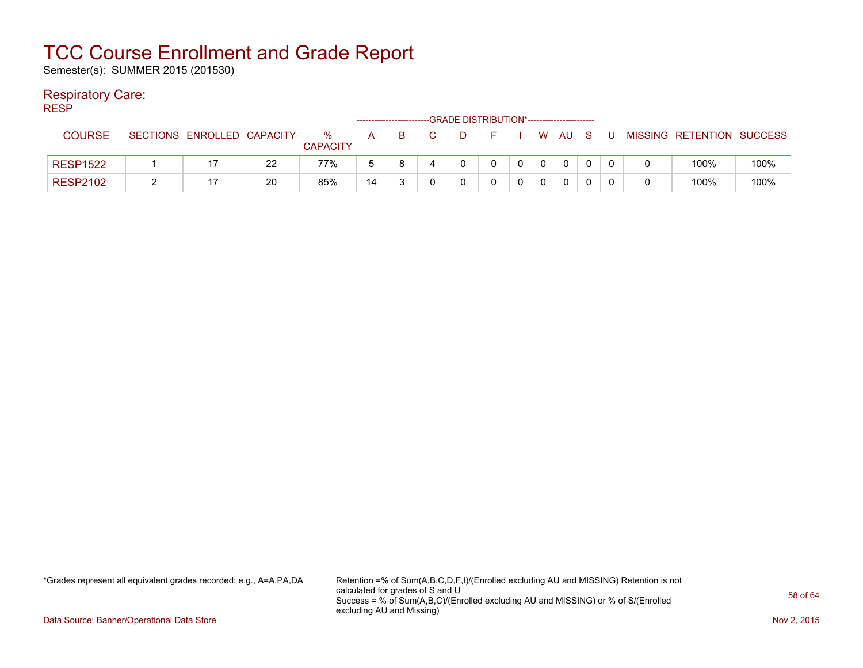Semester(s): SUMMER 2015 (201530)

#### Respiratory Care:

RESP

|                 |          |                   |    |                         |    |   |   | -GRADE DISTRIBUTION*----------------------- |             |        |   |                           |      |
|-----------------|----------|-------------------|----|-------------------------|----|---|---|---------------------------------------------|-------------|--------|---|---------------------------|------|
| <b>COURSE</b>   | SECTIONS | ENROLLED CAPACITY |    | $\%$<br><b>CAPACITY</b> | A  | B | D | E.                                          |             | W AU S | U | MISSING RETENTION SUCCESS |      |
| <b>RESP1522</b> |          |                   | 22 | 77%                     |    |   |   |                                             | $\mathbf 0$ |        |   | 100%                      | 100% |
| <b>RESP2102</b> |          |                   | 20 | 85%                     | 14 |   |   |                                             |             |        |   | 100%                      | 100% |

\*Grades represent all equivalent grades recorded; e.g., A=A,PA,DA Retention =% of Sum(A,B,C,D,F,I)/(Enrolled excluding AU and MISSING) Retention is not calculated for grades of S and U Success = % of Sum(A,B,C)/(Enrolled excluding AU and MISSING) or % of S/(Enrolled excluding AU and Missing)

Data Source: Banner/Operational Data Store Nov 2, 2015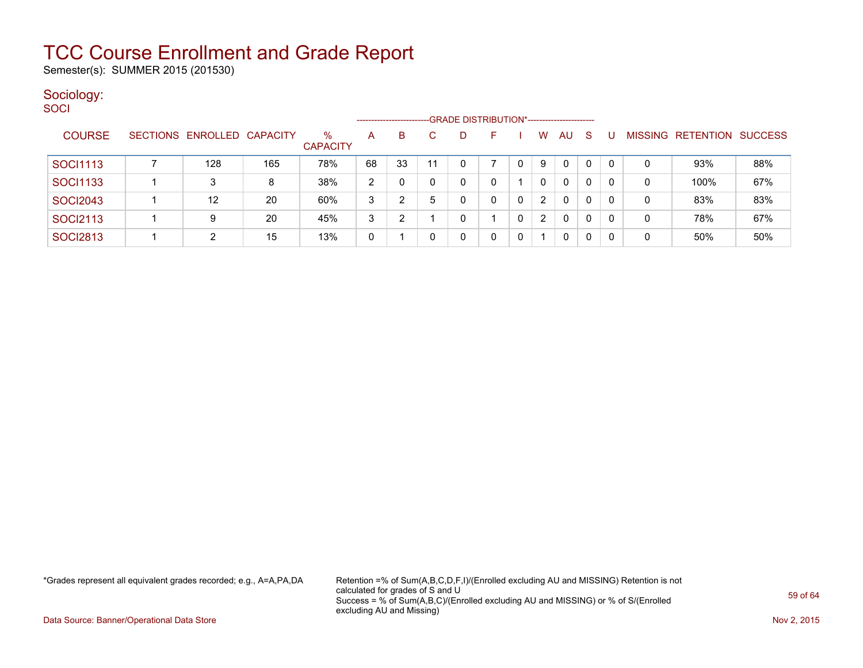Semester(s): SUMMER 2015 (201530)

#### Sociology: **SOCI**

|                 |                            |     |                         |                | --------------------- |    |   | -GRADE DISTRIBUTION*----------------------- |   |                |              |              |              |   |                   |                |
|-----------------|----------------------------|-----|-------------------------|----------------|-----------------------|----|---|---------------------------------------------|---|----------------|--------------|--------------|--------------|---|-------------------|----------------|
| <b>COURSE</b>   | SECTIONS ENROLLED CAPACITY |     | $\%$<br><b>CAPACITY</b> | A              | B                     |    | D | F                                           |   | w              | AU           | <sub>S</sub> |              |   | MISSING RETENTION | <b>SUCCESS</b> |
| SOCI1113        | 128                        | 165 | 78%                     | 68             | 33                    | 11 |   |                                             | 0 | 9              | 0            | 0            | $\mathbf{0}$ |   | 93%               | 88%            |
| <b>SOCI1133</b> | 3                          | 8   | 38%                     | $\overline{2}$ |                       |    |   | 0                                           |   | 0              | $\mathbf{0}$ | 0            | 0            | 0 | 100%              | 67%            |
| <b>SOCI2043</b> | 12                         | 20  | 60%                     | 3              | າ                     | 5  |   | 0                                           | 0 | 2              | $\mathbf{0}$ | $\Omega$     | $\mathbf{0}$ | 0 | 83%               | 83%            |
| <b>SOCI2113</b> | 9                          | 20  | 45%                     | 3              | າ                     |    |   |                                             | 0 | $\overline{2}$ | 0            | $\Omega$     | 0            | 0 | 78%               | 67%            |
| <b>SOCI2813</b> | 2                          | 15  | 13%                     | 0              |                       |    |   | 0                                           |   |                | 0            | 0            | 0            | 0 | 50%               | 50%            |

\*Grades represent all equivalent grades recorded; e.g., A=A,PA,DA Retention =% of Sum(A,B,C,D,F,I)/(Enrolled excluding AU and MISSING) Retention is not calculated for grades of S and U Success = % of Sum(A,B,C)/(Enrolled excluding AU and MISSING) or % of S/(Enrolled excluding AU and Missing)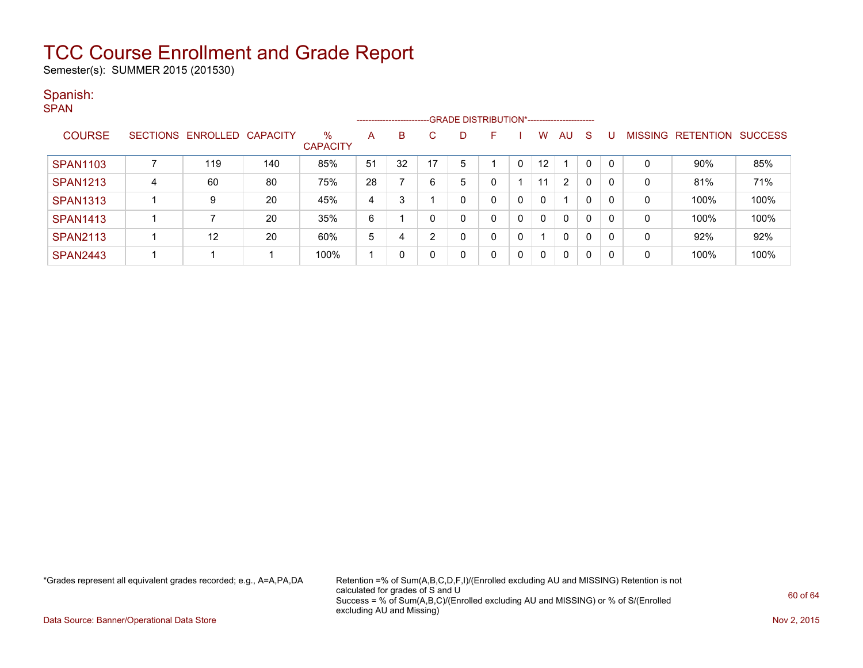Semester(s): SUMMER 2015 (201530)

#### Spanish:

| ۰. |  |
|----|--|

|                 |   |                            |     |                      |    | ----------------------- |    |   |    |   |                   |              |              |   |   |                                  |      |
|-----------------|---|----------------------------|-----|----------------------|----|-------------------------|----|---|----|---|-------------------|--------------|--------------|---|---|----------------------------------|------|
| <b>COURSE</b>   |   | SECTIONS ENROLLED CAPACITY |     | %<br><b>CAPACITY</b> | А  | B                       | C. |   | н. |   | w                 | AU           | S            | U |   | <b>MISSING RETENTION SUCCESS</b> |      |
| <b>SPAN1103</b> |   | 119                        | 140 | 85%                  | 51 | 32                      | 17 | 5 |    | 0 | $12 \overline{ }$ |              |              | 0 | 0 | 90%                              | 85%  |
| <b>SPAN1213</b> | 4 | 60                         | 80  | 75%                  | 28 |                         | 6  | 5 |    |   | 11                | 2            | 0            | 0 | 0 | 81%                              | 71%  |
| <b>SPAN1313</b> |   | 9                          | 20  | 45%                  | 4  | 3                       |    |   |    | 0 |                   |              | $\mathbf 0$  | 0 | 0 | 100%                             | 100% |
| <b>SPAN1413</b> |   |                            | 20  | 35%                  | 6  |                         | 0  |   | U  | 0 |                   | $\Omega$     | $\mathbf{0}$ | 0 | 0 | 100%                             | 100% |
| <b>SPAN2113</b> |   | 12                         | 20  | 60%                  | 5  |                         | っ  |   | U. | 0 |                   | 0            | $\mathbf 0$  | 0 | 0 | 92%                              | 92%  |
| <b>SPAN2443</b> |   |                            |     | 100%                 |    | 0                       | 0  |   |    | 0 | -0                | $\mathbf{0}$ | 0            | 0 | 0 | 100%                             | 100% |

\*Grades represent all equivalent grades recorded; e.g., A=A,PA,DA Retention =% of Sum(A,B,C,D,F,I)/(Enrolled excluding AU and MISSING) Retention is not calculated for grades of S and U Success = % of Sum(A,B,C)/(Enrolled excluding AU and MISSING) or % of S/(Enrolled excluding AU and Missing)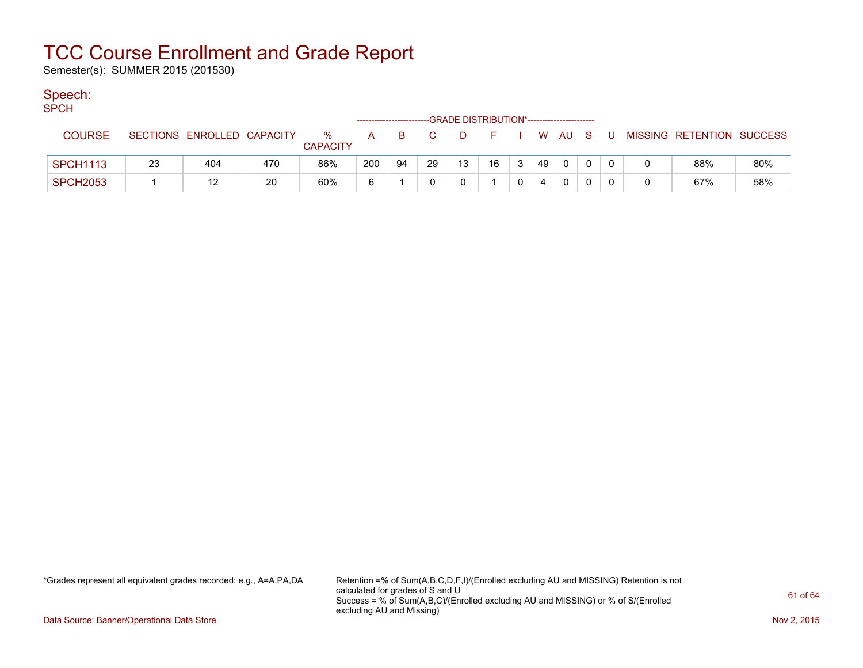Semester(s): SUMMER 2015 (201530)

#### Speech:

SPCH

| .               |    |                            |     |                      |     | ------------------------ |    | -GRADE DISTRIBUTION*----------------------- |    |                |    |              |              |   |                           |     |
|-----------------|----|----------------------------|-----|----------------------|-----|--------------------------|----|---------------------------------------------|----|----------------|----|--------------|--------------|---|---------------------------|-----|
| COURSE          |    | SECTIONS ENROLLED CAPACITY |     | %<br><b>CAPACITY</b> | A   | B                        |    | D.                                          |    |                |    | W AU S       |              | U | MISSING RETENTION SUCCESS |     |
| <b>SPCH1113</b> | 23 | 404                        | 470 | 86%                  | 200 | 94                       | 29 | 13                                          | 16 | 3 <sup>1</sup> | 49 | $\mathbf{0}$ | $\mathbf{0}$ |   | 88%                       | 80% |
| SPCH2053        |    |                            | 20  | 60%                  | ี่ค |                          |    |                                             |    |                | 4  |              |              |   | 67%                       | 58% |

\*Grades represent all equivalent grades recorded; e.g., A=A,PA,DA Retention =% of Sum(A,B,C,D,F,I)/(Enrolled excluding AU and MISSING) Retention is not calculated for grades of S and U Success = % of Sum(A,B,C)/(Enrolled excluding AU and MISSING) or % of S/(Enrolled excluding AU and Missing)

Data Source: Banner/Operational Data Store Nov 2, 2015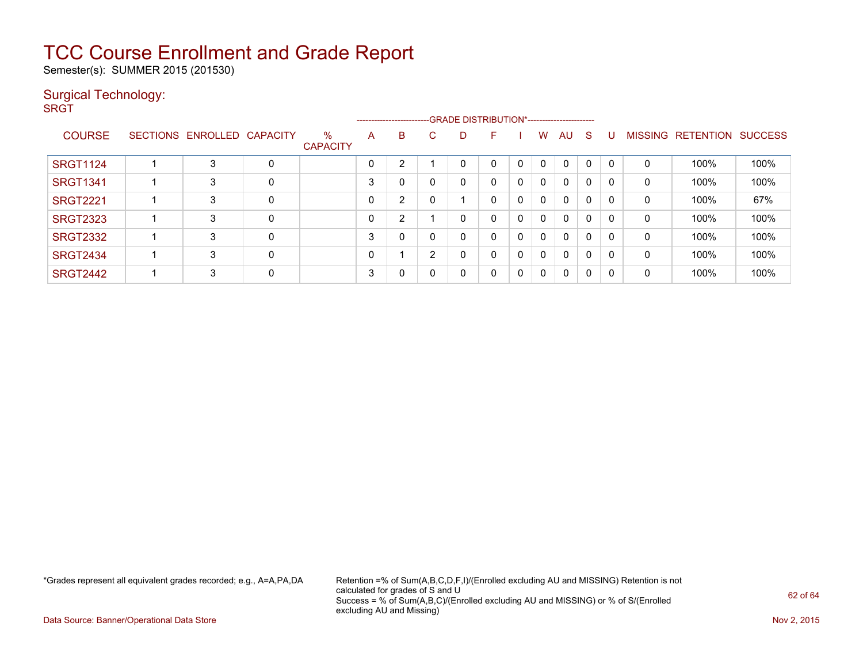Semester(s): SUMMER 2015 (201530)

#### Surgical Technology:

**SRGT** 

|                 |                            |   |                         |          |   |    | --------------------------GRADE DISTRIBUTION*----------------------- |   |          |              |              |              |          |                |                  |                |
|-----------------|----------------------------|---|-------------------------|----------|---|----|----------------------------------------------------------------------|---|----------|--------------|--------------|--------------|----------|----------------|------------------|----------------|
| <b>COURSE</b>   | SECTIONS ENROLLED CAPACITY |   | $\%$<br><b>CAPACITY</b> | A        | B | C. | D                                                                    | F |          | W            | AU           | S            |          | <b>MISSING</b> | <b>RETENTION</b> | <b>SUCCESS</b> |
| <b>SRGT1124</b> | 3                          | 0 |                         | $\Omega$ | 2 |    |                                                                      | 0 | $\Omega$ | 0            | $\Omega$     | $\Omega$     | $\Omega$ | 0              | 100%             | 100%           |
| <b>SRGT1341</b> | 3                          | 0 |                         | 3        | 0 |    | 0                                                                    | 0 | 0        | $\Omega$     | $\mathbf{0}$ | $\mathbf{0}$ | 0        | 0              | 100%             | 100%           |
| <b>SRGT2221</b> | 3                          | 0 |                         | 0        | 2 |    |                                                                      | 0 | 0        | $\mathbf{0}$ | $\mathbf{0}$ | $\mathbf{0}$ | 0        | 0              | 100%             | 67%            |
| <b>SRGT2323</b> | 3                          | 0 |                         | 0        | 2 |    | 0                                                                    | 0 | 0        | $\mathbf{0}$ | $\mathbf{0}$ | $\mathbf{0}$ | $\Omega$ | 0              | 100%             | 100%           |
| <b>SRGT2332</b> | 3                          | 0 |                         | 3        | 0 |    | 0                                                                    | 0 | 0        | $\mathbf{0}$ | $\mathbf{0}$ | 0            | $\Omega$ | 0              | 100%             | 100%           |
| <b>SRGT2434</b> | 3                          | 0 |                         | 0        |   | 2  | 0                                                                    | 0 | 0        | $\Omega$     | $\mathbf{0}$ | 0            | $\Omega$ | 0              | 100%             | 100%           |
| <b>SRGT2442</b> | 3                          | 0 |                         | 3        | 0 |    | 0                                                                    | 0 | 0        | $\mathbf{0}$ | $\mathbf{0}$ | $\Omega$     | 0        | 0              | 100%             | 100%           |

\*Grades represent all equivalent grades recorded; e.g., A=A,PA,DA Retention =% of Sum(A,B,C,D,F,I)/(Enrolled excluding AU and MISSING) Retention is not calculated for grades of S and U Success = % of Sum(A,B,C)/(Enrolled excluding AU and MISSING) or % of S/(Enrolled excluding AU and Missing)

Data Source: Banner/Operational Data Store Nov 2, 2015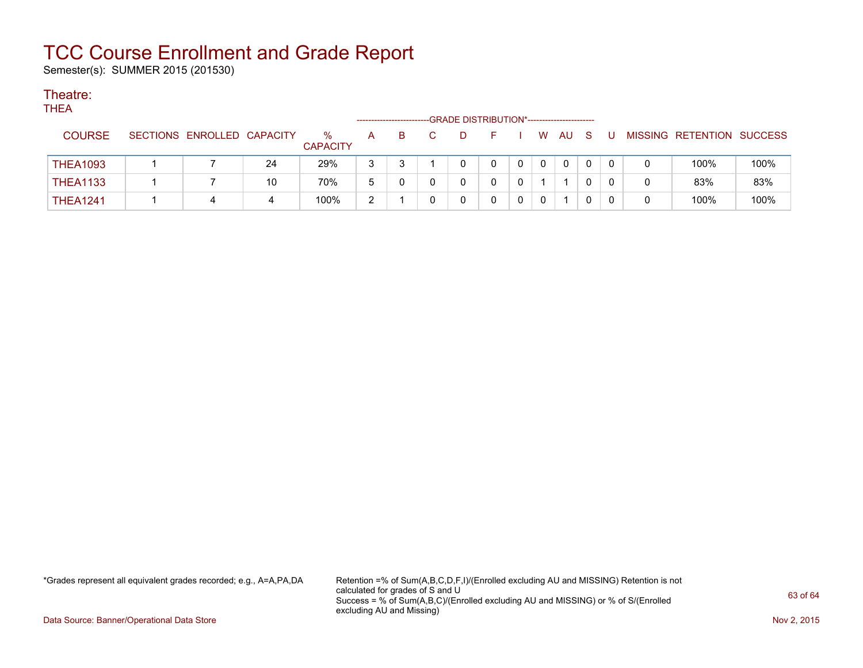Semester(s): SUMMER 2015 (201530)

#### Theatre: THEA

| IHEA            |                            |    |                      |   |   | -GRADE DISTRIBUTION*----------------------- |              |    |          |    |   |   |                           |      |
|-----------------|----------------------------|----|----------------------|---|---|---------------------------------------------|--------------|----|----------|----|---|---|---------------------------|------|
| <b>COURSE</b>   | SECTIONS ENROLLED CAPACITY |    | %<br><b>CAPACITY</b> | Α | в |                                             |              | W. | AU.      | -S | U |   | MISSING RETENTION SUCCESS |      |
| <b>THEA1093</b> |                            | 24 | 29%                  |   |   |                                             | $\mathbf{0}$ |    | $\Omega$ |    |   | 0 | 100%                      | 100% |
| <b>THEA1133</b> |                            | 10 | 70%                  | b |   |                                             |              |    |          |    |   | 0 | 83%                       | 83%  |
| <b>THEA1241</b> | 4                          | 4  | 100%                 | ົ |   |                                             | $\Omega$     |    |          |    |   | 0 | 100%                      | 100% |

\*Grades represent all equivalent grades recorded; e.g., A=A,PA,DA Retention =% of Sum(A,B,C,D,F,I)/(Enrolled excluding AU and MISSING) Retention is not calculated for grades of S and U Success = % of Sum(A,B,C)/(Enrolled excluding AU and MISSING) or % of S/(Enrolled excluding AU and Missing)

Data Source: Banner/Operational Data Store Nov 2, 2015